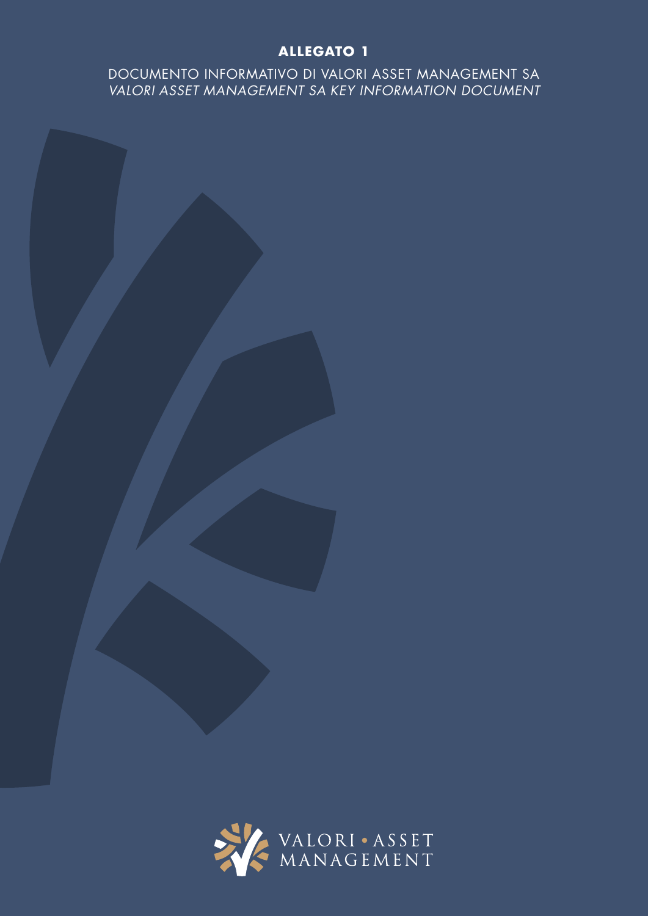# **ALLEGATO 1**

DOCUMENTO INFORMATIVO DI VALORI ASSET MANAGEMENT SA *VALORI ASSET MANAGEMENT SA KEY INFORMATION DOCUMENT* 



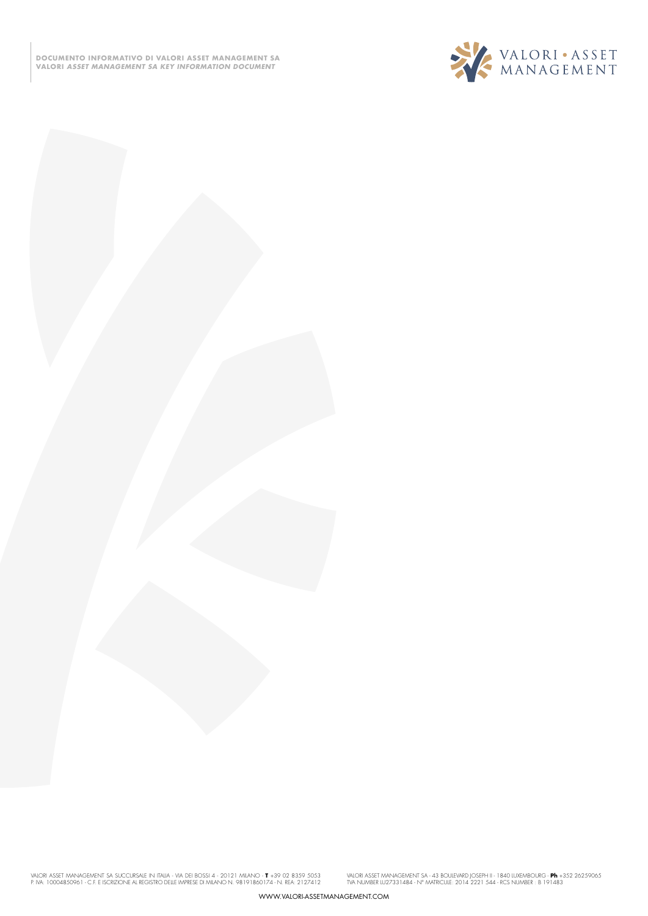

VALORI ASSET MANAGEMENT SA SUCCURSALE IN ITALIA - VIA DEI BOSSI 4 - 20121 MILANO - **T** +39 02 8359 5053 P. IVA: 10004850961 - C.F. E ISCRIZIONE AL REGISTRO DELLE IMPRESE DI MILANO N. 98191860174 - N. REA: 2127412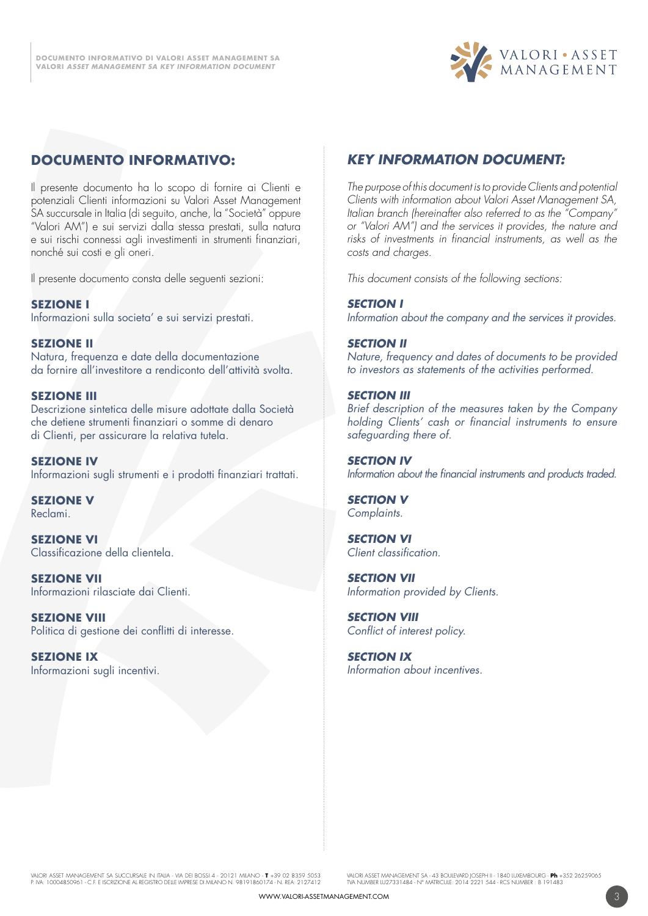

# **DOCUMENTO INFORMATIVO:**

Il presente documento ha lo scopo di fornire ai Clienti e potenziali Clienti informazioni su Valori Asset Management SA succursale in Italia (di seguito, anche, la "Società" oppure "Valori AM") e sui servizi dalla stessa prestati, sulla natura e sui rischi connessi agli investimenti in strumenti finanziari, nonché sui costi e gli oneri.

Il presente documento consta delle seguenti sezioni:

**SEZIONE I** Informazioni sulla societa' e sui servizi prestati.

**SEZIONE II** Natura, frequenza e date della documentazione da fornire all'investitore a rendiconto dell'attività svolta.

## **SEZIONE III**

Descrizione sintetica delle misure adottate dalla Società che detiene strumenti finanziari o somme di denaro di Clienti, per assicurare la relativa tutela.

**SEZIONE IV** Informazioni sugli strumenti e i prodotti finanziari trattati.

**SEZIONE V** Reclami.

**SEZIONE VI** Classificazione della clientela.

**SEZIONE VII** Informazioni rilasciate dai Clienti.

**SEZIONE VIII** Politica di gestione dei conflitti di interesse.

**SEZIONE IX** Informazioni sugli incentivi.

# *KEY INFORMATION DOCUMENT:*

*The purpose of this document is to provide Clients and potential Clients with information about Valori Asset Management SA, Italian branch (hereinafter also referred to as the "Company" or "Valori AM") and the services it provides, the nature and risks of investments in financial instruments, as well as the costs and charges.*

*This document consists of the following sections:*

*SECTION I Information about the company and the services it provides.*

#### *SECTION II*

*Nature, frequency and dates of documents to be provided to investors as statements of the activities performed.*

## *SECTION III*

*Brief description of the measures taken by the Company holding Clients' cash or financial instruments to ensure safeguarding there of.*

*SECTION IV Information about the financial instruments and products traded.*

*SECTION V Complaints.* 

*SECTION VI Client classification.*

*SECTION VII Information provided by Clients.*

*SECTION VIII Conflict of interest policy.*

*SECTION IX Information about incentives.*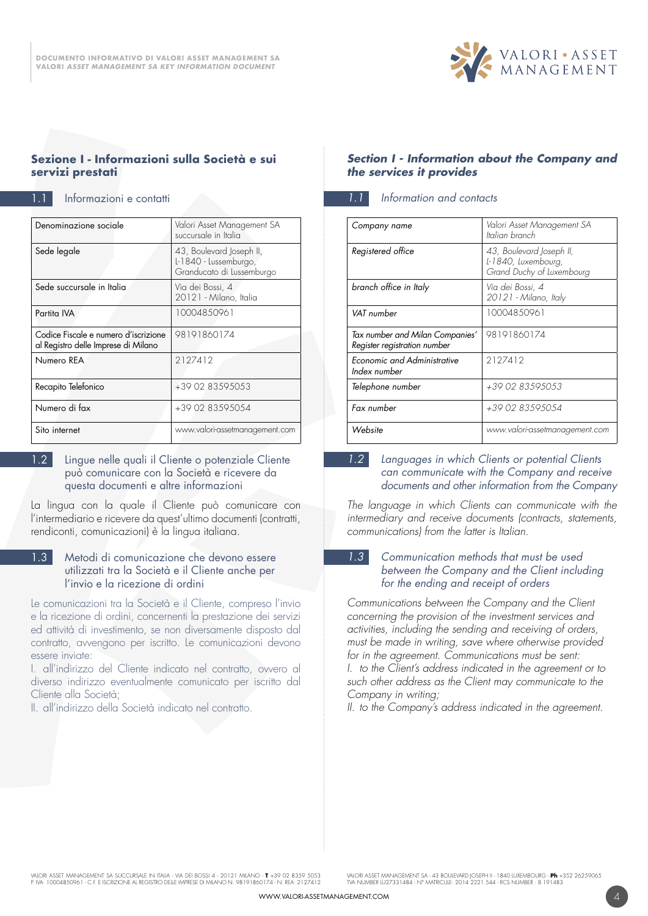

## **Sezione I - Informazioni sulla Società e sui servizi prestati**

| I |  |  |
|---|--|--|

#### 1.1 Informazioni e contatti

| Denominazione sociale                                                       | Valori Asset Management SA<br>succursale in Italia                             |
|-----------------------------------------------------------------------------|--------------------------------------------------------------------------------|
| Sede legale                                                                 | 43, Boulevard Joseph II,<br>L-1840 - Lussemburgo,<br>Granducato di Lussemburgo |
| Sede succursale in Italia                                                   | Via dei Bossi, 4<br>20121 - Milano, Italia                                     |
| Partita IVA                                                                 | 10004850961                                                                    |
| Codice Fiscale e numero d'iscrizione<br>al Registro delle Imprese di Milano | 98191860174                                                                    |
| Numero REA                                                                  | 2127412                                                                        |
| Recapito Telefonico                                                         | +39 02 83595053                                                                |
| Numero di fax                                                               | +39 02 83595054                                                                |
| Sito internet                                                               | www.valori-assetmanagement.com                                                 |

# 1.2 Lingue nelle quali il Cliente o potenziale Cliente può comunicare con la Società e ricevere da questa documenti e altre informazioni

La lingua con la quale il Cliente può comunicare con l'intermediario e ricevere da quest'ultimo documenti (contratti, rendiconti, comunicazioni) è la lingua italiana.

#### 1.3 Metodi di comunicazione che devono essere utilizzati tra la Società e il Cliente anche per l'invio e la ricezione di ordini

Le comunicazioni tra la Società e il Cliente, compreso l'invio e la ricezione di ordini, concernenti la prestazione dei servizi ed attività di investimento, se non diversamente disposto dal contratto, avvengono per iscritto. Le comunicazioni devono essere inviate:

I. all'indirizzo del Cliente indicato nel contratto, ovvero al diverso indirizzo eventualmente comunicato per iscritto dal Cliente alla Società;

II. all'indirizzo della Società indicato nel contratto.

#### *Section I - Information about the Company and the services it provides*

| Company name                                                    | Valori Asset Management SA<br>Italian branch                                 |
|-----------------------------------------------------------------|------------------------------------------------------------------------------|
| Registered office                                               | 43, Boulevard Joseph II,<br>L-1840, Luxembourg,<br>Grand Duchy of Luxembourg |
| branch office in Italy                                          | Via dei Bossi, 4<br>20121 - Milano, Italy                                    |
| VAT number                                                      | 10004850961                                                                  |
| Tax number and Milan Companies'<br>Register registration number | 98191860174                                                                  |
| Economic and Administrative<br>Index number                     | 2127412                                                                      |
| Telephone number                                                | +39 02 83.59.50.53                                                           |
| Fax number                                                      | +39 02 83595054                                                              |
| Website                                                         | www.valori-assetmanagement.com                                               |

## *1.2 Languages in which Clients or potential Clients can communicate with the Company and receive documents and other information from the Company*

*The language in which Clients can communicate with the intermediary and receive documents (contracts, statements, communications) from the latter is Italian.*

## *1.3 Communication methods that must be used between the Company and the Client including for the ending and receipt of orders*

*Communications between the Company and the Client concerning the provision of the investment services and activities, including the sending and receiving of orders, must be made in writing, save where otherwise provided for in the agreement. Communications must be sent: I. to the Client's address indicated in the agreement or to such other address as the Client may communicate to the Company in writing;*

*II. to the Company's address indicated in the agreement.*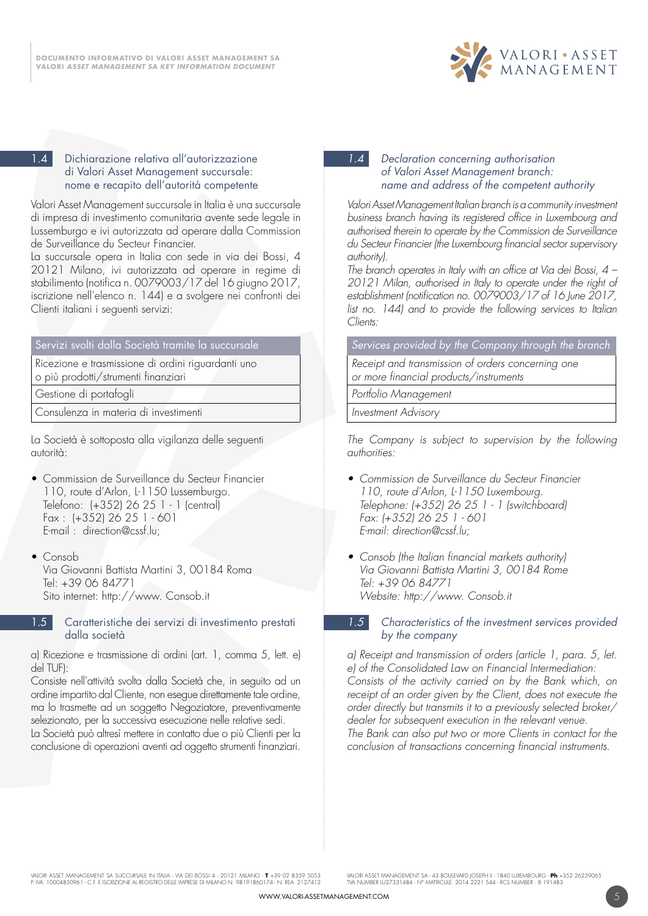

## 1.4 Dichiarazione relativa all'autorizzazione di Valori Asset Management succursale: nome e recapito dell'autorità competente

Valori Asset Management succursale in Italia è una succursale di impresa di investimento comunitaria avente sede legale in Lussemburgo e ivi autorizzata ad operare dalla Commission de Surveillance du Secteur Financier.

La succursale opera in Italia con sede in via dei Bossi, 4 20121 Milano, ivi autorizzata ad operare in regime di stabilimento (notifica n. 0079003/17 del 16 giugno 2017, iscrizione nell'elenco n. 144) e a svolgere nei confronti dei Clienti italiani i seguenti servizi:

## Servizi svolti dalla Società tramite la succursale

Ricezione e trasmissione di ordini riguardanti uno o più prodotti/strumenti finanziari

Gestione di portafogli

Consulenza in materia di investimenti

La Società è sottoposta alla vigilanza delle seguenti autorità:

- Commission de Surveillance du Secteur Financier 110, route d'Arlon, L-1150 Lussemburgo. Telefono: (+352) 26 25 1 - 1 (central) Fax : (+352) 26 25 1 - 601 E-mail : direction@cssf.lu;
- Consob Via Giovanni Battista Martini 3, 00184 Roma Tel: +39 06 84771 Sito internet: http://www. Consob.it

## 1.5 Caratteristiche dei servizi di investimento prestati dalla società

a) Ricezione e trasmissione di ordini (art. 1, comma 5, lett. e) del TUF):

Consiste nell'attività svolta dalla Società che, in seguito ad un ordine impartito dal Cliente, non esegue direttamente tale ordine, ma lo trasmette ad un soggetto Negoziatore, preventivamente selezionato, per la successiva esecuzione nelle relative sedi. La Società può altresì mettere in contatto due o più Clienti per la conclusione di operazioni aventi ad oggetto strumenti finanziari.

## *1.4 Declaration concerning authorisation of Valori Asset Management branch: name and address of the competent authority*

*Valori Asset Management Italian branch is a community investment business branch having its registered office in Luxembourg and authorised therein to operate by the Commission de Surveillance du Secteur Financier (the Luxembourg financial sector supervisory authority).*

*The branch operates in Italy with an office at Via dei Bossi, 4 – 20121 Milan, authorised in Italy to operate under the right of establishment (notification no. 0079003/17 of 16 June 2017, list no. 144) and to provide the following services to Italian Clients:*

#### *Services provided by the Company through the branch*

*Receipt and transmission of orders concerning one or more financial products/instruments*

*Portfolio Management*

*Investment Advisory*

*The Company is subject to supervision by the following authorities:*

- *• Commission de Surveillance du Secteur Financier 110, route d'Arlon, L-1150 Luxembourg. Telephone: (+352) 26 25 1 - 1 (switchboard) Fax: (+352) 26 25 1 - 601 E-mail: direction@cssf.lu;*
- *• Consob (the Italian financial markets authority) Via Giovanni Battista Martini 3, 00184 Rome Tel: +39 06 84771 Website: http://www. Consob.it*

# *1.5 Characteristics of the investment services provided by the company*

*a) Receipt and transmission of orders (article 1, para. 5, let. e) of the Consolidated Law on Financial Intermediation: Consists of the activity carried on by the Bank which, on receipt of an order given by the Client, does not execute the order directly but transmits it to a previously selected broker/ dealer for subsequent execution in the relevant venue. The Bank can also put two or more Clients in contact for the conclusion of transactions concerning financial instruments.*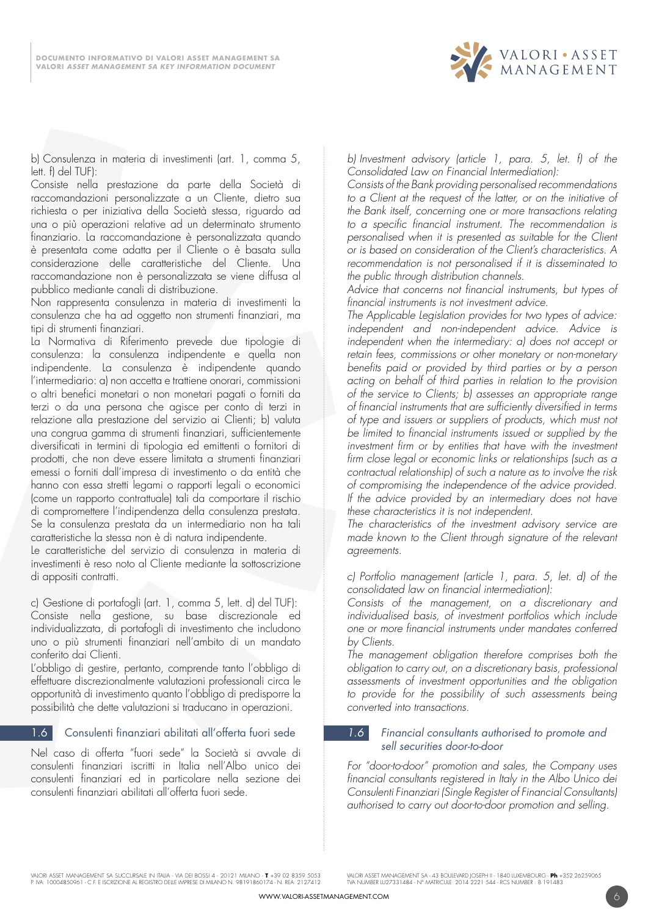

b) Consulenza in materia di investimenti (art. 1, comma 5, lett. f) del TUF):

Consiste nella prestazione da parte della Società di raccomandazioni personalizzate a un Cliente, dietro sua richiesta o per iniziativa della Società stessa, riguardo ad una o più operazioni relative ad un determinato strumento finanziario. La raccomandazione è personalizzata quando è presentata come adatta per il Cliente o è basata sulla considerazione delle caratteristiche del Cliente. Una raccomandazione non è personalizzata se viene diffusa al pubblico mediante canali di distribuzione.

Non rappresenta consulenza in materia di investimenti la consulenza che ha ad oggetto non strumenti finanziari, ma tipi di strumenti finanziari.

La Normativa di Riferimento prevede due tipologie di consulenza: la consulenza indipendente e quella non indipendente. La consulenza è indipendente quando l'intermediario: a) non accetta e trattiene onorari, commissioni o altri benefici monetari o non monetari pagati o forniti da terzi o da una persona che agisce per conto di terzi in relazione alla prestazione del servizio ai Clienti; b) valuta una congrua gamma di strumenti finanziari, sufficientemente diversificati in termini di tipologia ed emittenti o fornitori di prodotti, che non deve essere limitata a strumenti finanziari emessi o forniti dall'impresa di investimento o da entità che hanno con essa stretti legami o rapporti legali o economici (come un rapporto contrattuale) tali da comportare il rischio di compromettere l'indipendenza della consulenza prestata. Se la consulenza prestata da un intermediario non ha tali caratteristiche la stessa non è di natura indipendente.

Le caratteristiche del servizio di consulenza in materia di investimenti è reso noto al Cliente mediante la sottoscrizione di appositi contratti.

c) Gestione di portafogli (art. 1, comma 5, lett. d) del TUF): Consiste nella gestione, su base discrezionale ed individualizzata, di portafogli di investimento che includono uno o più strumenti finanziari nell'ambito di un mandato conferito dai Clienti.

L'obbligo di gestire, pertanto, comprende tanto l'obbligo di effettuare discrezionalmente valutazioni professionali circa le opportunità di investimento quanto l'obbligo di predisporre la possibilità che dette valutazioni si traducano in operazioni.

## 1.6 Consulenti finanziari abilitati all'offerta fuori sede

Nel caso di offerta "fuori sede" la Società si avvale di consulenti finanziari iscritti in Italia nell'Albo unico dei consulenti finanziari ed in particolare nella sezione dei consulenti finanziari abilitati all'offerta fuori sede.

*b) Investment advisory (article 1, para. 5, let. f) of the Consolidated Law on Financial Intermediation):*

*Consists of the Bank providing personalised recommendations*  to a Client at the request of the latter, or on the initiative of *the Bank itself, concerning one or more transactions relating to a specific financial instrument. The recommendation is personalised when it is presented as suitable for the Client or is based on consideration of the Client's characteristics. A recommendation is not personalised if it is disseminated to the public through distribution channels.*

*Advice that concerns not financial instruments, but types of financial instruments is not investment advice.*

*The Applicable Legislation provides for two types of advice: independent and non-independent advice. Advice is independent when the intermediary: a) does not accept or retain fees, commissions or other monetary or non-monetary benefits paid or provided by third parties or by a person acting on behalf of third parties in relation to the provision of the service to Clients; b) assesses an appropriate range of financial instruments that are sufficiently diversified in terms of type and issuers or suppliers of products, which must not be limited to financial instruments issued or supplied by the*  investment firm or by entities that have with the investment *firm close legal or economic links or relationships (such as a contractual relationship) of such a nature as to involve the risk of compromising the independence of the advice provided. If the advice provided by an intermediary does not have these characteristics it is not independent.*

*The characteristics of the investment advisory service are made known to the Client through signature of the relevant agreements.*

*c) Portfolio management (article 1, para. 5, let. d) of the consolidated law on financial intermediation):*

*Consists of the management, on a discretionary and individualised basis, of investment portfolios which include one or more financial instruments under mandates conferred by Clients.*

*The management obligation therefore comprises both the obligation to carry out, on a discretionary basis, professional assessments of investment opportunities and the obligation to provide for the possibility of such assessments being converted into transactions.*

# *1.6 Financial consultants authorised to promote and sell securities door-to-door*

*For "door-to-door" promotion and sales, the Company uses financial consultants registered in Italy in the Albo Unico dei Consulenti Finanziari (Single Register of Financial Consultants) authorised to carry out door-to-door promotion and selling.*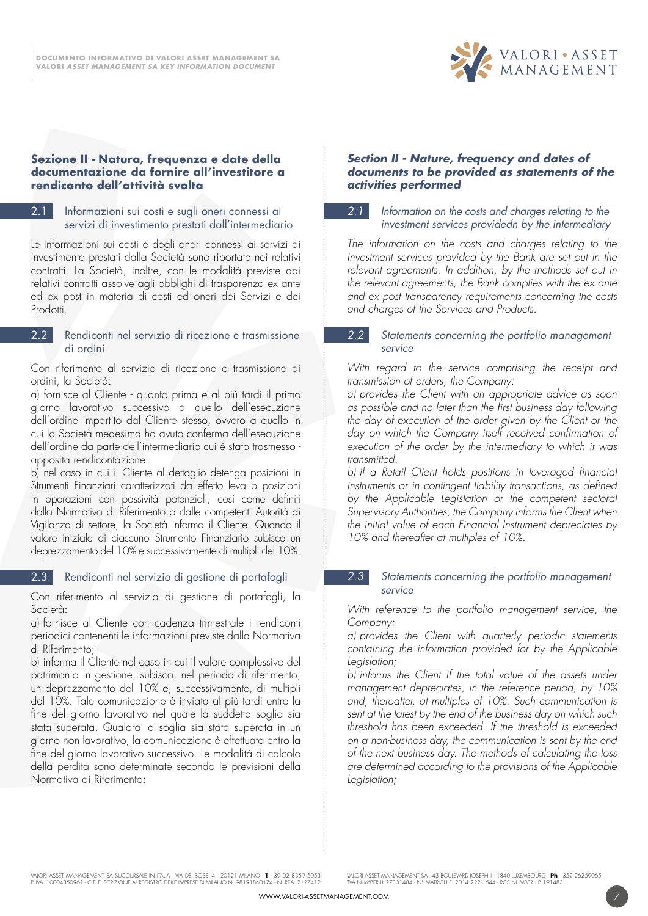

#### **Sezione II - Natura, frequenza e date della documentazione da fornire all'investitore a rendiconto dell'attività svolta**

#### 2.1 Informazioni sui costi e sugli oneri connessi ai servizi di investimento prestati dall'intermediario

Le informazioni sui costi e degli oneri connessi ai servizi di investimento prestati dalla Società sono riportate nei relativi contratti. La Società, inoltre, con le modalità previste dai relativi contratti assolve agli obblighi di trasparenza ex ante ed ex post in materia di costi ed oneri dei Servizi e dei Prodotti.

#### 2.2 Rendiconti nel servizio di ricezione e trasmissione di ordini

Con riferimento al servizio di ricezione e trasmissione di ordini, la Società:

a) fornisce al Cliente - quanto prima e al più tardi il primo giorno lavorativo successivo a quello dell'esecuzione dell'ordine impartito dal Cliente stesso, ovvero a quello in cui la Società medesima ha avuto conferma dell'esecuzione dell'ordine da parte dell'intermediario cui è stato trasmesso apposita rendicontazione.

b) nel caso in cui il Cliente al dettaglio detenga posizioni in Strumenti Finanziari caratterizzati da effetto leva o posizioni in operazioni con passività potenziali, così come definiti dalla Normativa di Riferimento o dalle competenti Autorità di Vigilanza di settore, la Società informa il Cliente. Quando il valore iniziale di ciascuno Strumento Finanziario subisce un deprezzamento del 10% e successivamente di multipli del 10%.

# 2.3 Rendiconti nel servizio di gestione di portafogli

Con riferimento al servizio di gestione di portafogli, la Società:

a) fornisce al Cliente con cadenza trimestrale i rendiconti periodici contenenti le informazioni previste dalla Normativa di Riferimento;

b) informa il Cliente nel caso in cui il valore complessivo del patrimonio in gestione, subisca, nel periodo di riferimento, un deprezzamento del 10% e, successivamente, di multipli del 10%. Tale comunicazione è inviata al più tardi entro la fine del giorno lavorativo nel quale la suddetta soglia sia stata superata. Qualora la soglia sia stata superata in un giorno non lavorativo, la comunicazione è effettuata entro la fine del giorno lavorativo successivo. Le modalità di calcolo della perdita sono determinate secondo le previsioni della Normativa di Riferimento;

#### *Section II - Nature, frequency and dates of documents to be provided as statements of the activities performed*

## *2.1 Information on the costs and charges relating to the investment services providedn by the intermediary*

*The information on the costs and charges relating to the investment services provided by the Bank are set out in the relevant agreements. In addition, by the methods set out in the relevant agreements, the Bank complies with the ex ante and ex post transparency requirements concerning the costs and charges of the Services and Products.*

## *2.2 Statements concerning the portfolio management service*

*With regard to the service comprising the receipt and transmission of orders, the Company:*

*a) provides the Client with an appropriate advice as soon as possible and no later than the first business day following the day of execution of the order given by the Client or the day on which the Company itself received confirmation of execution of the order by the intermediary to which it was transmitted.*

*b) if a Retail Client holds positions in leveraged financial instruments or in contingent liability transactions, as defined by the Applicable Legislation or the competent sectoral Supervisory Authorities, the Company informs the Client when the initial value of each Financial Instrument depreciates by 10% and thereafter at multiples of 10%.*

#### *2.3 Statements concerning the portfolio management service*

*With reference to the portfolio management service, the Company:*

*a) provides the Client with quarterly periodic statements containing the information provided for by the Applicable Legislation;*

*b) informs the Client if the total value of the assets under management depreciates, in the reference period, by 10% and, thereafter, at multiples of 10%. Such communication is sent at the latest by the end of the business day on which such threshold has been exceeded. If the threshold is exceeded on a non-business day, the communication is sent by the end of the next business day. The methods of calculating the loss are determined according to the provisions of the Applicable Legislation;*

VALORI ASSET MANAGEMENT SA SUCCURSALE IN ITALIA - VIA DEI BOSSI 4 - 20121 MILANO - **T** +39 02 8359 5053 P. IVA: 10004850961 - C.F. E ISCRIZIONE AL REGISTRO DELLE IMPRESE DI MILANO N. 98191860174 - N. REA: 2127412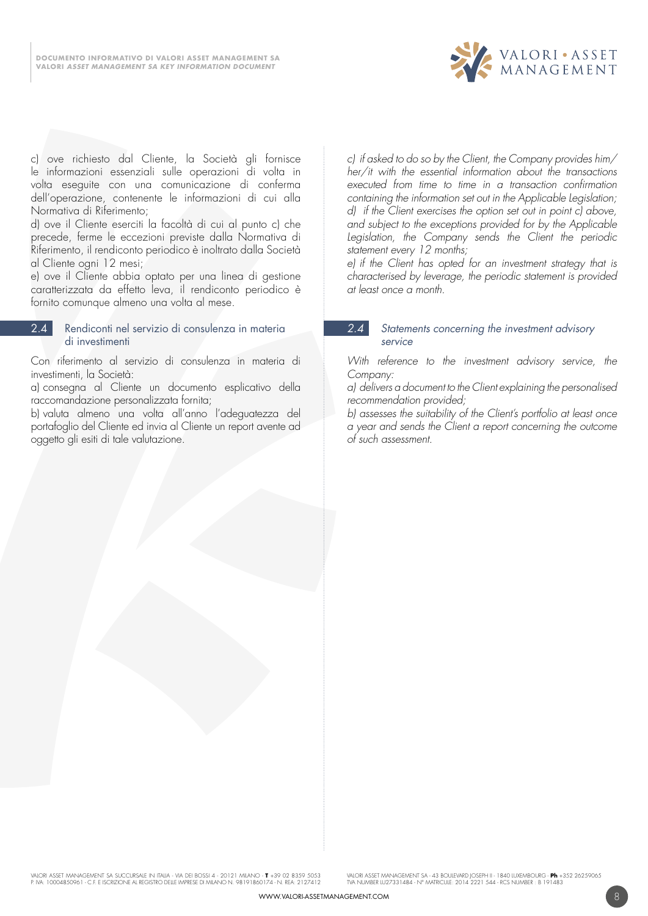

c) ove richiesto dal Cliente, la Società gli fornisce le informazioni essenziali sulle operazioni di volta in volta eseguite con una comunicazione di conferma dell'operazione, contenente le informazioni di cui alla Normativa di Riferimento;

d) ove il Cliente eserciti la facoltà di cui al punto c) che precede, ferme le eccezioni previste dalla Normativa di Riferimento, il rendiconto periodico è inoltrato dalla Società al Cliente ogni 12 mesi;

e) ove il Cliente abbia optato per una linea di gestione caratterizzata da effetto leva, il rendiconto periodico è fornito comunque almeno una volta al mese.

#### 2.4 Rendiconti nel servizio di consulenza in materia di investimenti

Con riferimento al servizio di consulenza in materia di investimenti, la Società:

a) consegna al Cliente un documento esplicativo della raccomandazione personalizzata fornita;

b) valuta almeno una volta all'anno l'adeguatezza del portafoglio del Cliente ed invia al Cliente un report avente ad oggetto gli esiti di tale valutazione.

*c) if asked to do so by the Client, the Company provides him/ her/it with the essential information about the transactions executed from time to time in a transaction confirmation containing the information set out in the Applicable Legislation; d) if the Client exercises the option set out in point c) above, and subject to the exceptions provided for by the Applicable Legislation, the Company sends the Client the periodic statement every 12 months;*

*e) if the Client has opted for an investment strategy that is characterised by leverage, the periodic statement is provided at least once a month.*

#### *2.4 Statements concerning the investment advisory service*

With reference to the investment advisory service, the *Company:*

*a) delivers a document to the Client explaining the personalised recommendation provided;*

*b) assesses the suitability of the Client's portfolio at least once a year and sends the Client a report concerning the outcome of such assessment.*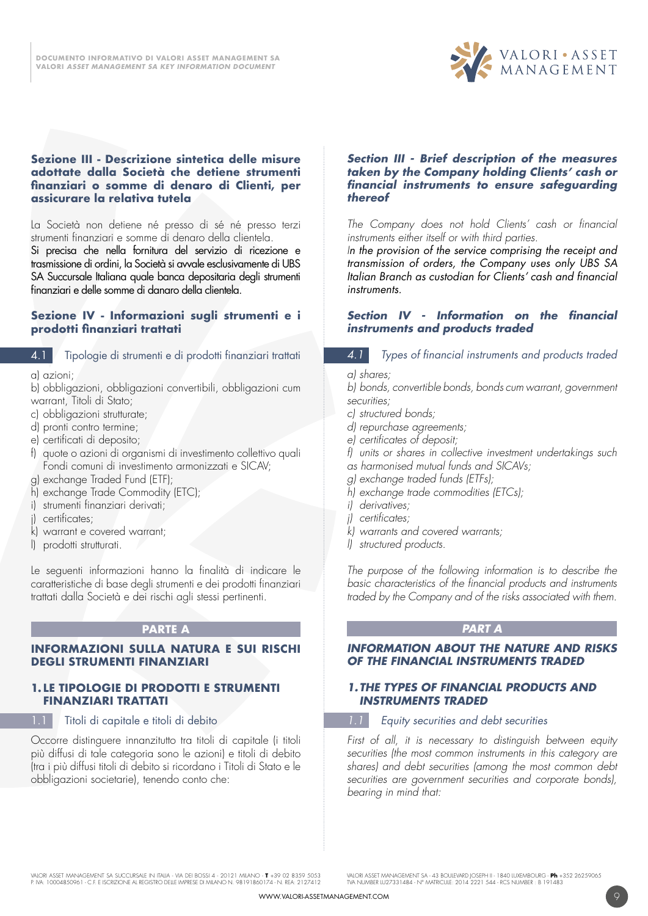

## **Sezione III - Descrizione sintetica delle misure adottate dalla Società che detiene strumenti finanziari o somme di denaro di Clienti, per assicurare la relativa tutela**

La Società non detiene né presso di sé né presso terzi strumenti finanziari e somme di denaro della clientela. Si precisa che nella fornitura del servizio di ricezione e trasmissione di ordini, la Società si avvale esclusivamente di UBS SA Succursale Italiana quale banca depositaria degli strumenti finanziari e delle somme di danaro della clientela.

# **Sezione IV - Informazioni sugli strumenti e i prodotti finanziari trattati**

# 4.1 Tipologie di strumenti e di prodotti finanziari trattati

#### a) azioni;

b) obbligazioni, obbligazioni convertibili, obbligazioni cum warrant, Titoli di Stato;

- c) obbligazioni strutturate;
- d) pronti contro termine;
- e) certificati di deposito;
- f) quote o azioni di organismi di investimento collettivo quali Fondi comuni di investimento armonizzati e SICAV;
- g) exchange Traded Fund (ETF);
- h) exchange Trade Commodity (ETC);
- i) strumenti finanziari derivati;
- j) certificates;
- k) warrant e covered warrant;
- l) prodotti strutturati.

Le seguenti informazioni hanno la finalità di indicare le caratteristiche di base degli strumenti e dei prodotti finanziari trattati dalla Società e dei rischi agli stessi pertinenti.

#### **PARTE A**

## **INFORMAZIONI SULLA NATURA E SUI RISCHI DEGLI STRUMENTI FINANZIARI**

# **1. LE TIPOLOGIE DI PRODOTTI E STRUMENTI FINANZIARI TRATTATI**

1.1 Titoli di capitale e titoli di debito

Occorre distinguere innanzitutto tra titoli di capitale (i titoli più diffusi di tale categoria sono le azioni) e titoli di debito (tra i più diffusi titoli di debito si ricordano i Titoli di Stato e le obbligazioni societarie), tenendo conto che:

#### *Section III - Brief description of the measures taken by the Company holding Clients' cash or financial instruments to ensure safeguarding thereof*

*The Company does not hold Clients' cash or financial instruments either itself or with third parties.*

*In the provision of the service comprising the receipt and transmission of orders, the Company uses only UBS SA Italian Branch as custodian for Clients' cash and financial instruments.*

## *Section IV - Information on the financial instruments and products traded*

# *4.1 Types of financial instruments and products traded*

*a) shares;*

*b) bonds, convertible bonds, bonds cum warrant, government securities;*

- *c) structured bonds;*
- *d) repurchase agreements;*
- *e) certificates of deposit;*
- *f) units or shares in collective investment undertakings such as harmonised mutual funds and SICAVs;*
- *g) exchange traded funds (ETFs);*
- *h) exchange trade commodities (ETCs);*
- *i) derivatives;*
- *j) certificates;*
- *k) warrants and covered warrants;*
- *l) structured products.*

*The purpose of the following information is to describe the basic characteristics of the financial products and instruments traded by the Company and of the risks associated with them.*

#### *PART A*

*INFORMATION ABOUT THE NATURE AND RISKS OF THE FINANCIAL INSTRUMENTS TRADED*

#### *1.THE TYPES OF FINANCIAL PRODUCTS AND INSTRUMENTS TRADED*

#### *1.1 Equity securities and debt securities*

*First of all, it is necessary to distinguish between equity securities (the most common instruments in this category are shares) and debt securities (among the most common debt securities are government securities and corporate bonds), bearing in mind that:*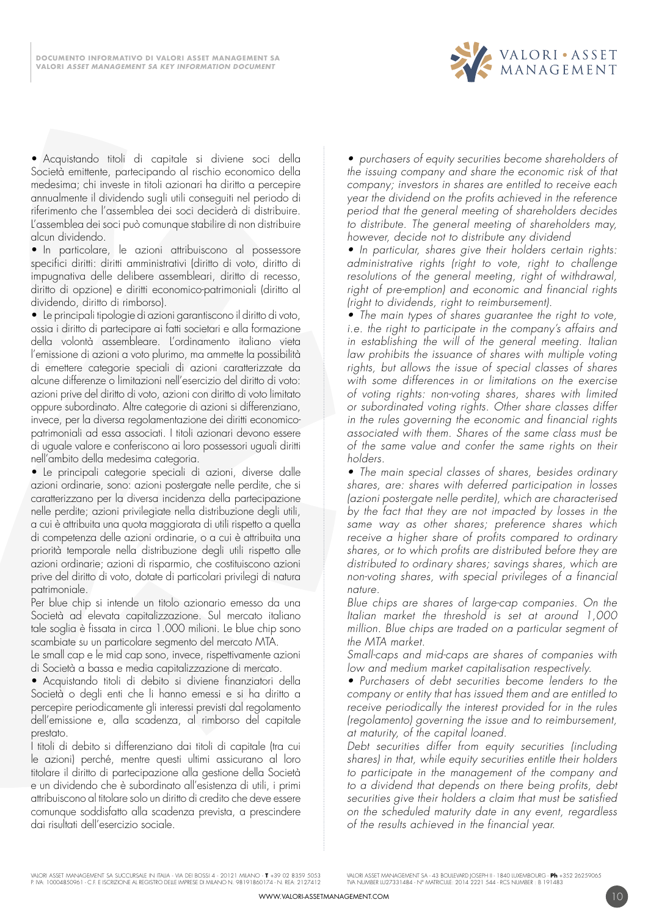

• Acquistando titoli di capitale si diviene soci della Società emittente, partecipando al rischio economico della medesima; chi investe in titoli azionari ha diritto a percepire annualmente il dividendo sugli utili conseguiti nel periodo di riferimento che l'assemblea dei soci deciderà di distribuire. L'assemblea dei soci può comunque stabilire di non distribuire alcun dividendo.

• In particolare, le azioni attribuiscono al possessore specifici diritti: diritti amministrativi (diritto di voto, diritto di impugnativa delle delibere assembleari, diritto di recesso, diritto di opzione) e diritti economico-patrimoniali (diritto al dividendo, diritto di rimborso).

• Le principali tipologie di azioni garantiscono il diritto di voto, ossia i diritto di partecipare ai fatti societari e alla formazione della volontà assembleare. L'ordinamento italiano vieta l'emissione di azioni a voto plurimo, ma ammette la possibilità di emettere categorie speciali di azioni caratterizzate da alcune differenze o limitazioni nell'esercizio del diritto di voto: azioni prive del diritto di voto, azioni con diritto di voto limitato oppure subordinato. Altre categorie di azioni si differenziano, invece, per la diversa regolamentazione dei diritti economicopatrimoniali ad essa associati. I titoli azionari devono essere di uguale valore e conferiscono ai loro possessori uguali diritti nell'ambito della medesima categoria.

• Le principali categorie speciali di azioni, diverse dalle azioni ordinarie, sono: azioni postergate nelle perdite, che si caratterizzano per la diversa incidenza della partecipazione nelle perdite; azioni privilegiate nella distribuzione degli utili, a cui è attribuita una quota maggiorata di utili rispetto a quella di competenza delle azioni ordinarie, o a cui è attribuita una priorità temporale nella distribuzione degli utili rispetto alle azioni ordinarie; azioni di risparmio, che costituiscono azioni prive del diritto di voto, dotate di particolari privilegi di natura patrimoniale.

Per blue chip si intende un titolo azionario emesso da una Società ad elevata capitalizzazione. Sul mercato italiano tale soglia è fissata in circa 1.000 milioni. Le blue chip sono scambiate su un particolare segmento del mercato MTA.

Le small cap e le mid cap sono, invece, rispettivamente azioni di Società a bassa e media capitalizzazione di mercato.

• Acquistando titoli di debito si diviene finanziatori della Società o degli enti che li hanno emessi e si ha diritto a percepire periodicamente gli interessi previsti dal regolamento dell'emissione e, alla scadenza, al rimborso del capitale prestato.

I titoli di debito si differenziano dai titoli di capitale (tra cui le azioni) perché, mentre questi ultimi assicurano al loro titolare il diritto di partecipazione alla gestione della Società e un dividendo che è subordinato all'esistenza di utili, i primi attribuiscono al titolare solo un diritto di credito che deve essere comunque soddisfatto alla scadenza prevista, a prescindere dai risultati dell'esercizio sociale.

*• purchasers of equity securities become shareholders of the issuing company and share the economic risk of that company; investors in shares are entitled to receive each year the dividend on the profits achieved in the reference period that the general meeting of shareholders decides to distribute. The general meeting of shareholders may, however, decide not to distribute any dividend*

*• In particular, shares give their holders certain rights: administrative rights (right to vote, right to challenge resolutions of the general meeting, right of withdrawal, right of pre-emption) and economic and financial rights (right to dividends, right to reimbursement).*

*• The main types of shares guarantee the right to vote, i.e. the right to participate in the company's affairs and in establishing the will of the general meeting. Italian*  law prohibits the issuance of shares with multiple voting *rights, but allows the issue of special classes of shares with some differences in or limitations on the exercise of voting rights: non-voting shares, shares with limited or subordinated voting rights. Other share classes differ in the rules governing the economic and financial rights associated with them. Shares of the same class must be of the same value and confer the same rights on their holders.*

*• The main special classes of shares, besides ordinary shares, are: shares with deferred participation in losses (azioni postergate nelle perdite), which are characterised by the fact that they are not impacted by losses in the same way as other shares; preference shares which receive a higher share of profits compared to ordinary shares, or to which profits are distributed before they are distributed to ordinary shares; savings shares, which are non-voting shares, with special privileges of a financial nature.*

*Blue chips are shares of large-cap companies. On the Italian market the threshold is set at around 1,000 million. Blue chips are traded on a particular segment of the MTA market.*

*Small-caps and mid-caps are shares of companies with low and medium market capitalisation respectively.* 

*• Purchasers of debt securities become lenders to the company or entity that has issued them and are entitled to receive periodically the interest provided for in the rules (regolamento) governing the issue and to reimbursement, at maturity, of the capital loaned.*

*Debt securities differ from equity securities (including shares) in that, while equity securities entitle their holders to participate in the management of the company and to a dividend that depends on there being profits, debt securities give their holders a claim that must be satisfied on the scheduled maturity date in any event, regardless of the results achieved in the financial year.*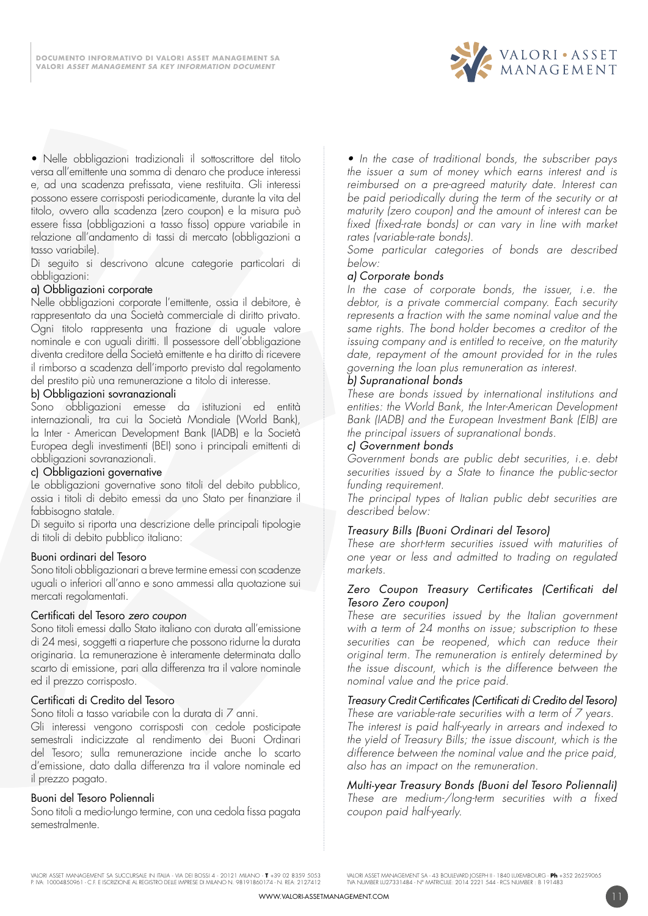

• Nelle obbligazioni tradizionali il sottoscrittore del titolo versa all'emittente una somma di denaro che produce interessi e, ad una scadenza prefissata, viene restituita. Gli interessi possono essere corrisposti periodicamente, durante la vita del titolo, ovvero alla scadenza (zero coupon) e la misura può essere fissa (obbligazioni a tasso fisso) oppure variabile in relazione all'andamento di tassi di mercato (obbligazioni a tasso variabile).

Di seguito si descrivono alcune categorie particolari di obbligazioni:

## a) Obbligazioni corporate

Nelle obbligazioni corporate l'emittente, ossia il debitore, è rappresentato da una Società commerciale di diritto privato. Ogni titolo rappresenta una frazione di uguale valore nominale e con uguali diritti. Il possessore dell'obbligazione diventa creditore della Società emittente e ha diritto di ricevere il rimborso a scadenza dell'importo previsto dal regolamento del prestito più una remunerazione a titolo di interesse.

#### b) Obbligazioni sovranazionali

Sono obbligazioni emesse da istituzioni ed entità internazionali, tra cui la Società Mondiale (World Bank), la Inter - American Development Bank (IADB) e la Società Europea degli investimenti (BEI) sono i principali emittenti di obbligazioni sovranazionali.

#### c) Obbligazioni governative

Le obbligazioni governative sono titoli del debito pubblico, ossia i titoli di debito emessi da uno Stato per finanziare il fabbisogno statale.

Di seguito si riporta una descrizione delle principali tipologie di titoli di debito pubblico italiano:

## Buoni ordinari del Tesoro

Sono titoli obbligazionari a breve termine emessi con scadenze uguali o inferiori all'anno e sono ammessi alla quotazione sui mercati regolamentati.

#### Certificati del Tesoro *zero coupon*

Sono titoli emessi dallo Stato italiano con durata all'emissione di 24 mesi, soggetti a riaperture che possono ridurne la durata originaria. La remunerazione è interamente determinata dallo scarto di emissione, pari alla differenza tra il valore nominale ed il prezzo corrisposto.

# Certificati di Credito del Tesoro

Sono titoli a tasso variabile con la durata di 7 anni.

Gli interessi vengono corrisposti con cedole posticipate semestrali indicizzate al rendimento dei Buoni Ordinari del Tesoro; sulla remunerazione incide anche lo scarto d'emissione, dato dalla differenza tra il valore nominale ed il prezzo pagato.

## Buoni del Tesoro Poliennali

Sono titoli a medio-lungo termine, con una cedola fissa pagata semestralmente.

*• In the case of traditional bonds, the subscriber pays the issuer a sum of money which earns interest and is reimbursed on a pre-agreed maturity date. Interest can be paid periodically during the term of the security or at maturity (zero coupon) and the amount of interest can be fixed (fixed-rate bonds) or can vary in line with market rates (variable-rate bonds).* 

*Some particular categories of bonds are described below:*

## *a) Corporate bonds*

*In the case of corporate bonds, the issuer, i.e. the debtor, is a private commercial company. Each security represents a fraction with the same nominal value and the same rights. The bond holder becomes a creditor of the issuing company and is entitled to receive, on the maturity date, repayment of the amount provided for in the rules governing the loan plus remuneration as interest.*

## *b) Supranational bonds*

*These are bonds issued by international institutions and entities: the World Bank, the Inter-American Development Bank (IADB) and the European Investment Bank (EIB) are the principal issuers of supranational bonds.*

## *c) Government bonds*

*Government bonds are public debt securities, i.e. debt securities issued by a State to finance the public-sector funding requirement.*

*The principal types of Italian public debt securities are described below:* 

## *Treasury Bills (Buoni Ordinari del Tesoro)*

*These are short-term securities issued with maturities of one year or less and admitted to trading on regulated markets.* 

## *Zero Coupon Treasury Certificates (Certificati del Tesoro Zero coupon)*

*These are securities issued by the Italian government with a term of 24 months on issue; subscription to these securities can be reopened, which can reduce their original term. The remuneration is entirely determined by the issue discount, which is the difference between the nominal value and the price paid.*

# *Treasury Credit Certificates (Certificati di Credito del Tesoro)*

*These are variable-rate securities with a term of 7 years. The interest is paid half-yearly in arrears and indexed to the yield of Treasury Bills; the issue discount, which is the difference between the nominal value and the price paid, also has an impact on the remuneration.*

*Multi-year Treasury Bonds (Buoni del Tesoro Poliennali) These are medium-/long-term securities with a fixed coupon paid half-yearly.*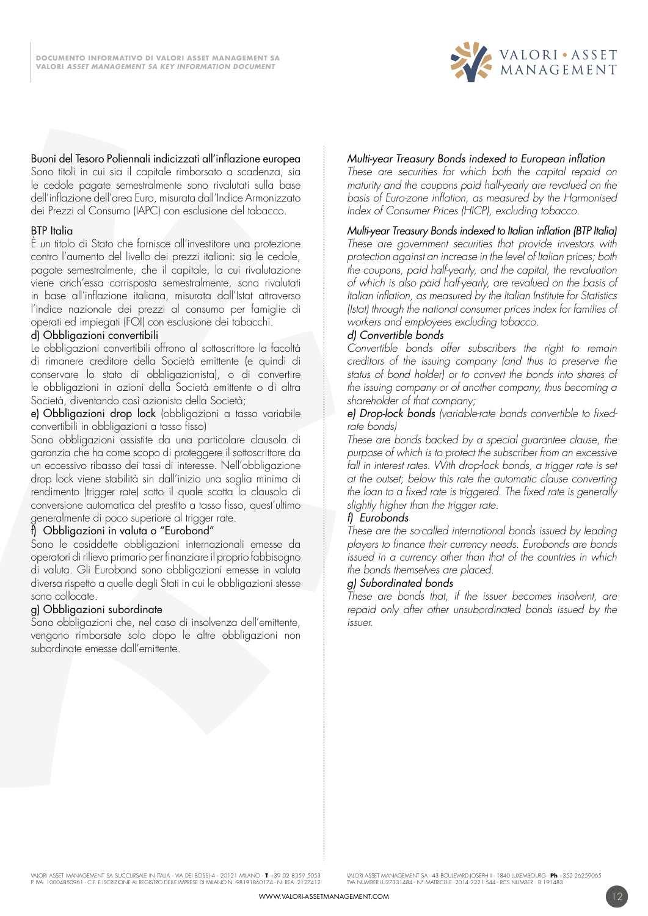

# Buoni del Tesoro Poliennali indicizzati all'inflazione europea

Sono titoli in cui sia il capitale rimborsato a scadenza, sia le cedole pagate semestralmente sono rivalutati sulla base dell'inflazione dell'area Euro, misurata dall'Indice Armonizzato dei Prezzi al Consumo (IAPC) con esclusione del tabacco.

## BTP Italia

È un titolo di Stato che fornisce all'investitore una protezione contro l'aumento del livello dei prezzi italiani: sia le cedole, pagate semestralmente, che il capitale, la cui rivalutazione viene anch'essa corrisposta semestralmente, sono rivalutati in base all'inflazione italiana, misurata dall'Istat attraverso l'indice nazionale dei prezzi al consumo per famiglie di operati ed impiegati (FOI) con esclusione dei tabacchi.

## d) Obbligazioni convertibili

Le obbligazioni convertibili offrono al sottoscrittore la facoltà di rimanere creditore della Società emittente (e quindi di conservare lo stato di obbligazionista), o di convertire le obbligazioni in azioni della Società emittente o di altra Società, diventando così azionista della Società;

e) Obbligazioni drop lock (obbligazioni a tasso variabile convertibili in obbligazioni a tasso fisso)

Sono obbligazioni assistite da una particolare clausola di garanzia che ha come scopo di proteggere il sottoscrittore da un eccessivo ribasso dei tassi di interesse. Nell'obbligazione drop lock viene stabilità sin dall'inizio una soglia minima di rendimento (trigger rate) sotto il quale scatta la clausola di conversione automatica del prestito a tasso fisso, quest'ultimo generalmente di poco superiore al trigger rate.

## f) Obbligazioni in valuta o "Eurobond"

Sono le cosiddette obbligazioni internazionali emesse da operatori di rilievo primario per finanziare il proprio fabbisogno di valuta. Gli Eurobond sono obbligazioni emesse in valuta diversa rispetto a quelle degli Stati in cui le obbligazioni stesse sono collocate.

#### g) Obbligazioni subordinate

Sono obbligazioni che, nel caso di insolvenza dell'emittente, vengono rimborsate solo dopo le altre obbligazioni non subordinate emesse dall'emittente.

# *Multi-year Treasury Bonds indexed to European inflation*

*These are securities for which both the capital repaid on maturity and the coupons paid half-yearly are revalued on the basis of Euro-zone inflation, as measured by the Harmonised Index of Consumer Prices (HICP), excluding tobacco.*

## *Multi-year Treasury Bonds indexed to Italian inflation (BTP Italia)*

*These are government securities that provide investors with protection against an increase in the level of Italian prices; both the coupons, paid half-yearly, and the capital, the revaluation of which is also paid half-yearly, are revalued on the basis of Italian inflation, as measured by the Italian Institute for Statistics (Istat) through the national consumer prices index for families of workers and employees excluding tobacco.*

# *d) Convertible bonds*

*Convertible bonds offer subscribers the right to remain creditors of the issuing company (and thus to preserve the status of bond holder) or to convert the bonds into shares of the issuing company or of another company, thus becoming a shareholder of that company;*

*e) Drop-lock bonds (variable-rate bonds convertible to fixedrate bonds)*

*These are bonds backed by a special guarantee clause, the purpose of which is to protect the subscriber from an excessive*  fall in interest rates. With drop-lock bonds, a trigger rate is set *at the outset; below this rate the automatic clause converting the loan to a fixed rate is triggered. The fixed rate is generally slightly higher than the trigger rate.*

# *f) Eurobonds*

These are the so-called international bonds issued by leading *players to finance their currency needs. Eurobonds are bonds issued in a currency other than that of the countries in which the bonds themselves are placed.*

## *g) Subordinated bonds*

*These are bonds that, if the issuer becomes insolvent, are repaid only after other unsubordinated bonds issued by the issuer.*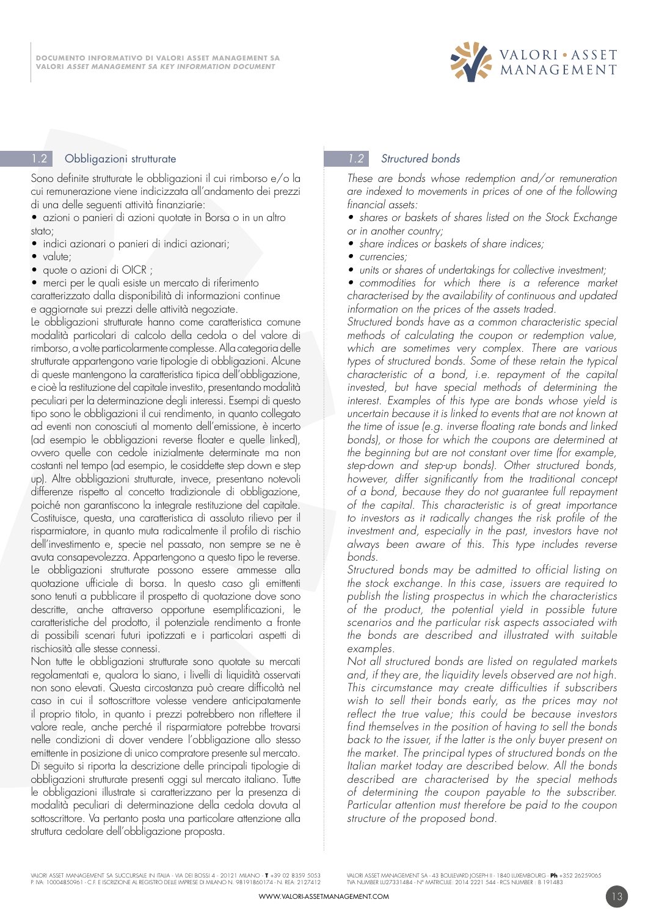

# 1.2 Obbligazioni strutturate

Sono definite strutturate le obbligazioni il cui rimborso e/o la cui remunerazione viene indicizzata all'andamento dei prezzi di una delle seguenti attività finanziarie:

• azioni o panieri di azioni quotate in Borsa o in un altro stato;

- indici azionari o panieri di indici azionari;
- valute:
- quote o azioni di OICR ;

• merci per le quali esiste un mercato di riferimento caratterizzato dalla disponibilità di informazioni continue e aggiornate sui prezzi delle attività negoziate.

Le obbligazioni strutturate hanno come caratteristica comune modalità particolari di calcolo della cedola o del valore di rimborso, a volte particolarmente complesse. Alla categoria delle strutturate appartengono varie tipologie di obbligazioni. Alcune di queste mantengono la caratteristica tipica dell'obbligazione, e cioè la restituzione del capitale investito, presentando modalità peculiari per la determinazione degli interessi. Esempi di questo tipo sono le obbligazioni il cui rendimento, in quanto collegato ad eventi non conosciuti al momento dell'emissione, è incerto (ad esempio le obbligazioni reverse floater e quelle linked), ovvero quelle con cedole inizialmente determinate ma non costanti nel tempo (ad esempio, le cosiddette step down e step up). Altre obbligazioni strutturate, invece, presentano notevoli differenze rispetto al concetto tradizionale di obbligazione, poiché non garantiscono la integrale restituzione del capitale. Costituisce, questa, una caratteristica di assoluto rilievo per il risparmiatore, in quanto muta radicalmente il profilo di rischio dell'investimento e, specie nel passato, non sempre se ne è avuta consapevolezza. Appartengono a questo tipo le reverse. Le obbligazioni strutturate possono essere ammesse alla quotazione ufficiale di borsa. In questo caso gli emittenti sono tenuti a pubblicare il prospetto di quotazione dove sono descritte, anche attraverso opportune esemplificazioni, le caratteristiche del prodotto, il potenziale rendimento a fronte di possibili scenari futuri ipotizzati e i particolari aspetti di rischiosità alle stesse connessi.

Non tutte le obbligazioni strutturate sono quotate su mercati regolamentati e, qualora lo siano, i livelli di liquidità osservati non sono elevati. Questa circostanza può creare difficoltà nel caso in cui il sottoscrittore volesse vendere anticipatamente il proprio titolo, in quanto i prezzi potrebbero non riflettere il valore reale, anche perché il risparmiatore potrebbe trovarsi nelle condizioni di dover vendere l'obbligazione allo stesso emittente in posizione di unico compratore presente sul mercato. Di seguito si riporta la descrizione delle principali tipologie di obbligazioni strutturate presenti oggi sul mercato italiano. Tutte le obbligazioni illustrate si caratterizzano per la presenza di modalità peculiari di determinazione della cedola dovuta al sottoscrittore. Va pertanto posta una particolare attenzione alla struttura cedolare dell'obbligazione proposta.

# *1.2 Structured bonds*

*These are bonds whose redemption and/or remuneration are indexed to movements in prices of one of the following financial assets:*

- *• shares or baskets of shares listed on the Stock Exchange or in another country;*
- *• share indices or baskets of share indices;*
- *• currencies;*
- *• units or shares of undertakings for collective investment;*

*• commodities for which there is a reference market characterised by the availability of continuous and updated information on the prices of the assets traded.*

*Structured bonds have as a common characteristic special methods of calculating the coupon or redemption value, which are sometimes very complex. There are various types of structured bonds. Some of these retain the typical characteristic of a bond, i.e. repayment of the capital invested, but have special methods of determining the interest. Examples of this type are bonds whose yield is uncertain because it is linked to events that are not known at the time of issue (e.g. inverse floating rate bonds and linked bonds), or those for which the coupons are determined at the beginning but are not constant over time (for example, step-down and step-up bonds). Other structured bonds, however, differ significantly from the traditional concept of a bond, because they do not guarantee full repayment of the capital. This characteristic is of great importance to investors as it radically changes the risk profile of the*  investment and, especially in the past, investors have not *always been aware of this. This type includes reverse bonds.*

*Structured bonds may be admitted to official listing on the stock exchange. In this case, issuers are required to publish the listing prospectus in which the characteristics of the product, the potential yield in possible future scenarios and the particular risk aspects associated with the bonds are described and illustrated with suitable examples.*

*Not all structured bonds are listed on regulated markets and, if they are, the liquidity levels observed are not high. This circumstance may create difficulties if subscribers wish to sell their bonds early, as the prices may not reflect the true value; this could be because investors find themselves in the position of having to sell the bonds back to the issuer, if the latter is the only buyer present on the market. The principal types of structured bonds on the Italian market today are described below. All the bonds described are characterised by the special methods of determining the coupon payable to the subscriber. Particular attention must therefore be paid to the coupon structure of the proposed bond.*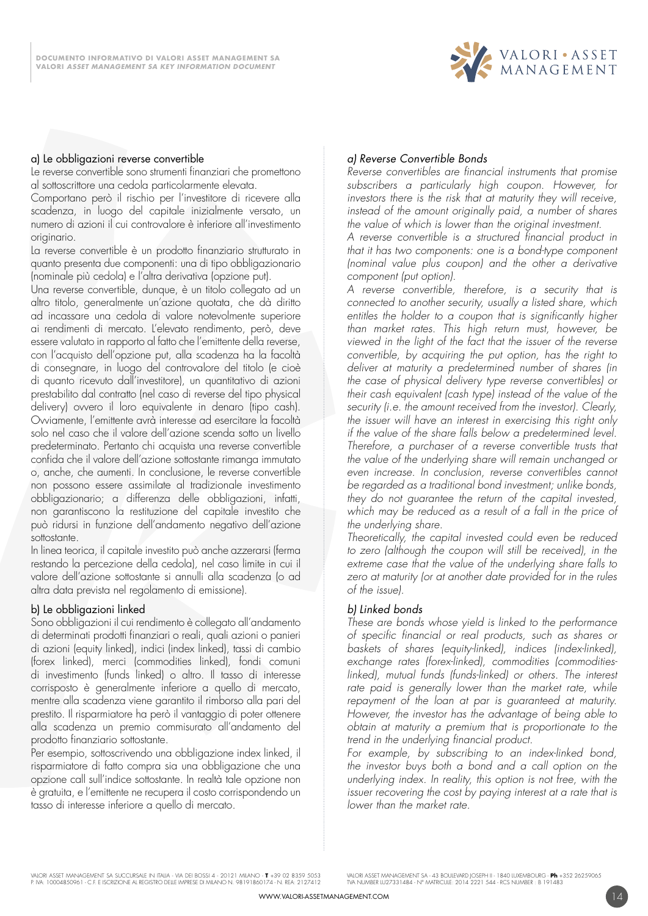

#### a) Le obbligazioni reverse convertible

Le reverse convertible sono strumenti finanziari che promettono al sottoscrittore una cedola particolarmente elevata.

Comportano però il rischio per l'investitore di ricevere alla scadenza, in luogo del capitale inizialmente versato, un numero di azioni il cui controvalore è inferiore all'investimento originario.

La reverse convertible è un prodotto finanziario strutturato in quanto presenta due componenti: una di tipo obbligazionario (nominale più cedola) e l'altra derivativa (opzione put).

Una reverse convertible, dunque, è un titolo collegato ad un altro titolo, generalmente un'azione quotata, che dà diritto ad incassare una cedola di valore notevolmente superiore ai rendimenti di mercato. L'elevato rendimento, però, deve essere valutato in rapporto al fatto che l'emittente della reverse, con l'acquisto dell'opzione put, alla scadenza ha la facoltà di consegnare, in luogo del controvalore del titolo (e cioè di quanto ricevuto dall'investitore), un quantitativo di azioni prestabilito dal contratto (nel caso di reverse del tipo physical delivery) ovvero il loro equivalente in denaro (tipo cash). Ovviamente, l'emittente avrà interesse ad esercitare la facoltà solo nel caso che il valore dell'azione scenda sotto un livello predeterminato. Pertanto chi acquista una reverse convertible confida che il valore dell'azione sottostante rimanga immutato o, anche, che aumenti. In conclusione, le reverse convertible non possono essere assimilate al tradizionale investimento obbligazionario; a differenza delle obbligazioni, infatti, non garantiscono la restituzione del capitale investito che può ridursi in funzione dell'andamento negativo dell'azione sottostante.

In linea teorica, il capitale investito può anche azzerarsi (ferma restando la percezione della cedola), nel caso limite in cui il valore dell'azione sottostante si annulli alla scadenza (o ad altra data prevista nel regolamento di emissione).

#### b) Le obbligazioni linked

Sono obbligazioni il cui rendimento è collegato all'andamento di determinati prodotti finanziari o reali, quali azioni o panieri di azioni (equity linked), indici (index linked), tassi di cambio (forex linked), merci (commodities linked), fondi comuni di investimento (funds linked) o altro. Il tasso di interesse corrisposto è generalmente inferiore a quello di mercato, mentre alla scadenza viene garantito il rimborso alla pari del prestito. Il risparmiatore ha però il vantaggio di poter ottenere alla scadenza un premio commisurato all'andamento del prodotto finanziario sottostante.

Per esempio, sottoscrivendo una obbligazione index linked, il risparmiatore di fatto compra sia una obbligazione che una opzione call sull'indice sottostante. In realtà tale opzione non è gratuita, e l'emittente ne recupera il costo corrispondendo un tasso di interesse inferiore a quello di mercato.

## *a) Reverse Convertible Bonds*

*Reverse convertibles are financial instruments that promise subscribers a particularly high coupon. However, for investors there is the risk that at maturity they will receive, instead of the amount originally paid, a number of shares the value of which is lower than the original investment.*

*A reverse convertible is a structured financial product in that it has two components: one is a bond-type component (nominal value plus coupon) and the other a derivative component (put option).*

*A reverse convertible, therefore, is a security that is connected to another security, usually a listed share, which entitles the holder to a coupon that is significantly higher than market rates. This high return must, however, be viewed in the light of the fact that the issuer of the reverse convertible, by acquiring the put option, has the right to deliver at maturity a predetermined number of shares (in the case of physical delivery type reverse convertibles) or their cash equivalent (cash type) instead of the value of the security (i.e. the amount received from the investor). Clearly, the issuer will have an interest in exercising this right only if the value of the share falls below a predetermined level. Therefore, a purchaser of a reverse convertible trusts that the value of the underlying share will remain unchanged or even increase. In conclusion, reverse convertibles cannot be regarded as a traditional bond investment; unlike bonds, they do not guarantee the return of the capital invested, which may be reduced as a result of a fall in the price of the underlying share.*

*Theoretically, the capital invested could even be reduced to zero (although the coupon will still be received), in the extreme case that the value of the underlying share falls to zero at maturity (or at another date provided for in the rules of the issue).* 

#### *b) Linked bonds*

*These are bonds whose yield is linked to the performance of specific financial or real products, such as shares or baskets of shares (equity-linked), indices (index-linked), exchange rates (forex-linked), commodities (commoditieslinked), mutual funds (funds-linked) or others. The interest*  rate paid is generally lower than the market rate, while *repayment of the loan at par is guaranteed at maturity. However, the investor has the advantage of being able to obtain at maturity a premium that is proportionate to the trend in the underlying financial product.* 

*For example, by subscribing to an index-linked bond, the investor buys both a bond and a call option on the underlying index. In reality, this option is not free, with the issuer recovering the cost by paying interest at a rate that is lower than the market rate.*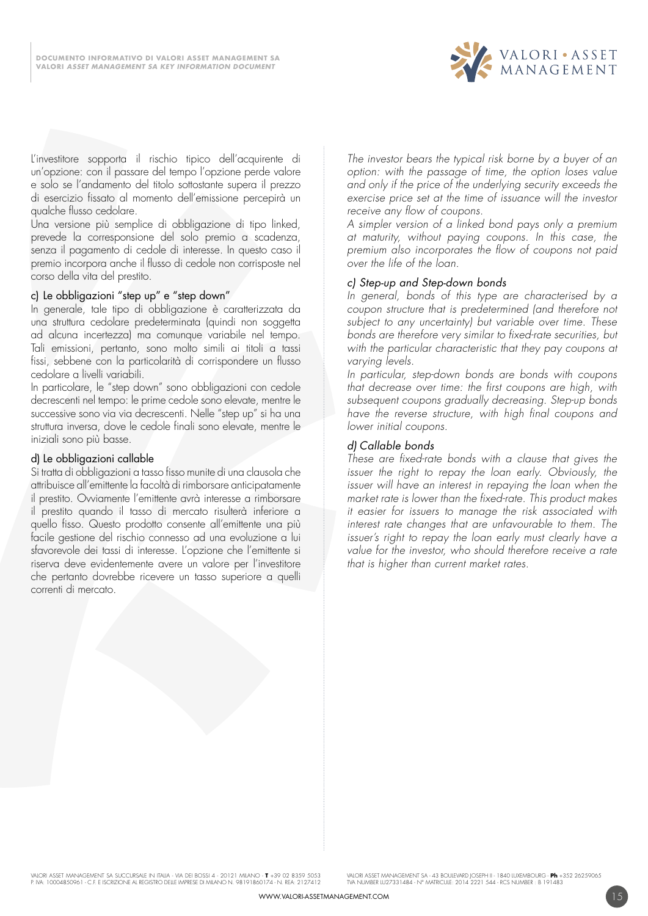

L'investitore sopporta il rischio tipico dell'acquirente di un'opzione: con il passare del tempo l'opzione perde valore e solo se l'andamento del titolo sottostante supera il prezzo di esercizio fissato al momento dell'emissione percepirà un qualche flusso cedolare.

Una versione più semplice di obbligazione di tipo linked, prevede la corresponsione del solo premio a scadenza, senza il pagamento di cedole di interesse. In questo caso il premio incorpora anche il flusso di cedole non corrisposte nel corso della vita del prestito.

## c) Le obbligazioni "step up" e "step down"

In generale, tale tipo di obbligazione è caratterizzata da una struttura cedolare predeterminata (quindi non soggetta ad alcuna incertezza) ma comunque variabile nel tempo. Tali emissioni, pertanto, sono molto simili ai titoli a tassi fissi, sebbene con la particolarità di corrispondere un flusso cedolare a livelli variabili.

In particolare, le "step down" sono obbligazioni con cedole decrescenti nel tempo: le prime cedole sono elevate, mentre le successive sono via via decrescenti. Nelle "step up" si ha una struttura inversa, dove le cedole finali sono elevate, mentre le iniziali sono più basse.

# d) Le obbligazioni callable

Si tratta di obbligazioni a tasso fisso munite di una clausola che attribuisce all'emittente la facoltà di rimborsare anticipatamente il prestito. Ovviamente l'emittente avrà interesse a rimborsare il prestito quando il tasso di mercato risulterà inferiore a quello fisso. Questo prodotto consente all'emittente una più facile gestione del rischio connesso ad una evoluzione a lui sfavorevole dei tassi di interesse. L'opzione che l'emittente si riserva deve evidentemente avere un valore per l'investitore che pertanto dovrebbe ricevere un tasso superiore a quelli correnti di mercato.

*The investor bears the typical risk borne by a buyer of an option: with the passage of time, the option loses value and only if the price of the underlying security exceeds the exercise price set at the time of issuance will the investor receive any flow of coupons.*

*A simpler version of a linked bond pays only a premium at maturity, without paying coupons. In this case, the premium also incorporates the flow of coupons not paid over the life of the loan.*

## *c) Step-up and Step-down bonds*

*In general, bonds of this type are characterised by a coupon structure that is predetermined (and therefore not subject to any uncertainty) but variable over time. These bonds are therefore very similar to fixed-rate securities, but with the particular characteristic that they pay coupons at varying levels.*

*In particular, step-down bonds are bonds with coupons that decrease over time: the first coupons are high, with subsequent coupons gradually decreasing. Step-up bonds have the reverse structure, with high final coupons and lower initial coupons.*

# *d) Callable bonds*

*These are fixed-rate bonds with a clause that gives the issuer the right to repay the loan early. Obviously, the issuer will have an interest in repaying the loan when the market rate is lower than the fixed-rate. This product makes it easier for issuers to manage the risk associated with interest rate changes that are unfavourable to them. The issuer's right to repay the loan early must clearly have a value for the investor, who should therefore receive a rate that is higher than current market rates.*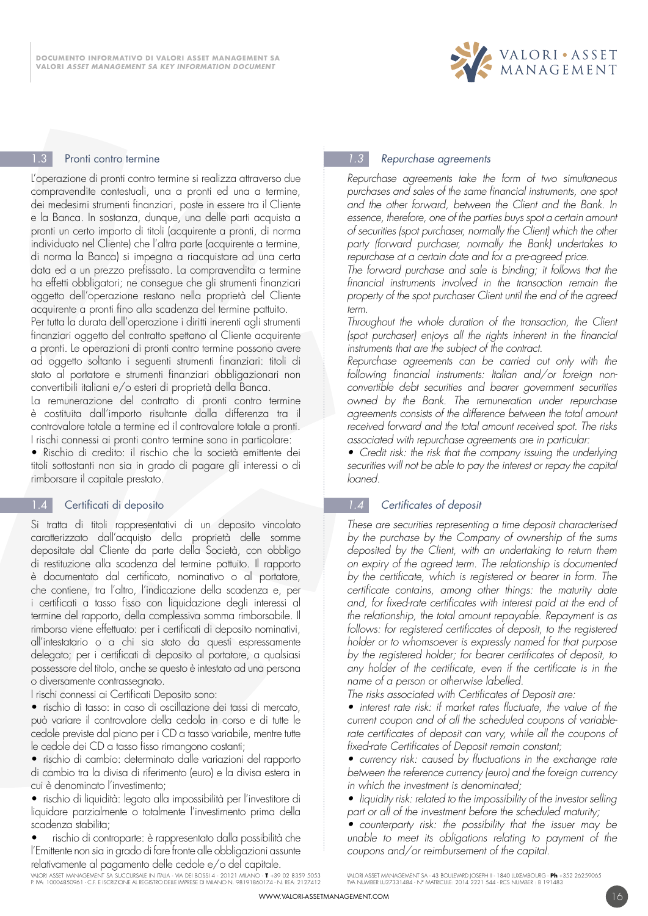

#### 1.3 Pronti contro termine

L'operazione di pronti contro termine si realizza attraverso due compravendite contestuali, una a pronti ed una a termine, dei medesimi strumenti finanziari, poste in essere tra il Cliente e la Banca. In sostanza, dunque, una delle parti acquista a pronti un certo importo di titoli (acquirente a pronti, di norma individuato nel Cliente) che l'altra parte (acquirente a termine, di norma la Banca) si impegna a riacquistare ad una certa data ed a un prezzo prefissato. La compravendita a termine ha effetti obbligatori; ne consegue che gli strumenti finanziari oggetto dell'operazione restano nella proprietà del Cliente acquirente a pronti fino alla scadenza del termine pattuito.

Per tutta la durata dell'operazione i diritti inerenti agli strumenti finanziari oggetto del contratto spettano al Cliente acquirente a pronti. Le operazioni di pronti contro termine possono avere ad oggetto soltanto i seguenti strumenti finanziari: titoli di stato al portatore e strumenti finanziari obbligazionari non convertibili italiani e/o esteri di proprietà della Banca.

La remunerazione del contratto di pronti contro termine è costituita dall'importo risultante dalla differenza tra il controvalore totale a termine ed il controvalore totale a pronti. I rischi connessi ai pronti contro termine sono in particolare:

• Rischio di credito: il rischio che la società emittente dei titoli sottostanti non sia in grado di pagare gli interessi o di rimborsare il capitale prestato.

# 1.4 Certificati di deposito

Si tratta di titoli rappresentativi di un deposito vincolato caratterizzato dall'acquisto della proprietà delle somme depositate dal Cliente da parte della Società, con obbligo di restituzione alla scadenza del termine pattuito. Il rapporto è documentato dal certificato, nominativo o al portatore, che contiene, tra l'altro, l'indicazione della scadenza e, per i certificati a tasso fisso con liquidazione degli interessi al termine del rapporto, della complessiva somma rimborsabile. Il rimborso viene effettuato: per i certificati di deposito nominativi, all'intestatario o a chi sia stato da questi espressamente delegato; per i certificati di deposito al portatore, a qualsiasi possessore del titolo, anche se questo è intestato ad una persona o diversamente contrassegnato.

I rischi connessi ai Certificati Deposito sono:

• rischio di tasso: in caso di oscillazione dei tassi di mercato, può variare il controvalore della cedola in corso e di tutte le cedole previste dal piano per i CD a tasso variabile, mentre tutte le cedole dei CD a tasso fisso rimangono costanti;

• rischio di cambio: determinato dalle variazioni del rapporto di cambio tra la divisa di riferimento (euro) e la divisa estera in cui è denominato l'investimento;

• rischio di liquidità: legato alla impossibilità per l'investitore di liquidare parzialmente o totalmente l'investimento prima della scadenza stabilita;

• rischio di controparte: è rappresentato dalla possibilità che l'Emittente non sia in grado di fare fronte alle obbligazioni assunte relativamente al pagamento delle cedole e/o del capitale.

VALORI ASSET MANAGEMENT SA SUCCURSALE IN ITALIA - VIA DEI BOSSI 4 - 20121 MILANO - **T** +39 02 8359 5053 P. IVA: 10004850961 - C.F. E ISCRIZIONE AL REGISTRO DELLE IMPRESE DI MILANO N. 98191860174 - N. REA: 2127412

#### *1.3 Repurchase agreements*

*Repurchase agreements take the form of two simultaneous purchases and sales of the same financial instruments, one spot and the other forward, between the Client and the Bank. In essence, therefore, one of the parties buys spot a certain amount of securities (spot purchaser, normally the Client) which the other party (forward purchaser, normally the Bank) undertakes to repurchase at a certain date and for a pre-agreed price.*

*The forward purchase and sale is binding; it follows that the financial instruments involved in the transaction remain the property of the spot purchaser Client until the end of the agreed term.*

*Throughout the whole duration of the transaction, the Client (spot purchaser) enjoys all the rights inherent in the financial instruments that are the subject of the contract.* 

*Repurchase agreements can be carried out only with the following financial instruments: Italian and/or foreign nonconvertible debt securities and bearer government securities owned by the Bank. The remuneration under repurchase agreements consists of the difference between the total amount received forward and the total amount received spot. The risks associated with repurchase agreements are in particular:*

*• Credit risk: the risk that the company issuing the underlying securities will not be able to pay the interest or repay the capital loaned.*

# *1.4 Certificates of deposit*

*These are securities representing a time deposit characterised by the purchase by the Company of ownership of the sums deposited by the Client, with an undertaking to return them on expiry of the agreed term. The relationship is documented by the certificate, which is registered or bearer in form. The certificate contains, among other things: the maturity date and, for fixed-rate certificates with interest paid at the end of the relationship, the total amount repayable. Repayment is as follows: for registered certificates of deposit, to the registered holder or to whomsoever is expressly named for that purpose by the registered holder; for bearer certificates of deposit, to any holder of the certificate, even if the certificate is in the name of a person or otherwise labelled.* 

*The risks associated with Certificates of Deposit are:*

*• interest rate risk: if market rates fluctuate, the value of the current coupon and of all the scheduled coupons of variablerate certificates of deposit can vary, while all the coupons of fixed-rate Certificates of Deposit remain constant;*

*• currency risk: caused by fluctuations in the exchange rate between the reference currency (euro) and the foreign currency in which the investment is denominated;*

*• liquidity risk: related to the impossibility of the investor selling part or all of the investment before the scheduled maturity;*

*• counterparty risk: the possibility that the issuer may be unable to meet its obligations relating to payment of the coupons and/or reimbursement of the capital.*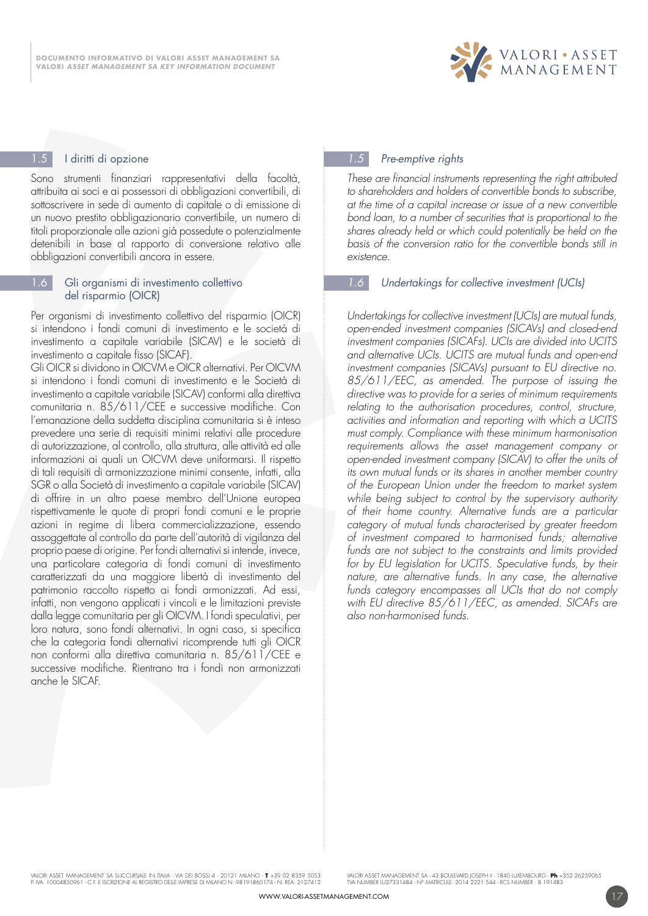

## 1.5 | I diritti di opzione

Sono strumenti finanziari rappresentativi della facoltà, attribuita ai soci e ai possessori di obbligazioni convertibili, di sottoscrivere in sede di aumento di capitale o di emissione di un nuovo prestito obbligazionario convertibile, un numero di titoli proporzionale alle azioni già possedute o potenzialmente detenibili in base al rapporto di conversione relativo alle obbligazioni convertibili ancora in essere.

# 1.6 Gli organismi di investimento collettivo del risparmio (OICR)

Per organismi di investimento collettivo del risparmio (OICR) si intendono i fondi comuni di investimento e le società di investimento a capitale variabile (SICAV) e le società di investimento a capitale fisso (SICAF).

Gli OICR si dividono in OICVM e OICR alternativi. Per OICVM si intendono i fondi comuni di investimento e le Società di investimento a capitale variabile (SICAV) conformi alla direttiva comunitaria n. 85/611/CEE e successive modifiche. Con l'emanazione della suddetta disciplina comunitaria si è inteso prevedere una serie di requisiti minimi relativi alle procedure di autorizzazione, al controllo, alla struttura, alle attività ed alle informazioni ai quali un OICVM deve uniformarsi. Il rispetto di tali requisiti di armonizzazione minimi consente, infatti, alla SGR o alla Società di investimento a capitale variabile (SICAV) di offrire in un altro paese membro dell'Unione europea rispettivamente le quote di propri fondi comuni e le proprie azioni in regime di libera commercializzazione, essendo assoggettate al controllo da parte dell'autorità di vigilanza del proprio paese di origine. Per fondi alternativi si intende, invece, una particolare categoria di fondi comuni di investimento caratterizzati da una maggiore libertà di investimento del patrimonio raccolto rispetto ai fondi armonizzati. Ad essi, infatti, non vengono applicati i vincoli e le limitazioni previste dalla legge comunitaria per gli OICVM. I fondi speculativi, per loro natura, sono fondi alternativi. In ogni caso, si specifica che la categoria fondi alternativi ricomprende tutti gli OICR non conformi alla direttiva comunitaria n. 85/611/CEE e successive modifiche. Rientrano tra i fondi non armonizzati anche le SICAF.

#### *1.5 Pre-emptive rights*

*These are financial instruments representing the right attributed to shareholders and holders of convertible bonds to subscribe, at the time of a capital increase or issue of a new convertible bond loan, to a number of securities that is proportional to the shares already held or which could potentially be held on the basis of the conversion ratio for the convertible bonds still in existence.*

# *1.6 Undertakings for collective investment (UCIs)*

*Undertakings for collective investment (UCIs) are mutual funds, open-ended investment companies (SICAVs) and closed-end investment companies (SICAFs). UCIs are divided into UCITS and alternative UCIs. UCITS are mutual funds and open-end investment companies (SICAVs) pursuant to EU directive no. 85/611/EEC, as amended. The purpose of issuing the directive was to provide for a series of minimum requirements relating to the authorisation procedures, control, structure, activities and information and reporting with which a UCITS must comply. Compliance with these minimum harmonisation requirements allows the asset management company or open-ended investment company (SICAV) to offer the units of its own mutual funds or its shares in another member country of the European Union under the freedom to market system while being subject to control by the supervisory authority of their home country. Alternative funds are a particular category of mutual funds characterised by greater freedom of investment compared to harmonised funds; alternative funds are not subject to the constraints and limits provided for by EU legislation for UCITS. Speculative funds, by their nature, are alternative funds. In any case, the alternative funds category encompasses all UCIs that do not comply with EU directive 85/611/EEC, as amended. SICAFs are also non-harmonised funds.*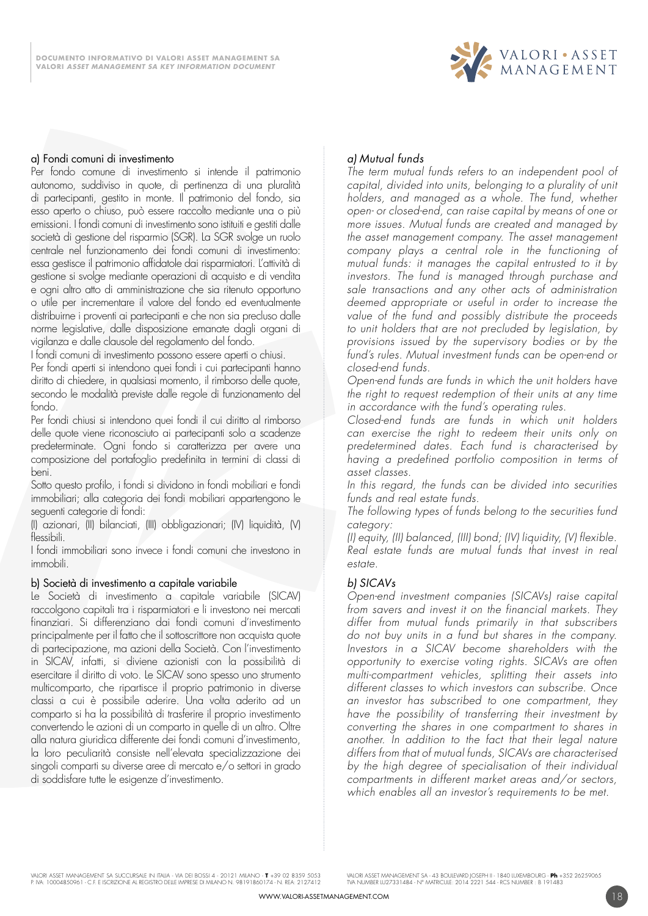

#### a) Fondi comuni di investimento

Per fondo comune di investimento si intende il patrimonio autonomo, suddiviso in quote, di pertinenza di una pluralità di partecipanti, gestito in monte. Il patrimonio del fondo, sia esso aperto o chiuso, può essere raccolto mediante una o più emissioni. I fondi comuni di investimento sono istituiti e gestiti dalle società di gestione del risparmio (SGR). La SGR svolge un ruolo centrale nel funzionamento dei fondi comuni di investimento: essa gestisce il patrimonio affidatole dai risparmiatori. L'attività di gestione si svolge mediante operazioni di acquisto e di vendita e ogni altro atto di amministrazione che sia ritenuto opportuno o utile per incrementare il valore del fondo ed eventualmente distribuirne i proventi ai partecipanti e che non sia precluso dalle norme legislative, dalle disposizione emanate dagli organi di vigilanza e dalle clausole del regolamento del fondo.

I fondi comuni di investimento possono essere aperti o chiusi.

Per fondi aperti si intendono quei fondi i cui partecipanti hanno diritto di chiedere, in qualsiasi momento, il rimborso delle quote, secondo le modalità previste dalle regole di funzionamento del fondo.

Per fondi chiusi si intendono quei fondi il cui diritto al rimborso delle quote viene riconosciuto ai partecipanti solo a scadenze predeterminate. Ogni fondo si caratterizza per avere una composizione del portafoglio predefinita in termini di classi di beni.

Sotto questo profilo, i fondi si dividono in fondi mobiliari e fondi immobiliari; alla categoria dei fondi mobiliari appartengono le seguenti categorie di fondi:

(I) azionari, (II) bilanciati, (III) obbligazionari; (IV) liquidità, (V) flessibili.

I fondi immobiliari sono invece i fondi comuni che investono in immobili.

#### b) Società di investimento a capitale variabile

Le Società di investimento a capitale variabile (SICAV) raccolgono capitali tra i risparmiatori e li investono nei mercati finanziari. Si differenziano dai fondi comuni d'investimento principalmente per il fatto che il sottoscrittore non acquista quote di partecipazione, ma azioni della Società. Con l'investimento in SICAV, infatti, si diviene azionisti con la possibilità di esercitare il diritto di voto. Le SICAV sono spesso uno strumento multicomparto, che ripartisce il proprio patrimonio in diverse classi a cui è possibile aderire. Una volta aderito ad un comparto si ha la possibilità di trasferire il proprio investimento convertendo le azioni di un comparto in quelle di un altro. Oltre alla natura giuridica differente dei fondi comuni d'investimento, la loro peculiarità consiste nell'elevata specializzazione dei singoli comparti su diverse aree di mercato e/o settori in grado di soddisfare tutte le esigenze d'investimento.

# *a) Mutual funds*

*The term mutual funds refers to an independent pool of capital, divided into units, belonging to a plurality of unit holders, and managed as a whole. The fund, whether open- or closed-end, can raise capital by means of one or more issues. Mutual funds are created and managed by the asset management company. The asset management company plays a central role in the functioning of mutual funds: it manages the capital entrusted to it by investors. The fund is managed through purchase and sale transactions and any other acts of administration deemed appropriate or useful in order to increase the value of the fund and possibly distribute the proceeds to unit holders that are not precluded by legislation, by provisions issued by the supervisory bodies or by the fund's rules. Mutual investment funds can be open-end or closed-end funds.*

*Open-end funds are funds in which the unit holders have the right to request redemption of their units at any time in accordance with the fund's operating rules.*

*Closed-end funds are funds in which unit holders can exercise the right to redeem their units only on predetermined dates. Each fund is characterised by having a predefined portfolio composition in terms of asset classes.*

*In this regard, the funds can be divided into securities funds and real estate funds.*

*The following types of funds belong to the securities fund category:*

*(I) equity, (II) balanced, (III) bond; (IV) liquidity, (V) flexible. Real estate funds are mutual funds that invest in real estate.*

#### *b) SICAVs*

*Open-end investment companies (SICAVs) raise capital from savers and invest it on the financial markets. They differ from mutual funds primarily in that subscribers do not buy units in a fund but shares in the company. Investors in a SICAV become shareholders with the opportunity to exercise voting rights. SICAVs are often multi-compartment vehicles, splitting their assets into different classes to which investors can subscribe. Once an investor has subscribed to one compartment, they have the possibility of transferring their investment by converting the shares in one compartment to shares in another. In addition to the fact that their legal nature differs from that of mutual funds, SICAVs are characterised by the high degree of specialisation of their individual compartments in different market areas and/or sectors, which enables all an investor's requirements to be met.*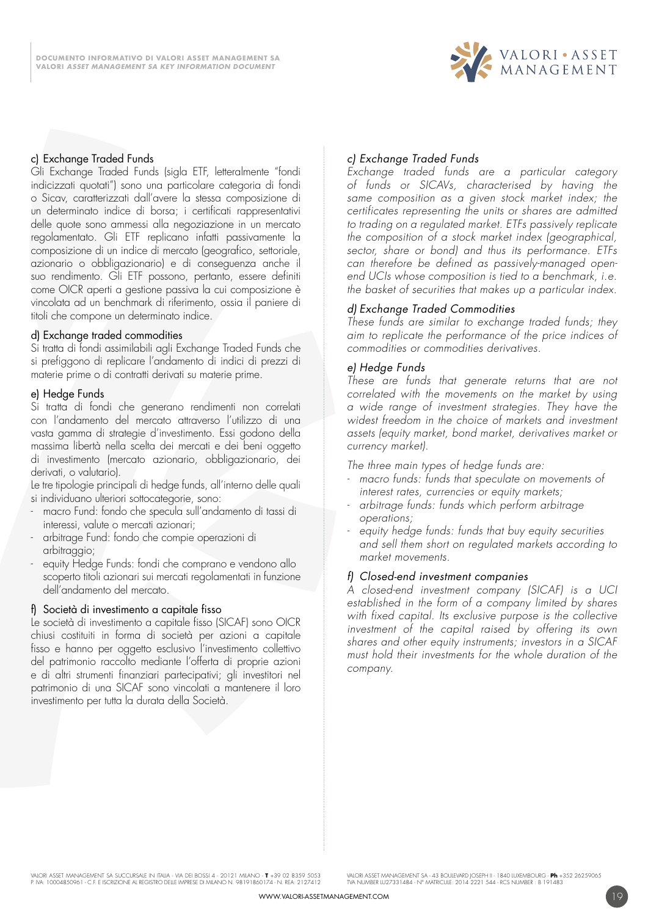

# c) Exchange Traded Funds

Gli Exchange Traded Funds (sigla ETF, letteralmente "fondi indicizzati quotati") sono una particolare categoria di fondi o Sicav, caratterizzati dall'avere la stessa composizione di un determinato indice di borsa; i certificati rappresentativi delle quote sono ammessi alla negoziazione in un mercato regolamentato. Gli ETF replicano infatti passivamente la composizione di un indice di mercato (geografico, settoriale, azionario o obbligazionario) e di conseguenza anche il suo rendimento. Gli ETF possono, pertanto, essere definiti come OICR aperti a gestione passiva la cui composizione è vincolata ad un benchmark di riferimento, ossia il paniere di titoli che compone un determinato indice.

#### d) Exchange traded commodities

Si tratta di fondi assimilabili agli Exchange Traded Funds che si prefiggono di replicare l'andamento di indici di prezzi di materie prime o di contratti derivati su materie prime.

## e) Hedge Funds

Si tratta di fondi che generano rendimenti non correlati con l'andamento del mercato attraverso l'utilizzo di una vasta gamma di strategie d'investimento. Essi godono della massima libertà nella scelta dei mercati e dei beni oggetto di investimento (mercato azionario, obbligazionario, dei derivati, o valutario).

Le tre tipologie principali di hedge funds, all'interno delle quali si individuano ulteriori sottocategorie, sono:

- macro Fund: fondo che specula sull'andamento di tassi di interessi, valute o mercati azionari;
- arbitrage Fund: fondo che compie operazioni di arbitraggio;
- equity Hedge Funds: fondi che comprano e vendono allo scoperto titoli azionari sui mercati regolamentati in funzione dell'andamento del mercato.

#### f) Società di investimento a capitale fisso

Le società di investimento a capitale fisso (SICAF) sono OICR chiusi costituiti in forma di società per azioni a capitale fisso e hanno per oggetto esclusivo l'investimento collettivo del patrimonio raccolto mediante l'offerta di proprie azioni e di altri strumenti finanziari partecipativi; gli investitori nel patrimonio di una SICAF sono vincolati a mantenere il loro investimento per tutta la durata della Società.

# *c) Exchange Traded Funds*

*Exchange traded funds are a particular category of funds or SICAVs, characterised by having the same composition as a given stock market index; the certificates representing the units or shares are admitted to trading on a regulated market. ETFs passively replicate the composition of a stock market index (geographical, sector, share or bond) and thus its performance. ETFs can therefore be defined as passively-managed openend UCIs whose composition is tied to a benchmark, i.e. the basket of securities that makes up a particular index.*

# *d) Exchange Traded Commodities*

*These funds are similar to exchange traded funds; they aim to replicate the performance of the price indices of commodities or commodities derivatives.*

# *e) Hedge Funds*

*These are funds that generate returns that are not correlated with the movements on the market by using a wide range of investment strategies. They have the widest freedom in the choice of markets and investment assets (equity market, bond market, derivatives market or currency market).*

*The three main types of hedge funds are:*

- *- macro funds: funds that speculate on movements of interest rates, currencies or equity markets;*
- *- arbitrage funds: funds which perform arbitrage operations;*
- *- equity hedge funds: funds that buy equity securities and sell them short on regulated markets according to market movements.*

## *f) Closed-end investment companies*

*A closed-end investment company (SICAF) is a UCI established in the form of a company limited by shares with fixed capital. Its exclusive purpose is the collective investment of the capital raised by offering its own shares and other equity instruments; investors in a SICAF must hold their investments for the whole duration of the company.*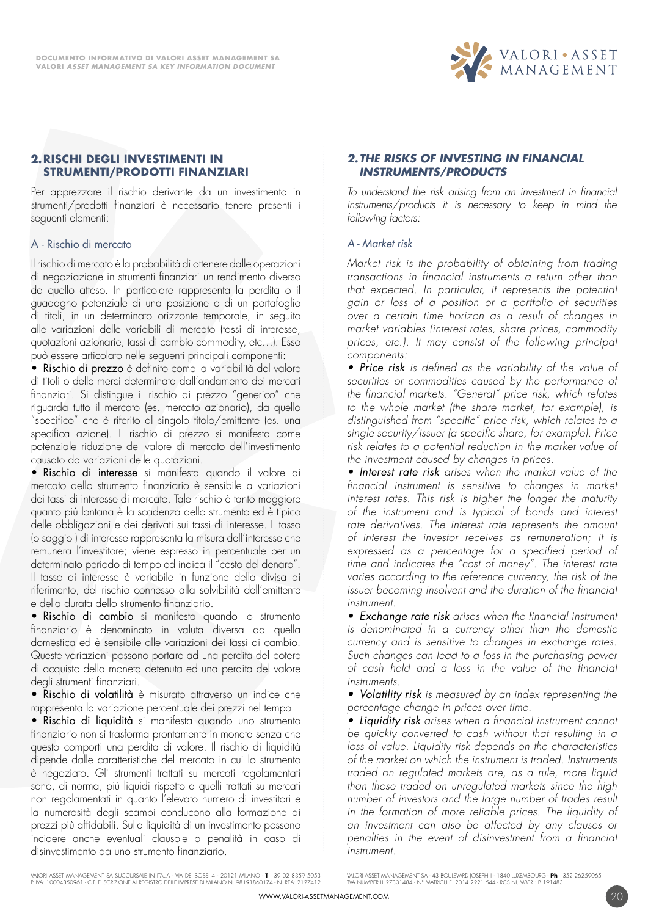

# **2.RISCHI DEGLI INVESTIMENTI IN STRUMENTI/PRODOTTI FINANZIARI**

Per apprezzare il rischio derivante da un investimento in strumenti/prodotti finanziari è necessario tenere presenti i seguenti elementi:

# A - Rischio di mercato

Il rischio di mercato è la probabilità di ottenere dalle operazioni di negoziazione in strumenti finanziari un rendimento diverso da quello atteso. In particolare rappresenta la perdita o il guadagno potenziale di una posizione o di un portafoglio di titoli, in un determinato orizzonte temporale, in seguito alle variazioni delle variabili di mercato (tassi di interesse, quotazioni azionarie, tassi di cambio commodity, etc…). Esso può essere articolato nelle seguenti principali componenti:

• Rischio di prezzo è definito come la variabilità del valore di titoli o delle merci determinata dall'andamento dei mercati finanziari. Si distingue il rischio di prezzo "generico" che riguarda tutto il mercato (es. mercato azionario), da quello "specifico" che è riferito al singolo titolo/emittente (es. una specifica azione). Il rischio di prezzo si manifesta come potenziale riduzione del valore di mercato dell'investimento causato da variazioni delle quotazioni.

• Rischio di interesse si manifesta quando il valore di mercato dello strumento finanziario è sensibile a variazioni dei tassi di interesse di mercato. Tale rischio è tanto maggiore quanto più lontana è la scadenza dello strumento ed è tipico delle obbligazioni e dei derivati sui tassi di interesse. Il tasso (o saggio ) di interesse rappresenta la misura dell'interesse che remunera l'investitore; viene espresso in percentuale per un determinato periodo di tempo ed indica il "costo del denaro". Il tasso di interesse è variabile in funzione della divisa di riferimento, del rischio connesso alla solvibilità dell'emittente e della durata dello strumento finanziario.

• Rischio di cambio si manifesta quando lo strumento finanziario è denominato in valuta diversa da quella domestica ed è sensibile alle variazioni dei tassi di cambio. Queste variazioni possono portare ad una perdita del potere di acquisto della moneta detenuta ed una perdita del valore degli strumenti finanziari.

• Rischio di volatilità è misurato attraverso un indice che rappresenta la variazione percentuale dei prezzi nel tempo.

• Rischio di liquidità si manifesta quando uno strumento finanziario non si trasforma prontamente in moneta senza che questo comporti una perdita di valore. Il rischio di liquidità dipende dalle caratteristiche del mercato in cui lo strumento è negoziato. Gli strumenti trattati su mercati regolamentati sono, di norma, più liquidi rispetto a quelli trattati su mercati non regolamentati in quanto l'elevato numero di investitori e la numerosità degli scambi conducono alla formazione di prezzi più affidabili. Sulla liquidità di un investimento possono incidere anche eventuali clausole o penalità in caso di disinvestimento da uno strumento finanziario.

## *2.THE RISKS OF INVESTING IN FINANCIAL INSTRUMENTS/PRODUCTS*

*To understand the risk arising from an investment in financial instruments/products it is necessary to keep in mind the following factors:*

# *A - Market risk*

*Market risk is the probability of obtaining from trading transactions in financial instruments a return other than that expected. In particular, it represents the potential gain or loss of a position or a portfolio of securities over a certain time horizon as a result of changes in market variables (interest rates, share prices, commodity prices, etc.). It may consist of the following principal components:* 

*• Price risk is defined as the variability of the value of securities or commodities caused by the performance of the financial markets. "General" price risk, which relates to the whole market (the share market, for example), is distinguished from "specific" price risk, which relates to a single security/issuer (a specific share, for example). Price risk relates to a potential reduction in the market value of the investment caused by changes in prices.*

*• Interest rate risk arises when the market value of the financial instrument is sensitive to changes in market interest rates. This risk is higher the longer the maturity of the instrument and is typical of bonds and interest*  rate derivatives. The interest rate represents the amount *of interest the investor receives as remuneration; it is expressed as a percentage for a specified period of time and indicates the "cost of money". The interest rate varies according to the reference currency, the risk of the issuer becoming insolvent and the duration of the financial instrument.*

*• Exchange rate risk arises when the financial instrument is denominated in a currency other than the domestic currency and is sensitive to changes in exchange rates. Such changes can lead to a loss in the purchasing power of cash held and a loss in the value of the financial instruments.*

*• Volatility risk is measured by an index representing the percentage change in prices over time.*

*• Liquidity risk arises when a financial instrument cannot be quickly converted to cash without that resulting in a loss of value. Liquidity risk depends on the characteristics of the market on which the instrument is traded. Instruments traded on regulated markets are, as a rule, more liquid than those traded on unregulated markets since the high number of investors and the large number of trades result in the formation of more reliable prices. The liquidity of an investment can also be affected by any clauses or penalties in the event of disinvestment from a financial instrument.*

VALORI ASSET MANAGEMENT SA - 43 BOULEVARD JOSEPH II - 1840 LUXEMBOURG - **Ph** +352 26259065 TVA NUMBER LU27331484 - N° MATRICULE: 2014 2221 544 - RCS NUMBER : B 191483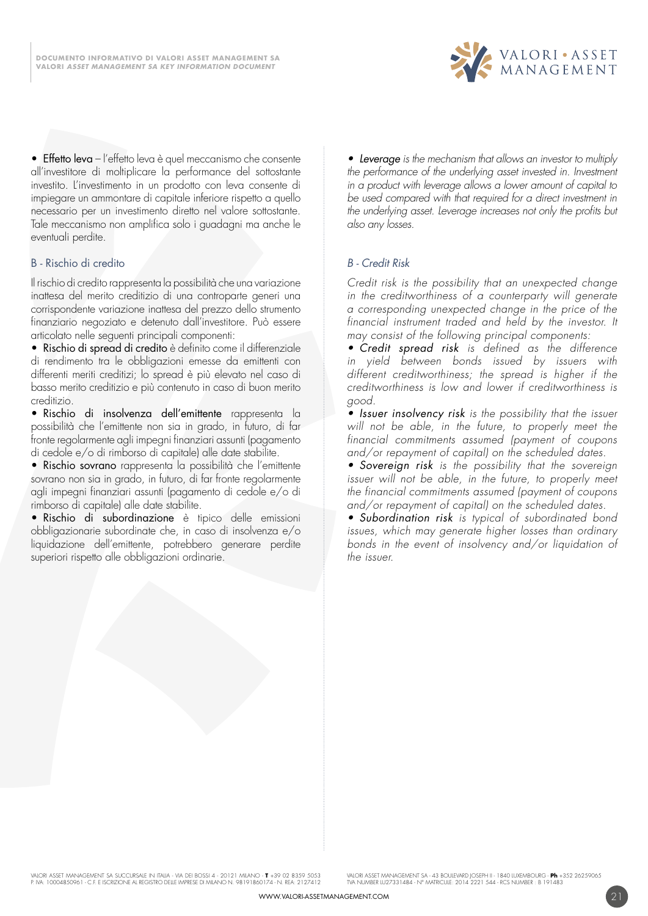

• Effetto leva – l'effetto leva è quel meccanismo che consente all'investitore di moltiplicare la performance del sottostante investito. L'investimento in un prodotto con leva consente di impiegare un ammontare di capitale inferiore rispetto a quello necessario per un investimento diretto nel valore sottostante. Tale meccanismo non amplifica solo i guadagni ma anche le eventuali perdite.

## B - Rischio di credito

Il rischio di credito rappresenta la possibilità che una variazione inattesa del merito creditizio di una controparte generi una corrispondente variazione inattesa del prezzo dello strumento finanziario negoziato e detenuto dall'investitore. Può essere articolato nelle seguenti principali componenti:

• Rischio di spread di credito è definito come il differenziale di rendimento tra le obbligazioni emesse da emittenti con differenti meriti creditizi; lo spread è più elevato nel caso di basso merito creditizio e più contenuto in caso di buon merito creditizio.

• Rischio di insolvenza dell'emittente rappresenta la possibilità che l'emittente non sia in grado, in futuro, di far fronte regolarmente agli impegni finanziari assunti (pagamento di cedole e/o di rimborso di capitale) alle date stabilite.

• Rischio sovrano rappresenta la possibilità che l'emittente sovrano non sia in grado, in futuro, di far fronte regolarmente agli impegni finanziari assunti (pagamento di cedole e/o di rimborso di capitale) alle date stabilite.

• Rischio di subordinazione è tipico delle emissioni obbligazionarie subordinate che, in caso di insolvenza e/o liquidazione dell'emittente, potrebbero generare perdite superiori rispetto alle obbligazioni ordinarie.

*• Leverage is the mechanism that allows an investor to multiply the performance of the underlying asset invested in. Investment in a product with leverage allows a lower amount of capital to be used compared with that required for a direct investment in the underlying asset. Leverage increases not only the profits but also any losses.*

# *B - Credit Risk*

*Credit risk is the possibility that an unexpected change in the creditworthiness of a counterparty will generate a corresponding unexpected change in the price of the financial instrument traded and held by the investor. It may consist of the following principal components:*

*• Credit spread risk is defined as the difference in yield between bonds issued by issuers with different creditworthiness; the spread is higher if the creditworthiness is low and lower if creditworthiness is good.*

*• Issuer insolvency risk is the possibility that the issuer will not be able, in the future, to properly meet the financial commitments assumed (payment of coupons and/or repayment of capital) on the scheduled dates.*

*• Sovereign risk is the possibility that the sovereign issuer will not be able, in the future, to properly meet the financial commitments assumed (payment of coupons and/or repayment of capital) on the scheduled dates.*

*• Subordination risk is typical of subordinated bond issues, which may generate higher losses than ordinary bonds in the event of insolvency and/or liquidation of the issuer.*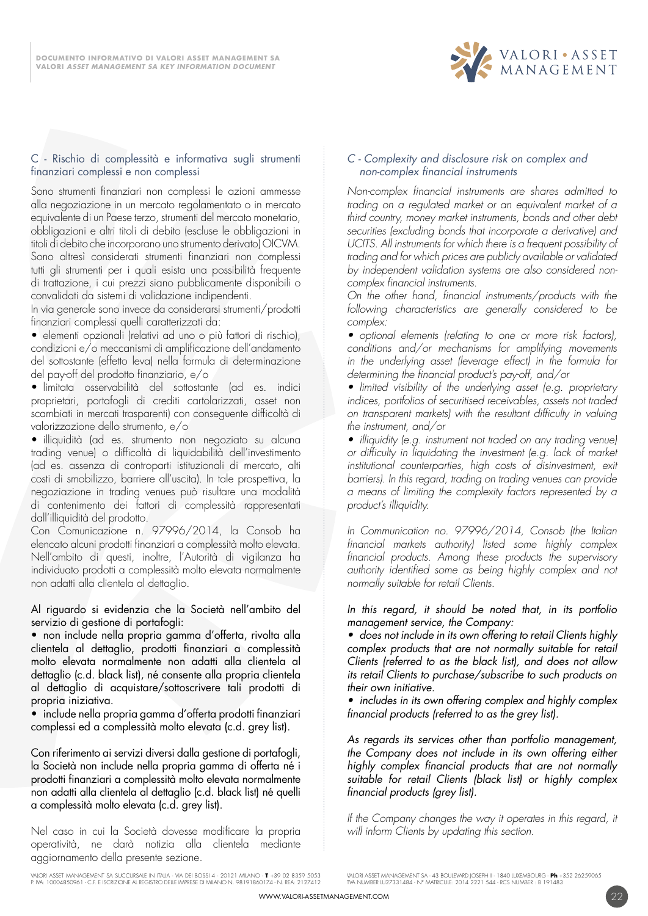

# C - Rischio di complessità e informativa sugli strumenti finanziari complessi e non complessi

Sono strumenti finanziari non complessi le azioni ammesse alla negoziazione in un mercato regolamentato o in mercato equivalente di un Paese terzo, strumenti del mercato monetario, obbligazioni e altri titoli di debito (escluse le obbligazioni in titoli di debito che incorporano uno strumento derivato) OICVM. Sono altresì considerati strumenti finanziari non complessi tutti gli strumenti per i quali esista una possibilità frequente di trattazione, i cui prezzi siano pubblicamente disponibili o convalidati da sistemi di validazione indipendenti.

In via generale sono invece da considerarsi strumenti/prodotti finanziari complessi quelli caratterizzati da:

• elementi opzionali (relativi ad uno o più fattori di rischio), condizioni e/o meccanismi di amplificazione dell'andamento del sottostante (effetto leva) nella formula di determinazione del pay-off del prodotto finanziario, e/o

• limitata osservabilità del sottostante (ad es. indici proprietari, portafogli di crediti cartolarizzati, asset non scambiati in mercati trasparenti) con conseguente difficoltà di valorizzazione dello strumento, e/o

• illiquidità (ad es. strumento non negoziato su alcuna trading venue) o difficoltà di liquidabilità dell'investimento (ad es. assenza di controparti istituzionali di mercato, alti costi di smobilizzo, barriere all'uscita). In tale prospettiva, la negoziazione in trading venues può risultare una modalità di contenimento dei fattori di complessità rappresentati dall'illiquidità del prodotto.

Con Comunicazione n. 97996/2014, la Consob ha elencato alcuni prodotti finanziari a complessità molto elevata. Nell'ambito di questi, inoltre, l'Autorità di vigilanza ha individuato prodotti a complessità molto elevata normalmente non adatti alla clientela al dettaglio.

Al riguardo si evidenzia che la Società nell'ambito del servizio di gestione di portafogli:

• non include nella propria gamma d'offerta, rivolta alla clientela al dettaglio, prodotti finanziari a complessità molto elevata normalmente non adatti alla clientela al dettaglio (c.d. black list), né consente alla propria clientela al dettaglio di acquistare/sottoscrivere tali prodotti di propria iniziativa.

• include nella propria gamma d'offerta prodotti finanziari complessi ed a complessità molto elevata (c.d. grey list).

Con riferimento ai servizi diversi dalla gestione di portafogli, la Società non include nella propria gamma di offerta né i prodotti finanziari a complessità molto elevata normalmente non adatti alla clientela al dettaglio (c.d. black list) né quelli a complessità molto elevata (c.d. grey list).

Nel caso in cui la Società dovesse modificare la propria operatività, ne darà notizia alla clientela mediante aggiornamento della presente sezione.

## *C - Complexity and disclosure risk on complex and non-complex financial instruments*

*Non-complex financial instruments are shares admitted to trading on a regulated market or an equivalent market of a third country, money market instruments, bonds and other debt securities (excluding bonds that incorporate a derivative) and*  UCITS. All instruments for which there is a frequent possibility of *trading and for which prices are publicly available or validated by independent validation systems are also considered noncomplex financial instruments.* 

*On the other hand, financial instruments/products with the following characteristics are generally considered to be complex:*

*• optional elements (relating to one or more risk factors), conditions and/or mechanisms for amplifying movements in the underlying asset (leverage effect) in the formula for determining the financial product's pay-off, and/or* 

*• limited visibility of the underlying asset (e.g. proprietary indices, portfolios of securitised receivables, assets not traded on transparent markets) with the resultant difficulty in valuing the instrument, and/or*

*• illiquidity (e.g. instrument not traded on any trading venue) or difficulty in liquidating the investment (e.g. lack of market institutional counterparties, high costs of disinvestment, exit barriers). In this regard, trading on trading venues can provide a means of limiting the complexity factors represented by a product's illiquidity.*

*In Communication no. 97996/2014, Consob (the Italian financial markets authority) listed some highly complex financial products. Among these products the supervisory authority identified some as being highly complex and not normally suitable for retail Clients.*

*In this regard, it should be noted that, in its portfolio management service, the Company:*

*• does not include in its own offering to retail Clients highly complex products that are not normally suitable for retail Clients (referred to as the black list), and does not allow its retail Clients to purchase/subscribe to such products on their own initiative.* 

*• includes in its own offering complex and highly complex financial products (referred to as the grey list).* 

*As regards its services other than portfolio management, the Company does not include in its own offering either highly complex financial products that are not normally suitable for retail Clients (black list) or highly complex financial products (grey list).*

If the Company changes the way it operates in this regard, it *will inform Clients by updating this section.*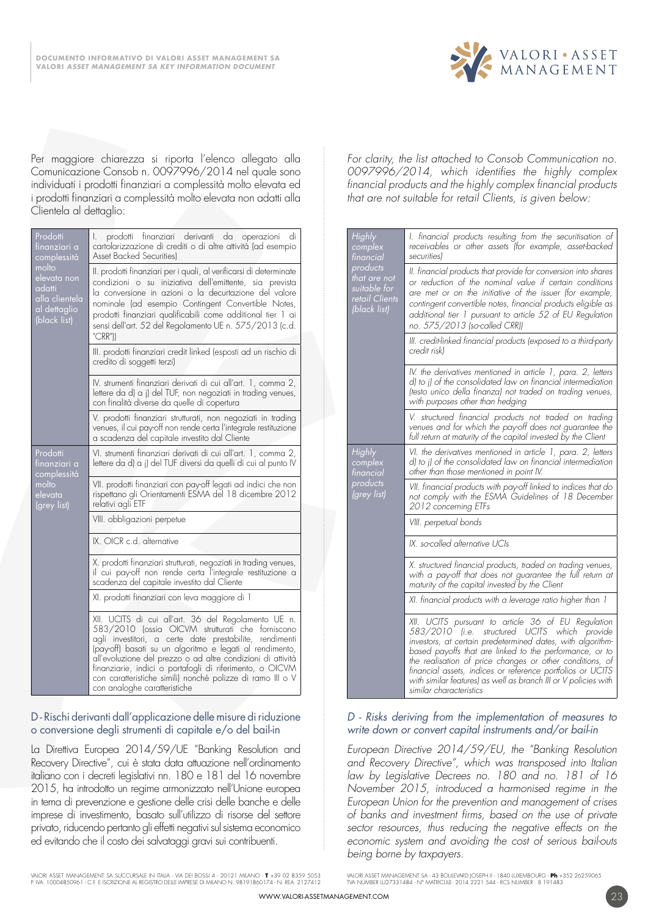

Per maggiore chiarezza si riporta l'elenco allegato alla Comunicazione Consob n. 0097996/2014 nel quale sono individuati i prodotti finanziari a complessità molto elevata ed i prodotti finanziari a complessità molto elevata non adatti alla Clientela al dettaglio:

| Prodotti<br>finanziari a<br>complessità<br>molto<br>elevata non<br>adatti<br>alla clientela<br>al dettaglio<br>(black list) | prodotti<br>finanziari derivanti da<br>operazioni<br>di<br>cartolarizzazione di crediti o di altre attività (ad esempio<br><b>Asset Backed Securities)</b>                                                                                                                                                                                                                       |                                                                                                                                                                                                                                                                                                                                                                                                                                                            |
|-----------------------------------------------------------------------------------------------------------------------------|----------------------------------------------------------------------------------------------------------------------------------------------------------------------------------------------------------------------------------------------------------------------------------------------------------------------------------------------------------------------------------|------------------------------------------------------------------------------------------------------------------------------------------------------------------------------------------------------------------------------------------------------------------------------------------------------------------------------------------------------------------------------------------------------------------------------------------------------------|
|                                                                                                                             | II. prodotti finanziari per i quali, al verificarsi di determinate<br>condizioni o su iniziativa dell'emittente, sia prevista<br>la conversione in azioni o la decurtazione del valore<br>nominale (ad esempio Contingent Convertible Notes,<br>prodotti finanziari qualificabili come additional tier 1 ai<br>sensi dell'art. 52 del Regolamento UE n. 575/2013 (c.d.<br>"CRR") |                                                                                                                                                                                                                                                                                                                                                                                                                                                            |
|                                                                                                                             |                                                                                                                                                                                                                                                                                                                                                                                  | III. prodotti finanziari credit linked (esposti ad un rischio di<br>credito di soggetti terzi)                                                                                                                                                                                                                                                                                                                                                             |
|                                                                                                                             |                                                                                                                                                                                                                                                                                                                                                                                  | IV. strumenti finanziari derivati di cui all'art. 1, comma 2,<br>lettere da d) a j) del TUF, non negoziati in trading venues,<br>con finalità diverse da quelle di copertura                                                                                                                                                                                                                                                                               |
|                                                                                                                             |                                                                                                                                                                                                                                                                                                                                                                                  | V. prodotti finanziari strutturati, non negoziati in trading<br>venues, il cui pay off non rende certa l'integrale restituzione<br>a scadenza del capitale investito dal Cliente                                                                                                                                                                                                                                                                           |
| Prodotti<br>finanziari a                                                                                                    | VI. strumenti finanziari derivati di cui all'art. 1, comma 2,<br>lettere da d) a j) del TUF diversi da quelli di cui al punto IV                                                                                                                                                                                                                                                 |                                                                                                                                                                                                                                                                                                                                                                                                                                                            |
| complessità<br>molto<br>elevata<br>(grey list)                                                                              |                                                                                                                                                                                                                                                                                                                                                                                  | VII. prodotti finanziari con pay-off legati ad indici che non<br>rispettano gli Orientamenti ESMA del 18 dicembre 2012<br>relativi agli ETF                                                                                                                                                                                                                                                                                                                |
|                                                                                                                             |                                                                                                                                                                                                                                                                                                                                                                                  | VIII. obbligazioni perpetue                                                                                                                                                                                                                                                                                                                                                                                                                                |
| IX. OICR c.d. alternative<br>scadenza del capitale investito dal Cliente<br>XI. prodotti finanziari con leva maggiore di 1  |                                                                                                                                                                                                                                                                                                                                                                                  |                                                                                                                                                                                                                                                                                                                                                                                                                                                            |
|                                                                                                                             |                                                                                                                                                                                                                                                                                                                                                                                  | X. prodotti finanziari strutturati, negoziati in trading venues,<br>il cui pay off non rende certa l'integrale restituzione a                                                                                                                                                                                                                                                                                                                              |
|                                                                                                                             |                                                                                                                                                                                                                                                                                                                                                                                  |                                                                                                                                                                                                                                                                                                                                                                                                                                                            |
|                                                                                                                             |                                                                                                                                                                                                                                                                                                                                                                                  | XII. UCITS di cui all'art. 36 del Regolamento UE n.<br>583/2010 (ossia OICVM strutturati che forniscono<br>agli investitori, a certe date prestabilite,<br>rendimenti<br>(pay-off) basati su un algoritmo e legati al rendimento,<br>all'evoluzione del prezzo o ad altre condizioni di attività<br>finanziarie, indici o portafogli di riferimento, o OICVM<br>con caratteristiche simili) nonché polizze di ramo III o V<br>con analoghe caratteristiche |

# D - Rischi derivanti dall'applicazione delle misure di riduzione o conversione degli strumenti di capitale e/o del bail-in

La Direttiva Europea 2014/59/UE "Banking Resolution and Recovery Directive", cui è stata data attuazione nell'ordinamento italiano con i decreti legislativi nn. 180 e 181 del 16 novembre 2015, ha introdotto un regime armonizzato nell'Unione europea in tema di prevenzione e gestione delle crisi delle banche e delle imprese di investimento, basato sull'utilizzo di risorse del settore privato, riducendo pertanto gli effetti negativi sul sistema economico ed evitando che il costo dei salvataggi gravi sui contribuenti.

*For clarity, the list attached to Consob Communication no. 0097996/2014, which identifies the highly complex financial products and the highly complex financial products that are not suitable for retail Clients, is given below:* 

| Highly<br>complex<br>financial                                             | I. financial products resulting from the securitisation of<br>receivables or other assets (for example, asset-backed<br>securities)                                                                                                                                                                                                                                                                                                                  |
|----------------------------------------------------------------------------|------------------------------------------------------------------------------------------------------------------------------------------------------------------------------------------------------------------------------------------------------------------------------------------------------------------------------------------------------------------------------------------------------------------------------------------------------|
| products<br>that are not<br>suitable for<br>retail Clients<br>(black list) | II. financial products that provide for conversion into shares<br>or reduction of the nominal value if certain conditions<br>are met or on the initiative of the issuer (for example,<br>contingent convertible notes, financial products eligible as<br>additional tier 1 pursuant to article 52 of EU Regulation<br>no. 575/2013 (so-called CRR))                                                                                                  |
|                                                                            | III. credit-linked financial products (exposed to a third-party<br>credit risk)                                                                                                                                                                                                                                                                                                                                                                      |
|                                                                            | IV. the derivatives mentioned in article 1, para. 2, letters<br>d) to j) of the consolidated law on financial intermediation<br>(testo unico della finanza) not traded on trading venues,<br>with purposes other than hedging                                                                                                                                                                                                                        |
|                                                                            | V. structured financial products not traded on trading<br>venues and for which the pay-off does not guarantee the<br>full return at maturity of the capital invested by the Client                                                                                                                                                                                                                                                                   |
| Highly<br>complex<br>financial                                             | VI. the derivatives mentioned in article 1, para. 2, letters<br>d) to j) of the consolidated law on financial intermediation<br>other than those mentioned in point IV.                                                                                                                                                                                                                                                                              |
| products<br>(grey list)                                                    | VII. financial products with pay-off linked to indices that do<br>not comply with the ESMA Guidelines of 18 December<br>2012 concerning ETFs                                                                                                                                                                                                                                                                                                         |
|                                                                            | VIII. perpetual bonds                                                                                                                                                                                                                                                                                                                                                                                                                                |
|                                                                            | IX. so-called alternative UCIs                                                                                                                                                                                                                                                                                                                                                                                                                       |
|                                                                            | X. structured financial products, traded on trading venues,<br>with a pay-off that does not guarantee the full return at<br>maturity of the capital invested by the Client                                                                                                                                                                                                                                                                           |
|                                                                            | XI. financial products with a leverage ratio higher than 1                                                                                                                                                                                                                                                                                                                                                                                           |
|                                                                            | XII. UCITS pursuant to article 36 of EU Regulation<br>583/2010 (i.e. structured UCITS which provide<br>investors, at certain predetermined dates, with algorithm-<br>based payoffs that are linked to the performance, or to<br>the realisation of price changes or other conditions, of<br>financial assets, indices or reference portfolios or UCITS<br>with similar features) as well as branch III or V policies with<br>similar characteristics |

## *D - Risks deriving from the implementation of measures to write down or convert capital instruments and/or bail-in*

*European Directive 2014/59/EU, the "Banking Resolution and Recovery Directive", which was transposed into Italian law by Legislative Decrees no. 180 and no. 181 of 16 November 2015, introduced a harmonised regime in the European Union for the prevention and management of crises of banks and investment firms, based on the use of private sector resources, thus reducing the negative effects on the economic system and avoiding the cost of serious bail-outs being borne by taxpayers.*

VALORI ASSET MANAGEMENT SA - 43 BOULEVARD JOSEPH II - 1840 LUXEMBOURG - **Ph** +352 26259065 TVA NUMBER LU27331484 - N° MATRICULE: 2014 2221 544 - RCS NUMBER : B 191483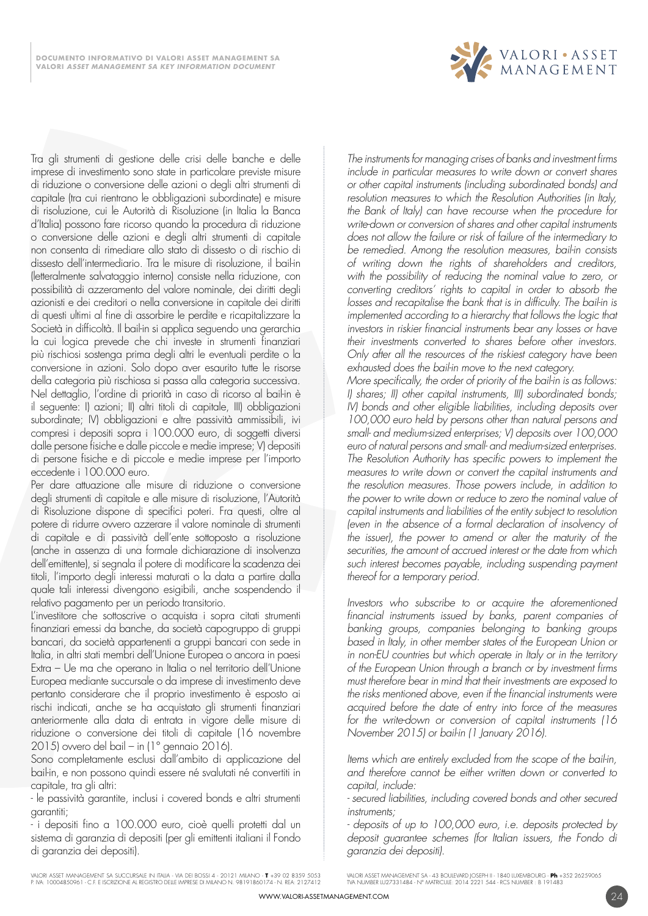

Tra gli strumenti di gestione delle crisi delle banche e delle imprese di investimento sono state in particolare previste misure di riduzione o conversione delle azioni o degli altri strumenti di capitale (tra cui rientrano le obbligazioni subordinate) e misure di risoluzione, cui le Autorità di Risoluzione (in Italia la Banca d'Italia) possono fare ricorso quando la procedura di riduzione o conversione delle azioni e degli altri strumenti di capitale non consenta di rimediare allo stato di dissesto o di rischio di dissesto dell'intermediario. Tra le misure di risoluzione, il bail-in (letteralmente salvataggio interno) consiste nella riduzione, con possibilità di azzeramento del valore nominale, dei diritti degli azionisti e dei creditori o nella conversione in capitale dei diritti di questi ultimi al fine di assorbire le perdite e ricapitalizzare la Società in difficoltà. Il bail-in si applica seguendo una gerarchia la cui logica prevede che chi investe in strumenti finanziari più rischiosi sostenga prima degli altri le eventuali perdite o la conversione in azioni. Solo dopo aver esaurito tutte le risorse della categoria più rischiosa si passa alla categoria successiva. Nel dettaglio, l'ordine di priorità in caso di ricorso al bail-in è il seguente: I) azioni; II) altri titoli di capitale, III) obbligazioni subordinate; IV) obbligazioni e altre passività ammissibili, ivi compresi i depositi sopra i 100.000 euro, di soggetti diversi dalle persone fisiche e dalle piccole e medie imprese; V) depositi di persone fisiche e di piccole e medie imprese per l'importo eccedente i 100.000 euro.

Per dare attuazione alle misure di riduzione o conversione degli strumenti di capitale e alle misure di risoluzione, l'Autorità di Risoluzione dispone di specifici poteri. Fra questi, oltre al potere di ridurre ovvero azzerare il valore nominale di strumenti di capitale e di passività dell'ente sottoposto a risoluzione (anche in assenza di una formale dichiarazione di insolvenza dell'emittente), si segnala il potere di modificare la scadenza dei titoli, l'importo degli interessi maturati o la data a partire dalla quale tali interessi divengono esigibili, anche sospendendo il relativo pagamento per un periodo transitorio.

L'investitore che sottoscrive o acquista i sopra citati strumenti finanziari emessi da banche, da società capogruppo di gruppi bancari, da società appartenenti a gruppi bancari con sede in Italia, in altri stati membri dell'Unione Europea o ancora in paesi Extra – Ue ma che operano in Italia o nel territorio dell'Unione Europea mediante succursale o da imprese di investimento deve pertanto considerare che il proprio investimento è esposto ai rischi indicati, anche se ha acquistato gli strumenti finanziari anteriormente alla data di entrata in vigore delle misure di riduzione o conversione dei titoli di capitale (16 novembre 2015) ovvero del bail – in (1° gennaio 2016).

Sono completamente esclusi dall'ambito di applicazione del bail-in, e non possono quindi essere né svalutati né convertiti in capitale, tra gli altri:

- le passività garantite, inclusi i covered bonds e altri strumenti garantiti;

- i depositi fino a 100.000 euro, cioè quelli protetti dal un sistema di garanzia di depositi (per gli emittenti italiani il Fondo di garanzia dei depositi).

*The instruments for managing crises of banks and investment firms include in particular measures to write down or convert shares or other capital instruments (including subordinated bonds) and resolution measures to which the Resolution Authorities (in Italy, the Bank of Italy) can have recourse when the procedure for write-down or conversion of shares and other capital instruments does not allow the failure or risk of failure of the intermediary to be remedied. Among the resolution measures, bail-in consists of writing down the rights of shareholders and creditors,*  with the possibility of reducing the nominal value to zero, or *converting creditors' rights to capital in order to absorb the losses and recapitalise the bank that is in difficulty. The bail-in is implemented according to a hierarchy that follows the logic that investors in riskier financial instruments bear any losses or have their investments converted to shares before other investors. Only after all the resources of the riskiest category have been exhausted does the bail-in move to the next category.*

*More specifically, the order of priority of the bail-in is as follows: I) shares; II) other capital instruments, III) subordinated bonds; IV)* bonds and other eligible liabilities, including deposits over *100,000 euro held by persons other than natural persons and small- and medium-sized enterprises; V) deposits over 100,000 euro of natural persons and small- and medium-sized enterprises. The Resolution Authority has specific powers to implement the measures to write down or convert the capital instruments and the resolution measures. Those powers include, in addition to the power to write down or reduce to zero the nominal value of capital instruments and liabilities of the entity subject to resolution (even in the absence of a formal declaration of insolvency of the issuer), the power to amend or alter the maturity of the securities, the amount of accrued interest or the date from which such interest becomes payable, including suspending payment thereof for a temporary period.*

*Investors who subscribe to or acquire the aforementioned financial instruments issued by banks, parent companies of banking groups, companies belonging to banking groups based in Italy, in other member states of the European Union or in non-EU countries but which operate in Italy or in the territory of the European Union through a branch or by investment firms must therefore bear in mind that their investments are exposed to the risks mentioned above, even if the financial instruments were acquired before the date of entry into force of the measures for the write-down or conversion of capital instruments (16 November 2015) or bail-in (1 January 2016).*

*Items which are entirely excluded from the scope of the bail-in, and therefore cannot be either written down or converted to capital, include:* 

*- secured liabilities, including covered bonds and other secured instruments;* 

*- deposits of up to 100,000 euro, i.e. deposits protected by deposit guarantee schemes (for Italian issuers, the Fondo di garanzia dei depositi).* 

VALORI ASSET MANAGEMENT SA - 43 BOULEVARD JOSEPH II - 1840 LUXEMBOURG - **Ph** +352 26259065 TVA NUMBER LU27331484 - N° MATRICULE: 2014 2221 544 - RCS NUMBER : B 191483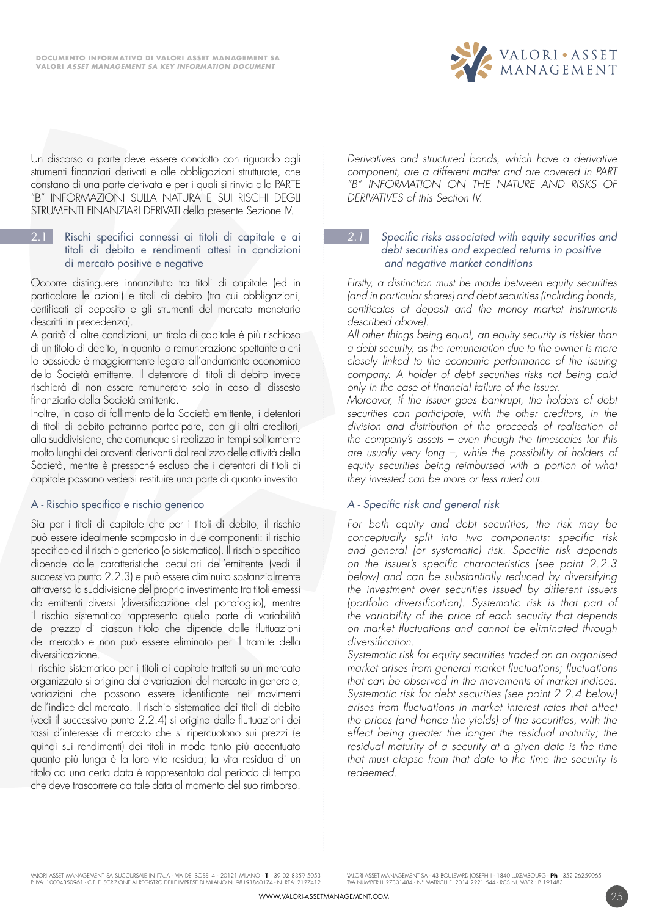

Un discorso a parte deve essere condotto con riguardo agli strumenti finanziari derivati e alle obbligazioni strutturate, che constano di una parte derivata e per i quali si rinvia alla PARTE "B" INFORMAZIONI SULLA NATURA E SUI RISCHI DEGLI STRUMENTI FINANZIARI DERIVATI della presente Sezione IV.

#### 2.1 Rischi specifici connessi ai titoli di capitale e ai titoli di debito e rendimenti attesi in condizioni di mercato positive e negative

Occorre distinguere innanzitutto tra titoli di capitale (ed in particolare le azioni) e titoli di debito (tra cui obbligazioni, certificati di deposito e gli strumenti del mercato monetario descritti in precedenza).

A parità di altre condizioni, un titolo di capitale è più rischioso di un titolo di debito, in quanto la remunerazione spettante a chi lo possiede è maggiormente legata all'andamento economico della Società emittente. Il detentore di titoli di debito invece rischierà di non essere remunerato solo in caso di dissesto finanziario della Società emittente.

Inoltre, in caso di fallimento della Società emittente, i detentori di titoli di debito potranno partecipare, con gli altri creditori, alla suddivisione, che comunque si realizza in tempi solitamente molto lunghi dei proventi derivanti dal realizzo delle attività della Società, mentre è pressoché escluso che i detentori di titoli di capitale possano vedersi restituire una parte di quanto investito.

## A - Rischio specifico e rischio generico

Sia per i titoli di capitale che per i titoli di debito, il rischio può essere idealmente scomposto in due componenti: il rischio specifico ed il rischio generico (o sistematico). Il rischio specifico dipende dalle caratteristiche peculiari dell'emittente (vedi il successivo punto 2.2.3) e può essere diminuito sostanzialmente attraverso la suddivisione del proprio investimento tra titoli emessi da emittenti diversi (diversificazione del portafoglio), mentre il rischio sistematico rappresenta quella parte di variabilità del prezzo di ciascun titolo che dipende dalle fluttuazioni del mercato e non può essere eliminato per il tramite della diversificazione.

Il rischio sistematico per i titoli di capitale trattati su un mercato organizzato si origina dalle variazioni del mercato in generale; variazioni che possono essere identificate nei movimenti dell'indice del mercato. Il rischio sistematico dei titoli di debito (vedi il successivo punto 2.2.4) si origina dalle fluttuazioni dei tassi d'interesse di mercato che si ripercuotono sui prezzi (e quindi sui rendimenti) dei titoli in modo tanto più accentuato quanto più lunga è la loro vita residua; la vita residua di un titolo ad una certa data è rappresentata dal periodo di tempo che deve trascorrere da tale data al momento del suo rimborso.

*Derivatives and structured bonds, which have a derivative component, are a different matter and are covered in PART "B" INFORMATION ON THE NATURE AND RISKS OF DERIVATIVES of this Section IV.*

## *2.1 Specific risks associated with equity securities and debt securities and expected returns in positive and negative market conditions*

*Firstly, a distinction must be made between equity securities (and in particular shares) and debt securities (including bonds, certificates of deposit and the money market instruments described above).*

*All other things being equal, an equity security is riskier than a debt security, as the remuneration due to the owner is more closely linked to the economic performance of the issuing company. A holder of debt securities risks not being paid only in the case of financial failure of the issuer.*

*Moreover, if the issuer goes bankrupt, the holders of debt securities can participate, with the other creditors, in the division and distribution of the proceeds of realisation of the company's assets – even though the timescales for this are usually very long –, while the possibility of holders of equity securities being reimbursed with a portion of what they invested can be more or less ruled out.*

# *A - Specific risk and general risk*

*For both equity and debt securities, the risk may be conceptually split into two components: specific risk and general (or systematic) risk. Specific risk depends on the issuer's specific characteristics (see point 2.2.3 below) and can be substantially reduced by diversifying the investment over securities issued by different issuers (portfolio diversification). Systematic risk is that part of the variability of the price of each security that depends on market fluctuations and cannot be eliminated through diversification.*

*Systematic risk for equity securities traded on an organised market arises from general market fluctuations; fluctuations that can be observed in the movements of market indices. Systematic risk for debt securities (see point 2.2.4 below) arises from fluctuations in market interest rates that affect the prices (and hence the yields) of the securities, with the effect being greater the longer the residual maturity; the residual maturity of a security at a given date is the time that must elapse from that date to the time the security is redeemed.*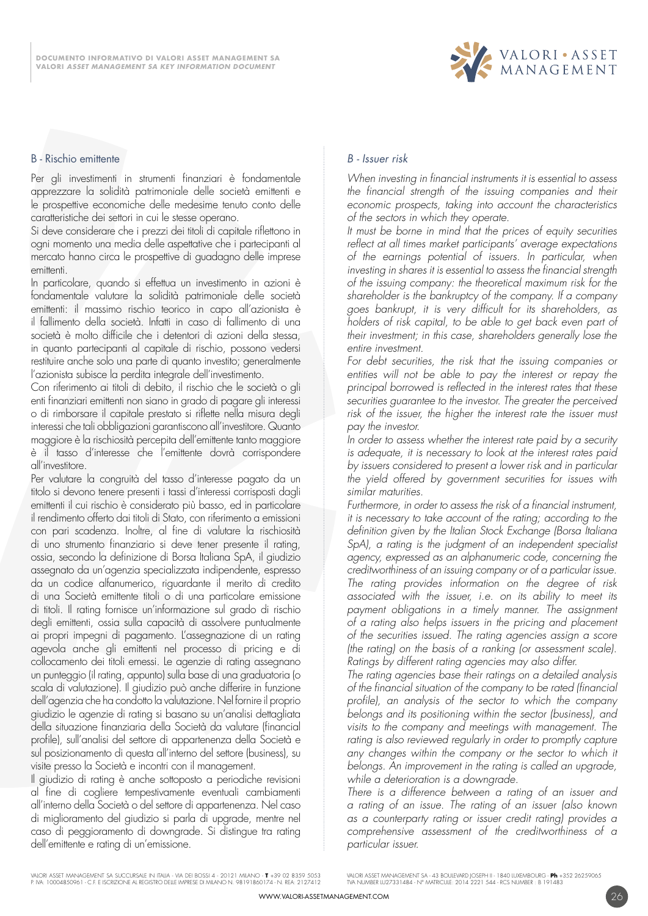

#### B - Rischio emittente

Per gli investimenti in strumenti finanziari è fondamentale apprezzare la solidità patrimoniale delle società emittenti e le prospettive economiche delle medesime tenuto conto delle caratteristiche dei settori in cui le stesse operano.

Si deve considerare che i prezzi dei titoli di capitale riflettono in ogni momento una media delle aspettative che i partecipanti al mercato hanno circa le prospettive di guadagno delle imprese emittenti.

In particolare, quando si effettua un investimento in azioni è fondamentale valutare la solidità patrimoniale delle società emittenti: il massimo rischio teorico in capo all'azionista è il fallimento della società. Infatti in caso di fallimento di una società è molto difficile che i detentori di azioni della stessa, in quanto partecipanti al capitale di rischio, possono vedersi restituire anche solo una parte di quanto investito; generalmente l'azionista subisce la perdita integrale dell'investimento.

Con riferimento ai titoli di debito, il rischio che le società o gli enti finanziari emittenti non siano in grado di pagare gli interessi o di rimborsare il capitale prestato si riflette nella misura degli interessi che tali obbligazioni garantiscono all'investitore. Quanto maggiore è la rischiosità percepita dell'emittente tanto maggiore è il tasso d'interesse che l'emittente dovrà corrispondere all'investitore.

Per valutare la congruità del tasso d'interesse pagato da un titolo si devono tenere presenti i tassi d'interessi corrisposti dagli emittenti il cui rischio è considerato più basso, ed in particolare il rendimento offerto dai titoli di Stato, con riferimento a emissioni con pari scadenza. Inoltre, al fine di valutare la rischiosità di uno strumento finanziario si deve tener presente il rating, ossia, secondo la definizione di Borsa Italiana SpA, il giudizio assegnato da un'agenzia specializzata indipendente, espresso da un codice alfanumerico, riguardante il merito di credito di una Società emittente titoli o di una particolare emissione di titoli. Il rating fornisce un'informazione sul grado di rischio degli emittenti, ossia sulla capacità di assolvere puntualmente ai propri impegni di pagamento. L'assegnazione di un rating agevola anche gli emittenti nel processo di pricing e di collocamento dei titoli emessi. Le agenzie di rating assegnano un punteggio (il rating, appunto) sulla base di una graduatoria (o scala di valutazione). Il giudizio può anche differire in funzione dell'agenzia che ha condotto la valutazione. Nel fornire il proprio giudizio le agenzie di rating si basano su un'analisi dettagliata della situazione finanziaria della Società da valutare (financial profile), sull'analisi del settore di appartenenza della Società e sul posizionamento di questa all'interno del settore (business), su visite presso la Società e incontri con il management.

Il giudizio di rating è anche sottoposto a periodiche revisioni al fine di cogliere tempestivamente eventuali cambiamenti all'interno della Società o del settore di appartenenza. Nel caso di miglioramento del giudizio si parla di upgrade, mentre nel caso di peggioramento di downgrade. Si distingue tra rating dell'emittente e rating di un'emissione.

## *B - Issuer risk*

*When investing in financial instruments it is essential to assess the financial strength of the issuing companies and their economic prospects, taking into account the characteristics of the sectors in which they operate.*

*It must be borne in mind that the prices of equity securities reflect at all times market participants' average expectations of the earnings potential of issuers. In particular, when investing in shares it is essential to assess the financial strength of the issuing company: the theoretical maximum risk for the shareholder is the bankruptcy of the company. If a company goes bankrupt, it is very difficult for its shareholders, as holders of risk capital, to be able to get back even part of their investment; in this case, shareholders generally lose the entire investment.*

*For debt securities, the risk that the issuing companies or entities will not be able to pay the interest or repay the principal borrowed is reflected in the interest rates that these securities guarantee to the investor. The greater the perceived risk of the issuer, the higher the interest rate the issuer must pay the investor.*

*In order to assess whether the interest rate paid by a security is adequate, it is necessary to look at the interest rates paid by issuers considered to present a lower risk and in particular the yield offered by government securities for issues with similar maturities.*

*Furthermore, in order to assess the risk of a financial instrument, it is necessary to take account of the rating; according to the definition given by the Italian Stock Exchange (Borsa Italiana SpA), a rating is the judgment of an independent specialist agency, expressed as an alphanumeric code, concerning the creditworthiness of an issuing company or of a particular issue. The rating provides information on the degree of risk associated with the issuer, i.e. on its ability to meet its payment obligations in a timely manner. The assignment of a rating also helps issuers in the pricing and placement of the securities issued. The rating agencies assign a score (the rating) on the basis of a ranking (or assessment scale). Ratings by different rating agencies may also differ.*

*The rating agencies base their ratings on a detailed analysis of the financial situation of the company to be rated (financial profile), an analysis of the sector to which the company belongs and its positioning within the sector (business), and visits to the company and meetings with management. The rating is also reviewed regularly in order to promptly capture*  any changes within the company or the sector to which it *belongs. An improvement in the rating is called an upgrade, while a deterioration is a downgrade.*

*There is a difference between a rating of an issuer and a rating of an issue. The rating of an issuer (also known as a counterparty rating or issuer credit rating) provides a comprehensive assessment of the creditworthiness of a particular issuer.*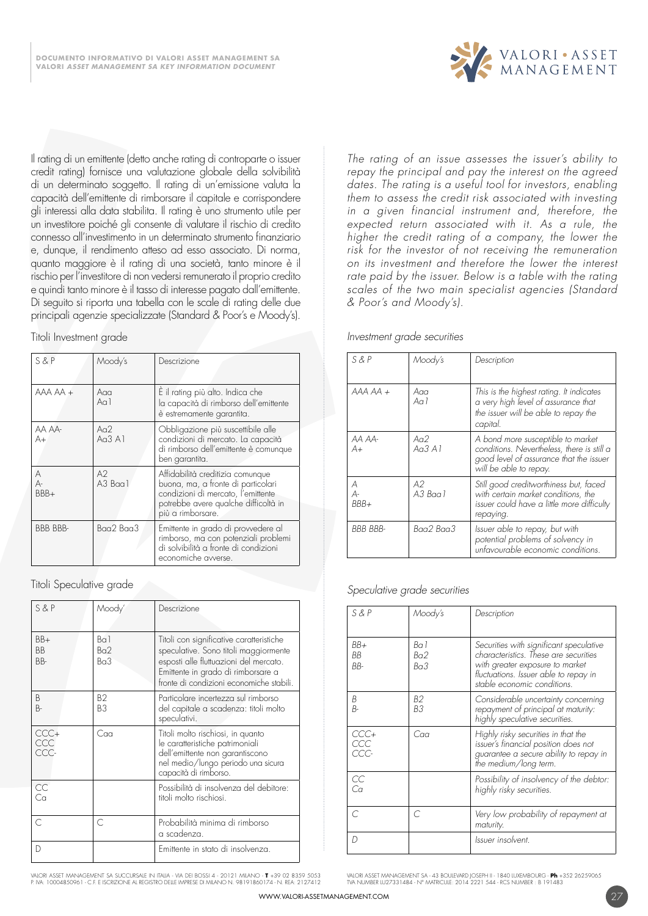

Il rating di un emittente (detto anche rating di controparte o issuer credit rating) fornisce una valutazione globale della solvibilità di un determinato soggetto. Il rating di un'emissione valuta la capacità dell'emittente di rimborsare il capitale e corrispondere gli interessi alla data stabilita. Il rating è uno strumento utile per un investitore poiché gli consente di valutare il rischio di credito connesso all'investimento in un determinato strumento finanziario e, dunque, il rendimento atteso ad esso associato. Di norma, quanto maggiore è il rating di una società, tanto minore è il rischio per l'investitore di non vedersi remunerato il proprio credito e quindi tanto minore è il tasso di interesse pagato dall'emittente. Di seguito si riporta una tabella con le scale di rating delle due principali agenzie specializzate (Standard & Poor's e Moody's).

#### Titoli Investment grade

| S & P              | Moody's                     | Descrizione                                                                                                                                                               |
|--------------------|-----------------------------|---------------------------------------------------------------------------------------------------------------------------------------------------------------------------|
| $AAAAA +$          | Aaa<br>Aa l                 | È il rating più alto. Indica che<br>la capacità di rimborso dell'emittente<br>è estremamente garantita.                                                                   |
| AA AA-<br>A+       | A $a$<br>A <sub>0</sub> 3A1 | Obbligazione più suscettibile alle<br>condizioni di mercato. La capacità<br>di rimborso dell'emittente è comunque<br>ben garantita.                                       |
| A<br>$A -$<br>BBB+ | A2<br>A3 Baal               | Affidabilità creditizia comunque<br>buona, ma, a fronte di particolari<br>condizioni di mercato, l'emittente<br>potrebbe avere qualche difficoltà in<br>più a rimborsare. |
| BBB BBB-           | Baa2 Baa3                   | Emittente in grado di provvedere al<br>rimborso, ma con potenziali problemi<br>di solvibilità a fronte di condizioni<br>economiche avverse.                               |

Titoli Speculative grade

| S & P                   | Moody'                      | Descrizione                                                                                                                                                                                                   |
|-------------------------|-----------------------------|---------------------------------------------------------------------------------------------------------------------------------------------------------------------------------------------------------------|
| BB+<br><b>BB</b><br>BB- | Ba 1<br>Ba2<br>Ba3          | Titoli con significative caratteristiche<br>speculative. Sono titoli maggiormente<br>esposti alle fluttuazioni del mercato.<br>Emittente in grado di rimborsare a<br>fronte di condizioni economiche stabili. |
| B<br>$B -$              | <b>B2</b><br>B <sub>3</sub> | Particolare incertezza sul rimborso<br>del capitale a scadenza: titoli molto<br>speculativi.                                                                                                                  |
| $CCC +$<br>CCC<br>CCC-  | Caa                         | Titoli molto rischiosi, in quanto<br>le caratteristiche patrimoniali<br>dell'emittente non garantiscono<br>nel medio/lungo periodo una sicura<br>capacità di rimborso.                                        |
| CC<br>Ċa                |                             | Possibilità di insolvenza del debitore:<br>titoli molto rischiosi.                                                                                                                                            |
| $\subset$               | С                           | Probabilità minima di rimborso<br>a scadenza.                                                                                                                                                                 |
| D                       |                             | Emittente in stato di insolvenza.                                                                                                                                                                             |

VALORI ASSET MANAGEMENT SA SUCCURSALE IN ITALIA - VIA DEI BOSSI 4 - 20121 MILANO - **T** +39 02 8359 5053 P. IVA: 10004850961 - C.F. E ISCRIZIONE AL REGISTRO DELLE IMPRESE DI MILANO N. 98191860174 - N. REA: 2127412

*The rating of an issue assesses the issuer's ability to repay the principal and pay the interest on the agreed dates. The rating is a useful tool for investors, enabling them to assess the credit risk associated with investing in a given financial instrument and, therefore, the expected return associated with it. As a rule, the higher the credit rating of a company, the lower the risk for the investor of not receiving the remuneration on its investment and therefore the lower the interest rate paid by the issuer. Below is a table with the rating scales of the two main specialist agencies (Standard & Poor's and Moody's).*

#### *Investment grade securities*

| S & P           | Moody's          | Description                                                                                                                                          |
|-----------------|------------------|------------------------------------------------------------------------------------------------------------------------------------------------------|
| $AAA$ $AA$ +    | Aaa<br>Aa 1      | This is the highest rating. It indicates<br>a very high level of assurance that<br>the issuer will be able to repay the<br>capital.                  |
| AA AA-<br>A+    | Aa2<br>$A0$ 3 Al | A bond more susceptible to market<br>conditions. Nevertheless, there is still a<br>good level of assurance that the issuer<br>will be able to repay. |
| А<br>Д-<br>BBB+ | A2<br>$A3$ Baal  | Still good creditworthiness but, faced<br>with certain market conditions, the<br>issuer could have a little more difficulty<br>repaying.             |
| BBB BBB-        | Baa2 Baa3        | Issuer able to repay, but with<br>potential problems of solvency in<br>unfavourable economic conditions.                                             |

## *Speculative grade securities*

| S & P               | Moody's                                    | Description                                                                                                                                                                                 |
|---------------------|--------------------------------------------|---------------------------------------------------------------------------------------------------------------------------------------------------------------------------------------------|
| BB+<br>RВ.<br>BB-   | B <sub>0</sub> 1<br>Ba2<br>Ba <sub>3</sub> | Securities with significant speculative<br>characteristics. These are securities<br>with greater exposure to market<br>fluctuations. Issuer able to repay in<br>stable economic conditions. |
| B<br>B-             | B2<br>B <sub>3</sub>                       | Considerable uncertainty concerning<br>repayment of principal at maturity:<br>highly speculative securities.                                                                                |
| CCC+<br>CCC<br>CCC- | Caa                                        | Highly risky securities in that the<br>issuer's financial position does not<br>guarantee a secure ability to repay in<br>the medium/long term.                                              |
| CC<br>Cа            |                                            | Possibility of insolvency of the debtor:<br>highly risky securities.                                                                                                                        |
| $\subset$           | ⌒                                          | Very low probability of repayment at<br>maturity.                                                                                                                                           |
| D                   |                                            | Issuer insolvent.                                                                                                                                                                           |

VALORI ASSET MANAGEMENT SA - 43 BOULEVARD JOSEPH II - 1840 LUXEMBOURG - **Ph** +352 26259065 TVA NUMBER LU27331484 - N° MATRICULE: 2014 2221 544 - RCS NUMBER : B 191483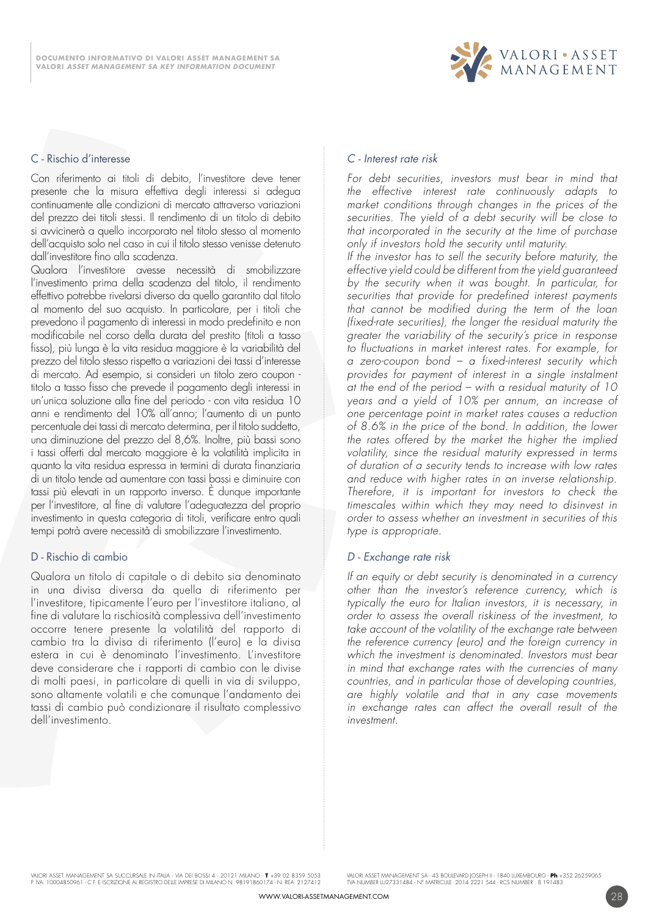

# C - Rischio d'interesse

Con riferimento ai titoli di debito, l'investitore deve tener presente che la misura effettiva degli interessi si adegua continuamente alle condizioni di mercato attraverso variazioni del prezzo dei titoli stessi. Il rendimento di un titolo di debito si avvicinerà a quello incorporato nel titolo stesso al momento dell'acquisto solo nel caso in cui il titolo stesso venisse detenuto dall'investitore fino alla scadenza.

Qualora l'investitore avesse necessità di smobilizzare l'investimento prima della scadenza del titolo, il rendimento effettivo potrebbe rivelarsi diverso da quello garantito dal titolo al momento del suo acquisto. In particolare, per i titoli che prevedono il pagamento di interessi in modo predefinito e non modificabile nel corso della durata del prestito (titoli a tasso fisso), più lunga è la vita residua maggiore è la variabilità del prezzo del titolo stesso rispetto a variazioni dei tassi d'interesse di mercato. Ad esempio, si consideri un titolo zero coupon titolo a tasso fisso che prevede il pagamento degli interessi in un'unica soluzione alla fine del periodo - con vita residua 10 anni e rendimento del 10% all'anno; l'aumento di un punto percentuale dei tassi di mercato determina, per il titolo suddetto, una diminuzione del prezzo del 8,6%. Inoltre, più bassi sono i tassi offerti dal mercato maggiore è la volatilità implicita in quanto la vita residua espressa in termini di durata finanziaria di un titolo tende ad aumentare con tassi bassi e diminuire con tassi più elevati in un rapporto inverso. È dunque importante per l'investitore, al fine di valutare l'adeguatezza del proprio investimento in questa categoria di titoli, verificare entro quali tempi potrà avere necessità di smobilizzare l'investimento.

#### D - Rischio di cambio

Qualora un titolo di capitale o di debito sia denominato in una divisa diversa da quella di riferimento per l'investitore, tipicamente l'euro per l'investitore italiano, al fine di valutare la rischiosità complessiva dell'investimento occorre tenere presente la volatilità del rapporto di cambio tra la divisa di riferimento (l'euro) e la divisa estera in cui è denominato l'investimento. L'investitore deve considerare che i rapporti di cambio con le divise di molti paesi, in particolare di quelli in via di sviluppo, sono altamente volatili e che comunque l'andamento dei tassi di cambio può condizionare il risultato complessivo dell'investimento.

#### *C - Interest rate risk*

*For debt securities, investors must bear in mind that the effective interest rate continuously adapts to market conditions through changes in the prices of the securities. The yield of a debt security will be close to that incorporated in the security at the time of purchase only if investors hold the security until maturity.*

*If the investor has to sell the security before maturity, the effective yield could be different from the yield guaranteed by the security when it was bought. In particular, for securities that provide for predefined interest payments that cannot be modified during the term of the loan (fixed-rate securities), the longer the residual maturity the greater the variability of the security's price in response to fluctuations in market interest rates. For example, for a zero-coupon bond – a fixed-interest security which provides for payment of interest in a single instalment at the end of the period – with a residual maturity of 10 years and a yield of 10% per annum, an increase of one percentage point in market rates causes a reduction of 8.6% in the price of the bond. In addition, the lower the rates offered by the market the higher the implied volatility, since the residual maturity expressed in terms of duration of a security tends to increase with low rates and reduce with higher rates in an inverse relationship. Therefore, it is important for investors to check the timescales within which they may need to disinvest in order to assess whether an investment in securities of this type is appropriate.*

## *D - Exchange rate risk*

*If an equity or debt security is denominated in a currency other than the investor's reference currency, which is typically the euro for Italian investors, it is necessary, in order to assess the overall riskiness of the investment, to take account of the volatility of the exchange rate between the reference currency (euro) and the foreign currency in which the investment is denominated. Investors must bear in mind that exchange rates with the currencies of many countries, and in particular those of developing countries, are highly volatile and that in any case movements in exchange rates can affect the overall result of the investment.*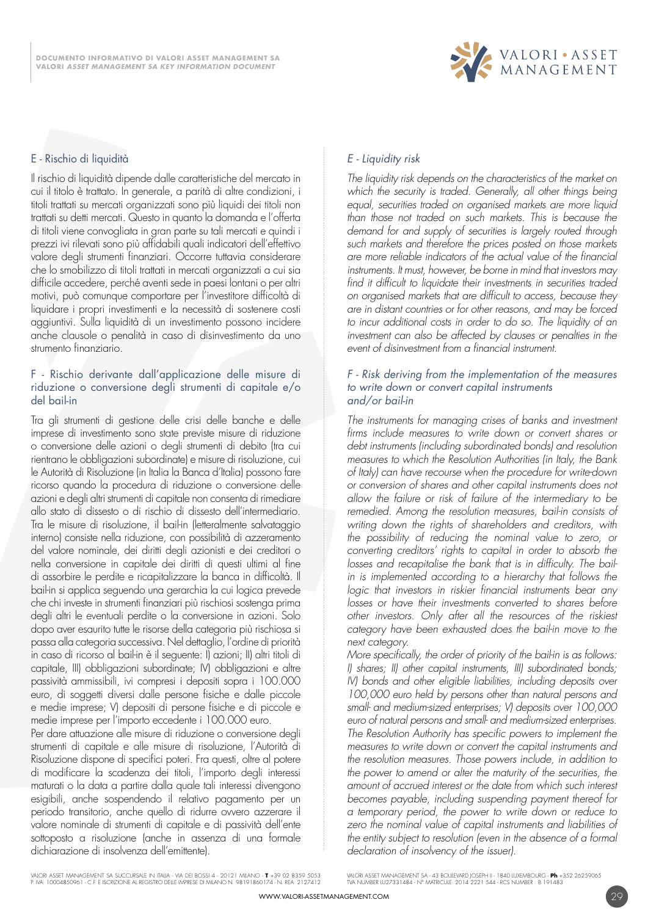

## E - Rischio di liquidità

Il rischio di liquidità dipende dalle caratteristiche del mercato in cui il titolo è trattato. In generale, a parità di altre condizioni, i titoli trattati su mercati organizzati sono più liquidi dei titoli non trattati su detti mercati. Questo in quanto la domanda e l'offerta di titoli viene convogliata in gran parte su tali mercati e quindi i prezzi ivi rilevati sono più affidabili quali indicatori dell'effettivo valore degli strumenti finanziari. Occorre tuttavia considerare che lo smobilizzo di titoli trattati in mercati organizzati a cui sia difficile accedere, perché aventi sede in paesi lontani o per altri motivi, può comunque comportare per l'investitore difficoltà di liquidare i propri investimenti e la necessità di sostenere costi aggiuntivi. Sulla liquidità di un investimento possono incidere anche clausole o penalità in caso di disinvestimento da uno strumento finanziario.

#### F - Rischio derivante dall'applicazione delle misure di riduzione o conversione degli strumenti di capitale e/o del bail-in

Tra gli strumenti di gestione delle crisi delle banche e delle imprese di investimento sono state previste misure di riduzione o conversione delle azioni o degli strumenti di debito (tra cui rientrano le obbligazioni subordinate) e misure di risoluzione, cui le Autorità di Risoluzione (in Italia la Banca d'Italia) possono fare ricorso quando la procedura di riduzione o conversione delle azioni e degli altri strumenti di capitale non consenta di rimediare allo stato di dissesto o di rischio di dissesto dell'intermediario. Tra le misure di risoluzione, il bail-in (letteralmente salvataggio interno) consiste nella riduzione, con possibilità di azzeramento del valore nominale, dei diritti degli azionisti e dei creditori o nella conversione in capitale dei diritti di questi ultimi al fine di assorbire le perdite e ricapitalizzare la banca in difficoltà. Il bail-in si applica seguendo una gerarchia la cui logica prevede che chi investe in strumenti finanziari più rischiosi sostenga prima degli altri le eventuali perdite o la conversione in azioni. Solo dopo aver esaurito tutte le risorse della categoria più rischiosa si passa alla categoria successiva. Nel dettaglio, l'ordine di priorità in caso di ricorso al bail-in è il seguente: I) azioni; II) altri titoli di capitale, III) obbligazioni subordinate; IV) obbligazioni e altre passività ammissibili, ivi compresi i depositi sopra i 100.000 euro, di soggetti diversi dalle persone fisiche e dalle piccole e medie imprese; V) depositi di persone fisiche e di piccole e medie imprese per l'importo eccedente i 100.000 euro.

Per dare attuazione alle misure di riduzione o conversione degli strumenti di capitale e alle misure di risoluzione, l'Autorità di Risoluzione dispone di specifici poteri. Fra questi, oltre al potere di modificare la scadenza dei titoli, l'importo degli interessi maturati o la data a partire dalla quale tali interessi divengono esigibili, anche sospendendo il relativo pagamento per un periodo transitorio, anche quello di ridurre ovvero azzerare il valore nominale di strumenti di capitale e di passività dell'ente sottoposto a risoluzione (anche in assenza di una formale dichiarazione di insolvenza dell'emittente).

# *E - Liquidity risk*

*The liquidity risk depends on the characteristics of the market on*  which the security is traded. Generally, all other things being *equal, securities traded on organised markets are more liquid than those not traded on such markets. This is because the demand for and supply of securities is largely routed through such markets and therefore the prices posted on those markets are more reliable indicators of the actual value of the financial instruments. It must, however, be borne in mind that investors may find it difficult to liquidate their investments in securities traded on organised markets that are difficult to access, because they are in distant countries or for other reasons, and may be forced to incur additional costs in order to do so. The liquidity of an investment can also be affected by clauses or penalties in the event of disinvestment from a financial instrument.* 

#### *F - Risk deriving from the implementation of the measures to write down or convert capital instruments and/or bail-in*

*The instruments for managing crises of banks and investment firms include measures to write down or convert shares or debt instruments (including subordinated bonds) and resolution measures to which the Resolution Authorities (in Italy, the Bank of Italy) can have recourse when the procedure for write-down or conversion of shares and other capital instruments does not allow the failure or risk of failure of the intermediary to be remedied. Among the resolution measures, bail-in consists of writing down the rights of shareholders and creditors, with the possibility of reducing the nominal value to zero, or converting creditors' rights to capital in order to absorb the losses and recapitalise the bank that is in difficulty. The bailin is implemented according to a hierarchy that follows the logic that investors in riskier financial instruments bear any losses or have their investments converted to shares before other investors. Only after all the resources of the riskiest category have been exhausted does the bail-in move to the next category.*

*More specifically, the order of priority of the bail-in is as follows: I) shares; II) other capital instruments, III) subordinated bonds; IV)* bonds and other eligible liabilities, including deposits over *100,000 euro held by persons other than natural persons and small- and medium-sized enterprises; V) deposits over 100,000 euro of natural persons and small- and medium-sized enterprises. The Resolution Authority has specific powers to implement the measures to write down or convert the capital instruments and the resolution measures. Those powers include, in addition to the power to amend or alter the maturity of the securities, the amount of accrued interest or the date from which such interest becomes payable, including suspending payment thereof for a temporary period, the power to write down or reduce to zero the nominal value of capital instruments and liabilities of the entity subject to resolution (even in the absence of a formal declaration of insolvency of the issuer).*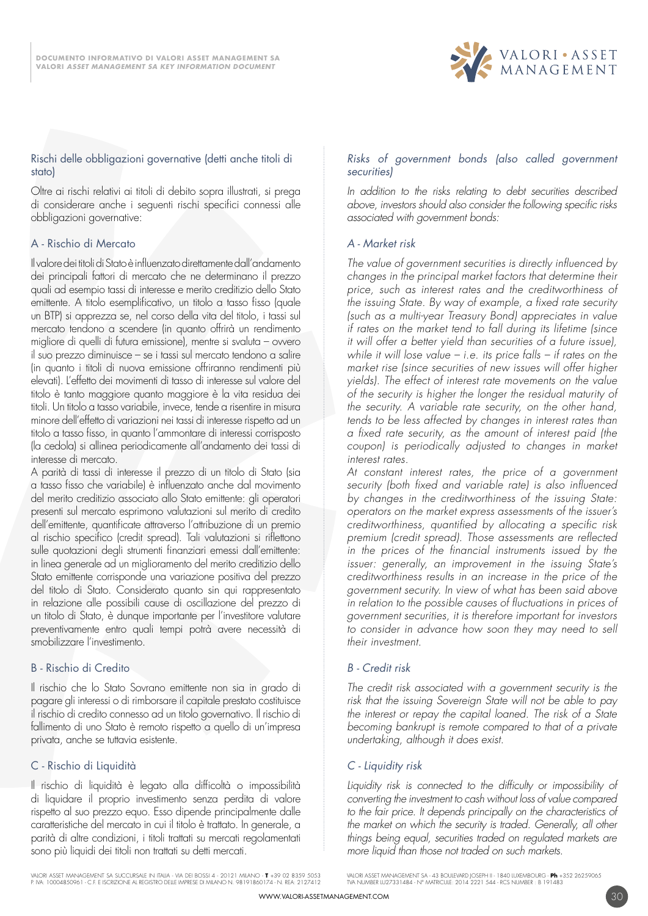

## Rischi delle obbligazioni governative (detti anche titoli di stato)

Oltre ai rischi relativi ai titoli di debito sopra illustrati, si prega di considerare anche i seguenti rischi specifici connessi alle obbligazioni governative:

# A - Rischio di Mercato

Il valore dei titoli di Stato è influenzato direttamente dall'andamento dei principali fattori di mercato che ne determinano il prezzo quali ad esempio tassi di interesse e merito creditizio dello Stato emittente. A titolo esemplificativo, un titolo a tasso fisso (quale un BTP) si apprezza se, nel corso della vita del titolo, i tassi sul mercato tendono a scendere (in quanto offrirà un rendimento migliore di quelli di futura emissione), mentre si svaluta – ovvero il suo prezzo diminuisce – se i tassi sul mercato tendono a salire (in quanto i titoli di nuova emissione offriranno rendimenti più elevati). L'effetto dei movimenti di tasso di interesse sul valore del titolo è tanto maggiore quanto maggiore è la vita residua dei titoli. Un titolo a tasso variabile, invece, tende a risentire in misura minore dell'effetto di variazioni nei tassi di interesse rispetto ad un titolo a tasso fisso, in quanto l'ammontare di interessi corrisposto (la cedola) si allinea periodicamente all'andamento dei tassi di interesse di mercato.

A parità di tassi di interesse il prezzo di un titolo di Stato (sia a tasso fisso che variabile) è influenzato anche dal movimento del merito creditizio associato allo Stato emittente: gli operatori presenti sul mercato esprimono valutazioni sul merito di credito dell'emittente, quantificate attraverso l'attribuzione di un premio al rischio specifico (credit spread). Tali valutazioni si riflettono sulle quotazioni degli strumenti finanziari emessi dall'emittente: in linea generale ad un miglioramento del merito creditizio dello Stato emittente corrisponde una variazione positiva del prezzo del titolo di Stato. Considerato quanto sin qui rappresentato in relazione alle possibili cause di oscillazione del prezzo di un titolo di Stato, è dunque importante per l'investitore valutare preventivamente entro quali tempi potrà avere necessità di smobilizzare l'investimento.

# B - Rischio di Credito

Il rischio che lo Stato Sovrano emittente non sia in grado di pagare gli interessi o di rimborsare il capitale prestato costituisce il rischio di credito connesso ad un titolo governativo. Il rischio di fallimento di uno Stato è remoto rispetto a quello di un'impresa privata, anche se tuttavia esistente.

# C - Rischio di Liquidità

Il rischio di liquidità è legato alla difficoltà o impossibilità di liquidare il proprio investimento senza perdita di valore rispetto al suo prezzo equo. Esso dipende principalmente dalle caratteristiche del mercato in cui il titolo è trattato. In generale, a parità di altre condizioni, i titoli trattati su mercati regolamentati sono più liquidi dei titoli non trattati su detti mercati.

# *Risks of government bonds (also called government securities)*

*In addition to the risks relating to debt securities described above, investors should also consider the following specific risks associated with government bonds:* 

# *A - Market risk*

*The value of government securities is directly influenced by changes in the principal market factors that determine their price, such as interest rates and the creditworthiness of the issuing State. By way of example, a fixed rate security (such as a multi-year Treasury Bond) appreciates in value if rates on the market tend to fall during its lifetime (since it will offer a better yield than securities of a future issue), while it will lose value – i.e. its price falls – if rates on the market rise (since securities of new issues will offer higher yields). The effect of interest rate movements on the value of the security is higher the longer the residual maturity of the security. A variable rate security, on the other hand, tends to be less affected by changes in interest rates than a fixed rate security, as the amount of interest paid (the coupon) is periodically adjusted to changes in market interest rates.*

*At constant interest rates, the price of a government security (both fixed and variable rate) is also influenced by changes in the creditworthiness of the issuing State: operators on the market express assessments of the issuer's creditworthiness, quantified by allocating a specific risk premium (credit spread). Those assessments are reflected in the prices of the financial instruments issued by the issuer: generally, an improvement in the issuing State's creditworthiness results in an increase in the price of the government security. In view of what has been said above in relation to the possible causes of fluctuations in prices of government securities, it is therefore important for investors to consider in advance how soon they may need to sell their investment.* 

# *B - Credit risk*

*The credit risk associated with a government security is the risk that the issuing Sovereign State will not be able to pay the interest or repay the capital loaned. The risk of a State becoming bankrupt is remote compared to that of a private undertaking, although it does exist.*

# *C - Liquidity risk*

Liquidity risk is connected to the difficulty or impossibility of *converting the investment to cash without loss of value compared to the fair price. It depends principally on the characteristics of*  the market on which the security is traded. Generally, all other *things being equal, securities traded on regulated markets are more liquid than those not traded on such markets.*

VALORI ASSET MANAGEMENT SA - 43 BOULEVARD JOSEPH II - 1840 LUXEMBOURG - **Ph** +352 26259065 TVA NUMBER LU27331484 - N° MATRICULE: 2014 2221 544 - RCS NUMBER : B 191483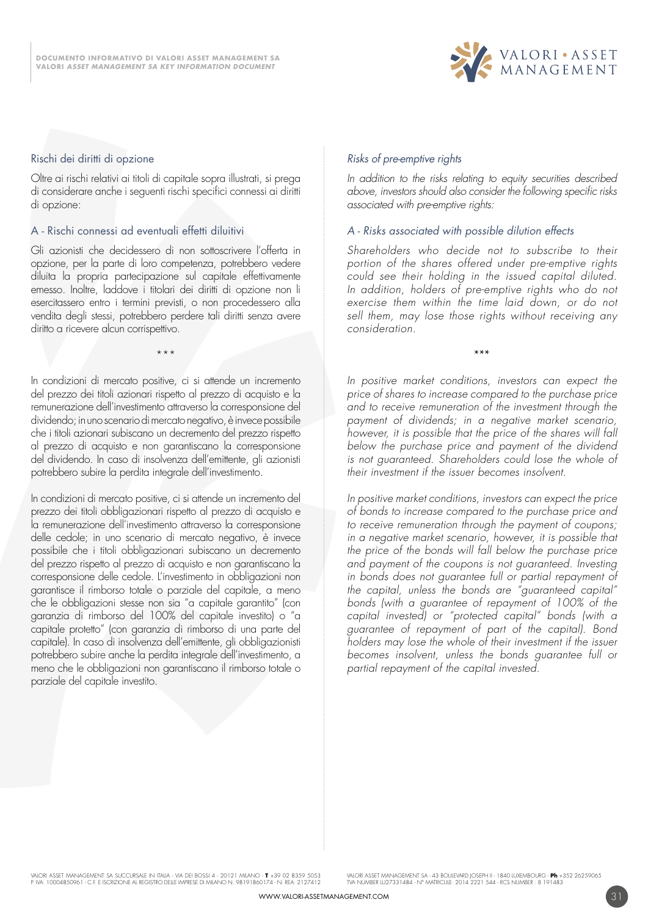

#### Rischi dei diritti di opzione

Oltre ai rischi relativi ai titoli di capitale sopra illustrati, si prega di considerare anche i seguenti rischi specifici connessi ai diritti di opzione:

#### A - Rischi connessi ad eventuali effetti diluitivi

Gli azionisti che decidessero di non sottoscrivere l'offerta in opzione, per la parte di loro competenza, potrebbero vedere diluita la propria partecipazione sul capitale effettivamente emesso. Inoltre, laddove i titolari dei diritti di opzione non li esercitassero entro i termini previsti, o non procedessero alla vendita degli stessi, potrebbero perdere tali diritti senza avere diritto a ricevere alcun corrispettivo.

\*\*\*

In condizioni di mercato positive, ci si attende un incremento del prezzo dei titoli azionari rispetto al prezzo di acquisto e la remunerazione dell'investimento attraverso la corresponsione del dividendo; in uno scenario di mercato negativo, è invece possibile che i titoli azionari subiscano un decremento del prezzo rispetto al prezzo di acquisto e non garantiscano la corresponsione del dividendo. In caso di insolvenza dell'emittente, gli azionisti potrebbero subire la perdita integrale dell'investimento.

In condizioni di mercato positive, ci si attende un incremento del prezzo dei titoli obbligazionari rispetto al prezzo di acquisto e la remunerazione dell'investimento attraverso la corresponsione delle cedole; in uno scenario di mercato negativo, è invece possibile che i titoli obbligazionari subiscano un decremento del prezzo rispetto al prezzo di acquisto e non garantiscano la corresponsione delle cedole. L'investimento in obbligazioni non garantisce il rimborso totale o parziale del capitale, a meno che le obbligazioni stesse non sia "a capitale garantito" (con garanzia di rimborso del 100% del capitale investito) o "a capitale protetto" (con garanzia di rimborso di una parte del capitale). In caso di insolvenza dell'emittente, gli obbligazionisti potrebbero subire anche la perdita integrale dell'investimento, a meno che le obbligazioni non garantiscano il rimborso totale o parziale del capitale investito.

#### *Risks of pre-emptive rights*

*In addition to the risks relating to equity securities described above, investors should also consider the following specific risks associated with pre-emptive rights:* 

#### *A - Risks associated with possible dilution effects*

*Shareholders who decide not to subscribe to their portion of the shares offered under pre-emptive rights could see their holding in the issued capital diluted. In addition, holders of pre-emptive rights who do not exercise them within the time laid down, or do not sell them, may lose those rights without receiving any consideration.*

\*\*\*

*In positive market conditions, investors can expect the price of shares to increase compared to the purchase price and to receive remuneration of the investment through the payment of dividends; in a negative market scenario, however, it is possible that the price of the shares will fall below the purchase price and payment of the dividend is not guaranteed. Shareholders could lose the whole of their investment if the issuer becomes insolvent.*

*In positive market conditions, investors can expect the price of bonds to increase compared to the purchase price and to receive remuneration through the payment of coupons; in a negative market scenario, however, it is possible that the price of the bonds will fall below the purchase price and payment of the coupons is not guaranteed. Investing in bonds does not guarantee full or partial repayment of the capital, unless the bonds are "guaranteed capital" bonds (with a guarantee of repayment of 100% of the capital invested) or "protected capital" bonds (with a guarantee of repayment of part of the capital). Bond holders may lose the whole of their investment if the issuer becomes insolvent, unless the bonds guarantee full or partial repayment of the capital invested.*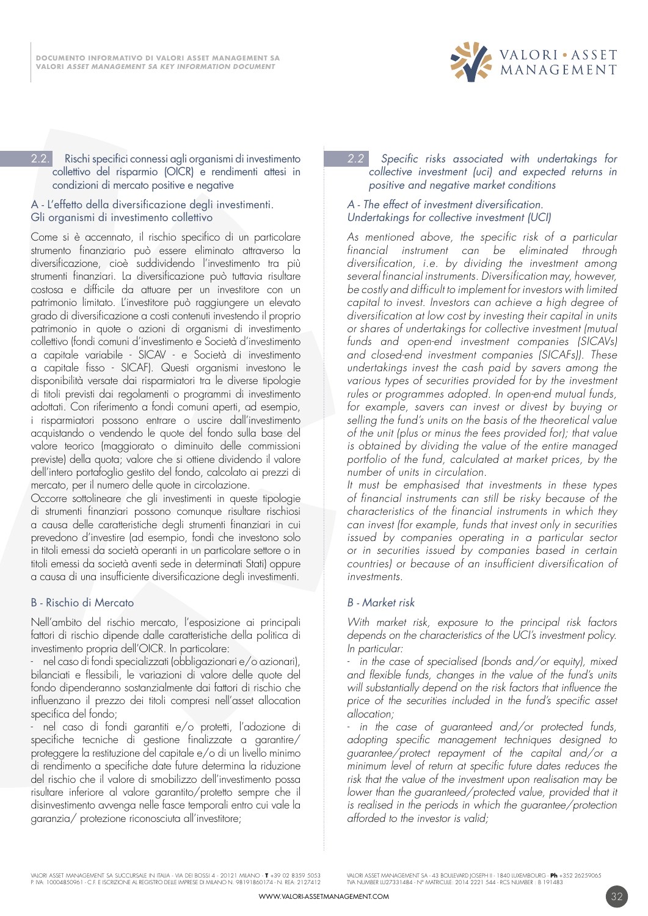

## 2.2. Rischi specifici connessi agli organismi di investimento collettivo del risparmio (OICR) e rendimenti attesi in condizioni di mercato positive e negative

#### A - L'effetto della diversificazione degli investimenti. Gli organismi di investimento collettivo

Come si è accennato, il rischio specifico di un particolare strumento finanziario può essere eliminato attraverso la diversificazione, cioè suddividendo l'investimento tra più strumenti finanziari. La diversificazione può tuttavia risultare costosa e difficile da attuare per un investitore con un patrimonio limitato. L'investitore può raggiungere un elevato grado di diversificazione a costi contenuti investendo il proprio patrimonio in quote o azioni di organismi di investimento collettivo (fondi comuni d'investimento e Società d'investimento a capitale variabile - SICAV - e Società di investimento a capitale fisso - SICAF). Questi organismi investono le disponibilità versate dai risparmiatori tra le diverse tipologie di titoli previsti dai regolamenti o programmi di investimento adottati. Con riferimento a fondi comuni aperti, ad esempio, i risparmiatori possono entrare o uscire dall'investimento acquistando o vendendo le quote del fondo sulla base del valore teorico (maggiorato o diminuito delle commissioni previste) della quota; valore che si ottiene dividendo il valore dell'intero portafoglio gestito del fondo, calcolato ai prezzi di mercato, per il numero delle quote in circolazione.

Occorre sottolineare che gli investimenti in queste tipologie di strumenti finanziari possono comunque risultare rischiosi a causa delle caratteristiche degli strumenti finanziari in cui prevedono d'investire (ad esempio, fondi che investono solo in titoli emessi da società operanti in un particolare settore o in titoli emessi da società aventi sede in determinati Stati) oppure a causa di una insufficiente diversificazione degli investimenti.

# B - Rischio di Mercato

Nell'ambito del rischio mercato, l'esposizione ai principali fattori di rischio dipende dalle caratteristiche della politica di investimento propria dell'OICR. In particolare:

- nel caso di fondi specializzati (obbligazionari e/o azionari), bilanciati e flessibili, le variazioni di valore delle quote del fondo dipenderanno sostanzialmente dai fattori di rischio che influenzano il prezzo dei titoli compresi nell'asset allocation specifica del fondo;

- nel caso di fondi garantiti e/o protetti, l'adozione di specifiche tecniche di gestione finalizzate a garantire/ proteggere la restituzione del capitale e/o di un livello minimo di rendimento a specifiche date future determina la riduzione del rischio che il valore di smobilizzo dell'investimento possa risultare inferiore al valore garantito/protetto sempre che il disinvestimento avvenga nelle fasce temporali entro cui vale la garanzia/ protezione riconosciuta all'investitore;

## *2.2 Specific risks associated with undertakings for collective investment (uci) and expected returns in positive and negative market conditions*

# *A - The effect of investment diversification. Undertakings for collective investment (UCI)*

*As mentioned above, the specific risk of a particular financial instrument can be eliminated through diversification, i.e. by dividing the investment among several financial instruments. Diversification may, however, be costly and difficult to implement for investors with limited capital to invest. Investors can achieve a high degree of diversification at low cost by investing their capital in units or shares of undertakings for collective investment (mutual funds and open-end investment companies (SICAVs) and closed-end investment companies (SICAFs)). These undertakings invest the cash paid by savers among the various types of securities provided for by the investment rules or programmes adopted. In open-end mutual funds, for example, savers can invest or divest by buying or selling the fund's units on the basis of the theoretical value of the unit (plus or minus the fees provided for); that value is obtained by dividing the value of the entire managed portfolio of the fund, calculated at market prices, by the number of units in circulation.*

*It must be emphasised that investments in these types of financial instruments can still be risky because of the characteristics of the financial instruments in which they can invest (for example, funds that invest only in securities issued by companies operating in a particular sector or in securities issued by companies based in certain countries) or because of an insufficient diversification of investments.*

# *B - Market risk*

*With market risk, exposure to the principal risk factors depends on the characteristics of the UCI's investment policy. In particular:*

*- in the case of specialised (bonds and/or equity), mixed and flexible funds, changes in the value of the fund's units will substantially depend on the risk factors that influence the price of the securities included in the fund's specific asset allocation;*

*- in the case of guaranteed and/or protected funds, adopting specific management techniques designed to guarantee/protect repayment of the capital and/or a minimum level of return at specific future dates reduces the risk that the value of the investment upon realisation may be lower than the guaranteed/protected value, provided that it is realised in the periods in which the guarantee/protection afforded to the investor is valid;*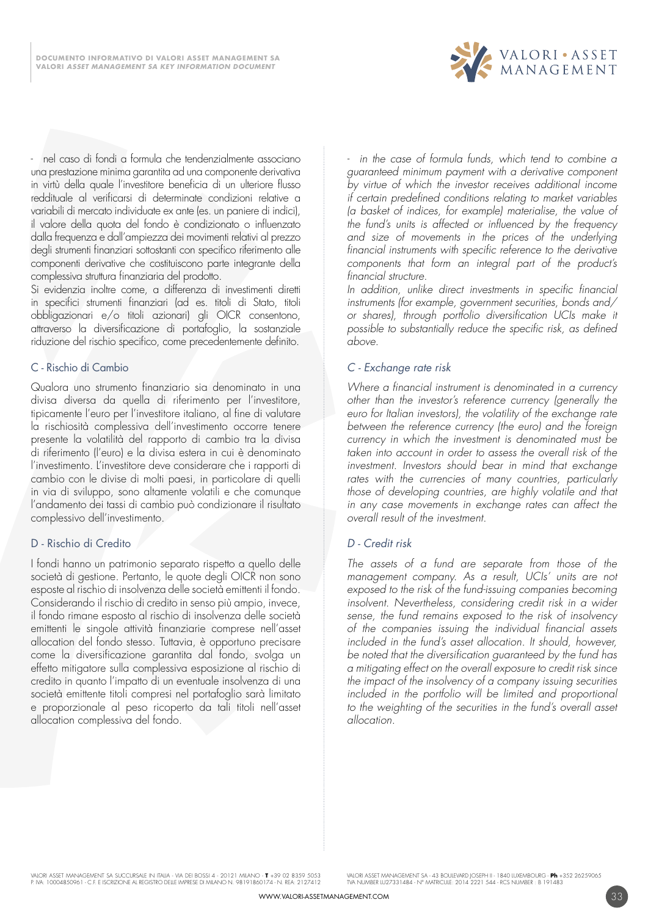

nel caso di fondi a formula che tendenzialmente associano una prestazione minima garantita ad una componente derivativa in virtù della quale l'investitore beneficia di un ulteriore flusso reddituale al verificarsi di determinate condizioni relative a variabili di mercato individuate ex ante (es. un paniere di indici), il valore della quota del fondo è condizionato o influenzato dalla frequenza e dall'ampiezza dei movimenti relativi al prezzo degli strumenti finanziari sottostanti con specifico riferimento alle componenti derivative che costituiscono parte integrante della complessiva struttura finanziaria del prodotto.

Si evidenzia inoltre come, a differenza di investimenti diretti in specifici strumenti finanziari (ad es. titoli di Stato, titoli obbligazionari e/o titoli azionari) gli OICR consentono, attraverso la diversificazione di portafoglio, la sostanziale riduzione del rischio specifico, come precedentemente definito.

# C - Rischio di Cambio

Qualora uno strumento finanziario sia denominato in una divisa diversa da quella di riferimento per l'investitore, tipicamente l'euro per l'investitore italiano, al fine di valutare la rischiosità complessiva dell'investimento occorre tenere presente la volatilità del rapporto di cambio tra la divisa di riferimento (l'euro) e la divisa estera in cui è denominato l'investimento. L'investitore deve considerare che i rapporti di cambio con le divise di molti paesi, in particolare di quelli in via di sviluppo, sono altamente volatili e che comunque l'andamento dei tassi di cambio può condizionare il risultato complessivo dell'investimento.

# D - Rischio di Credito

I fondi hanno un patrimonio separato rispetto a quello delle società di gestione. Pertanto, le quote degli OICR non sono esposte al rischio di insolvenza delle società emittenti il fondo. Considerando il rischio di credito in senso più ampio, invece, il fondo rimane esposto al rischio di insolvenza delle società emittenti le singole attività finanziarie comprese nell'asset allocation del fondo stesso. Tuttavia, è opportuno precisare come la diversificazione garantita dal fondo, svolga un effetto mitigatore sulla complessiva esposizione al rischio di credito in quanto l'impatto di un eventuale insolvenza di una società emittente titoli compresi nel portafoglio sarà limitato e proporzionale al peso ricoperto da tali titoli nell'asset allocation complessiva del fondo.

*- in the case of formula funds, which tend to combine a guaranteed minimum payment with a derivative component by virtue of which the investor receives additional income if certain predefined conditions relating to market variables (a basket of indices, for example) materialise, the value of the fund's units is affected or influenced by the frequency and size of movements in the prices of the underlying financial instruments with specific reference to the derivative components that form an integral part of the product's financial structure.*

*In addition, unlike direct investments in specific financial instruments (for example, government securities, bonds and/ or shares), through portfolio diversification UCIs make it possible to substantially reduce the specific risk, as defined above.*

# *C - Exchange rate risk*

*Where a financial instrument is denominated in a currency other than the investor's reference currency (generally the euro for Italian investors), the volatility of the exchange rate between the reference currency (the euro) and the foreign currency in which the investment is denominated must be taken into account in order to assess the overall risk of the investment. Investors should bear in mind that exchange*  rates with the currencies of many countries, particularly *those of developing countries, are highly volatile and that in any case movements in exchange rates can affect the overall result of the investment.*

# *D - Credit risk*

*The assets of a fund are separate from those of the management company. As a result, UCIs' units are not exposed to the risk of the fund-issuing companies becoming insolvent. Nevertheless, considering credit risk in a wider sense, the fund remains exposed to the risk of insolvency of the companies issuing the individual financial assets included in the fund's asset allocation. It should, however, be noted that the diversification guaranteed by the fund has a mitigating effect on the overall exposure to credit risk since the impact of the insolvency of a company issuing securities*  included in the portfolio will be limited and proportional *to the weighting of the securities in the fund's overall asset allocation.*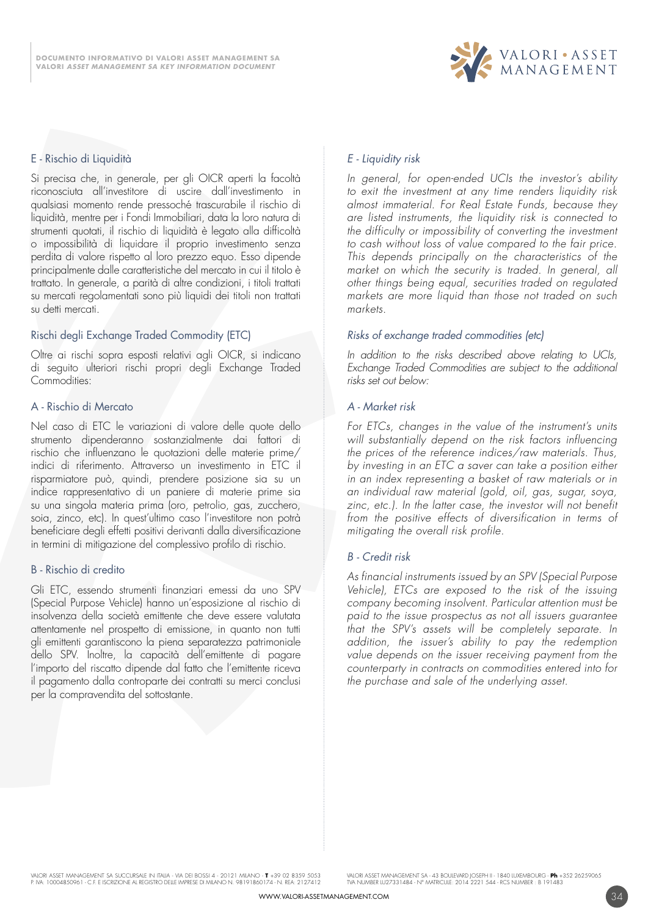

## E - Rischio di Liquidità

Si precisa che, in generale, per gli OICR aperti la facoltà riconosciuta all'investitore di uscire dall'investimento in qualsiasi momento rende pressoché trascurabile il rischio di liquidità, mentre per i Fondi Immobiliari, data la loro natura di strumenti quotati, il rischio di liquidità è legato alla difficoltà o impossibilità di liquidare il proprio investimento senza perdita di valore rispetto al loro prezzo equo. Esso dipende principalmente dalle caratteristiche del mercato in cui il titolo è trattato. In generale, a parità di altre condizioni, i titoli trattati su mercati regolamentati sono più liquidi dei titoli non trattati su detti mercati.

## Rischi degli Exchange Traded Commodity (ETC)

Oltre ai rischi sopra esposti relativi agli OICR, si indicano di seguito ulteriori rischi propri degli Exchange Traded Commodities:

## A - Rischio di Mercato

Nel caso di ETC le variazioni di valore delle quote dello strumento dipenderanno sostanzialmente dai fattori di rischio che influenzano le quotazioni delle materie prime/ indici di riferimento. Attraverso un investimento in ETC il risparmiatore può, quindi, prendere posizione sia su un indice rappresentativo di un paniere di materie prime sia su una singola materia prima (oro, petrolio, gas, zucchero, soia, zinco, etc). In quest'ultimo caso l'investitore non potrà beneficiare degli effetti positivi derivanti dalla diversificazione in termini di mitigazione del complessivo profilo di rischio.

#### B - Rischio di credito

Gli ETC, essendo strumenti finanziari emessi da uno SPV (Special Purpose Vehicle) hanno un'esposizione al rischio di insolvenza della società emittente che deve essere valutata attentamente nel prospetto di emissione, in quanto non tutti gli emittenti garantiscono la piena separatezza patrimoniale dello SPV. Inoltre, la capacità dell'emittente di pagare l'importo del riscatto dipende dal fatto che l'emittente riceva il pagamento dalla controparte dei contratti su merci conclusi per la compravendita del sottostante.

## *E - Liquidity risk*

*In general, for open-ended UCIs the investor's ability to exit the investment at any time renders liquidity risk almost immaterial. For Real Estate Funds, because they are listed instruments, the liquidity risk is connected to the difficulty or impossibility of converting the investment to cash without loss of value compared to the fair price. This depends principally on the characteristics of the market on which the security is traded. In general, all other things being equal, securities traded on regulated markets are more liquid than those not traded on such markets.* 

## *Risks of exchange traded commodities (etc)*

*In addition to the risks described above relating to UCIs, Exchange Traded Commodities are subject to the additional risks set out below:*

## *A - Market risk*

*For ETCs, changes in the value of the instrument's units will substantially depend on the risk factors influencing the prices of the reference indices/raw materials. Thus, by investing in an ETC a saver can take a position either in an index representing a basket of raw materials or in an individual raw material (gold, oil, gas, sugar, soya, zinc, etc.). In the latter case, the investor will not benefit from the positive effects of diversification in terms of mitigating the overall risk profile.* 

## *B - Credit risk*

*As financial instruments issued by an SPV (Special Purpose Vehicle), ETCs are exposed to the risk of the issuing company becoming insolvent. Particular attention must be paid to the issue prospectus as not all issuers guarantee that the SPV's assets will be completely separate. In addition, the issuer's ability to pay the redemption value depends on the issuer receiving payment from the counterparty in contracts on commodities entered into for the purchase and sale of the underlying asset.*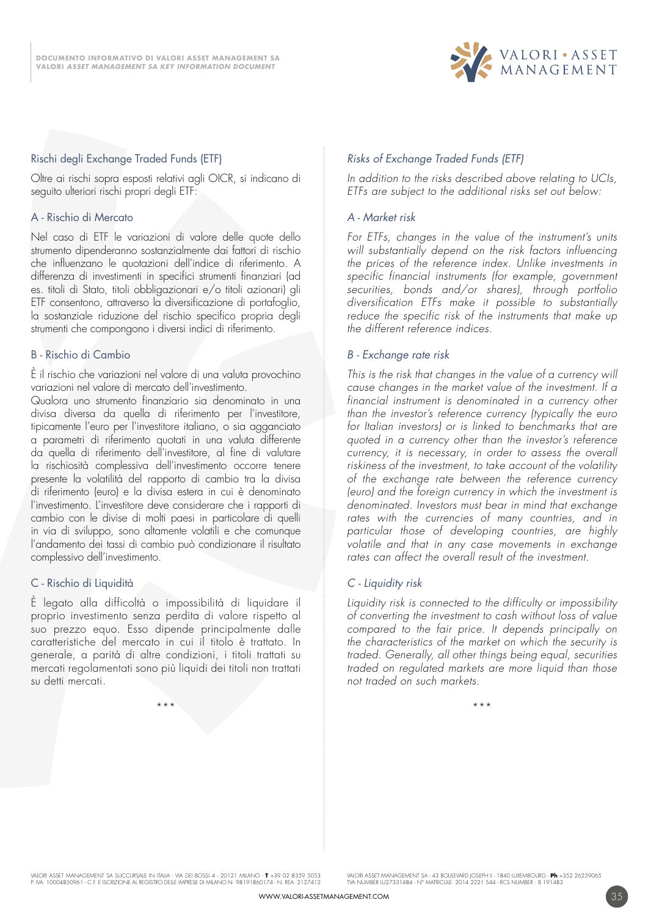

## Rischi degli Exchange Traded Funds (ETF)

Oltre ai rischi sopra esposti relativi agli OICR, si indicano di seguito ulteriori rischi propri degli ETF:

#### A - Rischio di Mercato

Nel caso di ETF le variazioni di valore delle quote dello strumento dipenderanno sostanzialmente dai fattori di rischio che influenzano le quotazioni dell'indice di riferimento. A differenza di investimenti in specifici strumenti finanziari (ad es. titoli di Stato, titoli obbligazionari e/o titoli azionari) gli ETF consentono, attraverso la diversificazione di portafoglio, la sostanziale riduzione del rischio specifico propria degli strumenti che compongono i diversi indici di riferimento.

## B - Rischio di Cambio

È il rischio che variazioni nel valore di una valuta provochino variazioni nel valore di mercato dell'investimento.

Qualora uno strumento finanziario sia denominato in una divisa diversa da quella di riferimento per l'investitore, tipicamente l'euro per l'investitore italiano, o sia agganciato a parametri di riferimento quotati in una valuta differente da quella di riferimento dell'investitore, al fine di valutare la rischiosità complessiva dell'investimento occorre tenere presente la volatilità del rapporto di cambio tra la divisa di riferimento (euro) e la divisa estera in cui è denominato l'investimento. L'investitore deve considerare che i rapporti di cambio con le divise di molti paesi in particolare di quelli in via di sviluppo, sono altamente volatili e che comunque l'andamento dei tassi di cambio può condizionare il risultato complessivo dell'investimento.

## C - Rischio di Liquidità

È legato alla difficoltà o impossibilità di liquidare il proprio investimento senza perdita di valore rispetto al suo prezzo equo. Esso dipende principalmente dalle caratteristiche del mercato in cui il titolo è trattato. In generale, a parità di altre condizioni, i titoli trattati su mercati regolamentati sono più liquidi dei titoli non trattati su detti mercati.

\*\*\*

## *Risks of Exchange Traded Funds (ETF)*

*In addition to the risks described above relating to UCIs, ETFs are subject to the additional risks set out below:* 

#### *A - Market risk*

*For ETFs, changes in the value of the instrument's units will substantially depend on the risk factors influencing the prices of the reference index. Unlike investments in specific financial instruments (for example, government securities, bonds and/or shares), through portfolio diversification ETFs make it possible to substantially reduce the specific risk of the instruments that make up the different reference indices.* 

## *B - Exchange rate risk*

*This is the risk that changes in the value of a currency will cause changes in the market value of the investment. If a financial instrument is denominated in a currency other than the investor's reference currency (typically the euro for Italian investors) or is linked to benchmarks that are quoted in a currency other than the investor's reference currency, it is necessary, in order to assess the overall riskiness of the investment, to take account of the volatility of the exchange rate between the reference currency (euro) and the foreign currency in which the investment is denominated. Investors must bear in mind that exchange rates with the currencies of many countries, and in particular those of developing countries, are highly volatile and that in any case movements in exchange rates can affect the overall result of the investment.*

## *C - Liquidity risk*

*Liquidity risk is connected to the difficulty or impossibility of converting the investment to cash without loss of value compared to the fair price. It depends principally on the characteristics of the market on which the security is traded. Generally, all other things being equal, securities traded on regulated markets are more liquid than those not traded on such markets.*

\*\*\*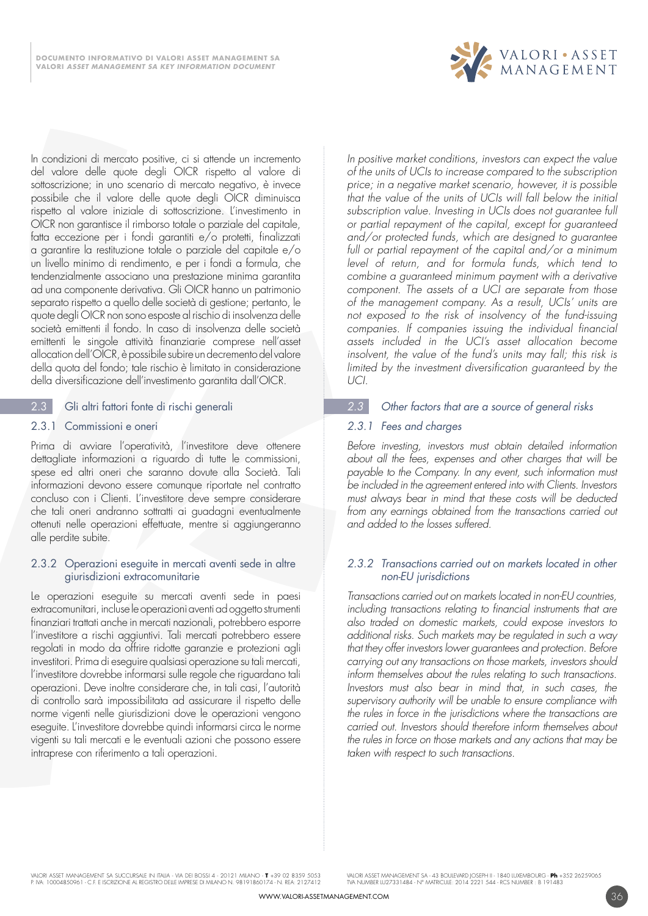

In condizioni di mercato positive, ci si attende un incremento del valore delle quote degli OICR rispetto al valore di sottoscrizione; in uno scenario di mercato negativo, è invece possibile che il valore delle quote degli OICR diminuisca rispetto al valore iniziale di sottoscrizione. L'investimento in OICR non garantisce il rimborso totale o parziale del capitale, fatta eccezione per i fondi garantiti e/o protetti, finalizzati a garantire la restituzione totale o parziale del capitale e/o un livello minimo di rendimento, e per i fondi a formula, che tendenzialmente associano una prestazione minima garantita ad una componente derivativa. Gli OICR hanno un patrimonio separato rispetto a quello delle società di gestione; pertanto, le quote degli OICR non sono esposte al rischio di insolvenza delle società emittenti il fondo. In caso di insolvenza delle società emittenti le singole attività finanziarie comprese nell'asset allocation dell'OICR, è possibile subire un decremento del valore della quota del fondo; tale rischio è limitato in considerazione della diversificazione dell'investimento garantita dall'OICR.

# 2.3 Gli altri fattori fonte di rischi generali

# 2.3.1 Commissioni e oneri

Prima di avviare l'operatività, l'investitore deve ottenere dettagliate informazioni a riguardo di tutte le commissioni, spese ed altri oneri che saranno dovute alla Società. Tali informazioni devono essere comunque riportate nel contratto concluso con i Clienti. L'investitore deve sempre considerare che tali oneri andranno sottratti ai guadagni eventualmente ottenuti nelle operazioni effettuate, mentre si aggiungeranno alle perdite subite.

## 2.3.2 Operazioni eseguite in mercati aventi sede in altre giurisdizioni extracomunitarie

Le operazioni eseguite su mercati aventi sede in paesi extracomunitari, incluse le operazioni aventi ad oggetto strumenti finanziari trattati anche in mercati nazionali, potrebbero esporre l'investitore a rischi aggiuntivi. Tali mercati potrebbero essere regolati in modo da offrire ridotte garanzie e protezioni agli investitori. Prima di eseguire qualsiasi operazione su tali mercati, l'investitore dovrebbe informarsi sulle regole che riguardano tali operazioni. Deve inoltre considerare che, in tali casi, l'autorità di controllo sarà impossibilitata ad assicurare il rispetto delle norme vigenti nelle giurisdizioni dove le operazioni vengono eseguite. L'investitore dovrebbe quindi informarsi circa le norme vigenti su tali mercati e le eventuali azioni che possono essere intraprese con riferimento a tali operazioni.

*In positive market conditions, investors can expect the value of the units of UCIs to increase compared to the subscription price; in a negative market scenario, however, it is possible that the value of the units of UCIs will fall below the initial subscription value. Investing in UCIs does not guarantee full or partial repayment of the capital, except for guaranteed and/or protected funds, which are designed to guarantee full or partial repayment of the capital and/or a minimum level of return, and for formula funds, which tend to combine a guaranteed minimum payment with a derivative component. The assets of a UCI are separate from those of the management company. As a result, UCIs' units are not exposed to the risk of insolvency of the fund-issuing companies. If companies issuing the individual financial assets included in the UCI's asset allocation become insolvent, the value of the fund's units may fall; this risk is limited by the investment diversification guaranteed by the UCI.*

# *2.3 Other factors that are a source of general risks*

# *2.3.1 Fees and charges*

*Before investing, investors must obtain detailed information about all the fees, expenses and other charges that will be payable to the Company. In any event, such information must be included in the agreement entered into with Clients. Investors must always bear in mind that these costs will be deducted from any earnings obtained from the transactions carried out and added to the losses suffered.*

## *2.3.2 Transactions carried out on markets located in other non-EU jurisdictions*

*Transactions carried out on markets located in non-EU countries, including transactions relating to financial instruments that are also traded on domestic markets, could expose investors to additional risks. Such markets may be regulated in such a way that they offer investors lower guarantees and protection. Before carrying out any transactions on those markets, investors should inform themselves about the rules relating to such transactions. Investors must also bear in mind that, in such cases, the supervisory authority will be unable to ensure compliance with the rules in force in the jurisdictions where the transactions are carried out. Investors should therefore inform themselves about the rules in force on those markets and any actions that may be taken with respect to such transactions.*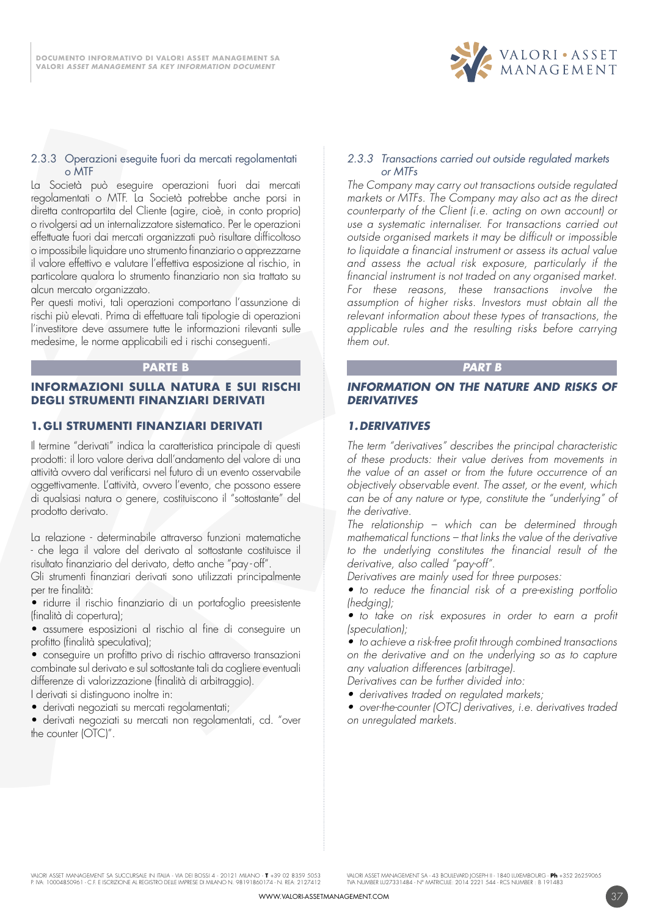

#### 2.3.3 Operazioni eseguite fuori da mercati regolamentati o MTF

La Società può eseguire operazioni fuori dai mercati regolamentati o MTF. La Società potrebbe anche porsi in diretta contropartita del Cliente (agire, cioè, in conto proprio) o rivolgersi ad un internalizzatore sistematico. Per le operazioni effettuate fuori dai mercati organizzati può risultare difficoltoso o impossibile liquidare uno strumento finanziario o apprezzarne il valore effettivo e valutare l'effettiva esposizione al rischio, in particolare qualora lo strumento finanziario non sia trattato su alcun mercato organizzato.

Per questi motivi, tali operazioni comportano l'assunzione di rischi più elevati. Prima di effettuare tali tipologie di operazioni l'investitore deve assumere tutte le informazioni rilevanti sulle medesime, le norme applicabili ed i rischi conseguenti.

#### **PARTE B**

# **INFORMAZIONI SULLA NATURA E SUI RISCHI DEGLI STRUMENTI FINANZIARI DERIVATI**

# **1. GLI STRUMENTI FINANZIARI DERIVATI**

Il termine "derivati" indica la caratteristica principale di questi prodotti: il loro valore deriva dall'andamento del valore di una attività ovvero dal verificarsi nel futuro di un evento osservabile oggettivamente. L'attività, ovvero l'evento, che possono essere di qualsiasi natura o genere, costituiscono il "sottostante" del prodotto derivato.

La relazione - determinabile attraverso funzioni matematiche - che lega il valore del derivato al sottostante costituisce il risultato finanziario del derivato, detto anche "pay - off".

Gli strumenti finanziari derivati sono utilizzati principalmente per tre finalità:

• ridurre il rischio finanziario di un portafoglio preesistente (finalità di copertura);

• assumere esposizioni al rischio al fine di conseguire un profitto (finalità speculativa);

• conseguire un profitto privo di rischio attraverso transazioni combinate sul derivato e sul sottostante tali da cogliere eventuali differenze di valorizzazione (finalità di arbitraggio).

I derivati si distinguono inoltre in:

• derivati negoziati su mercati regolamentati;

• derivati negoziati su mercati non regolamentati, cd. "over the counter (OTC)".

#### *2.3.3 Transactions carried out outside regulated markets or MTFs*

*The Company may carry out transactions outside regulated markets or MTFs. The Company may also act as the direct counterparty of the Client (i.e. acting on own account) or use a systematic internaliser. For transactions carried out outside organised markets it may be difficult or impossible to liquidate a financial instrument or assess its actual value and assess the actual risk exposure, particularly if the financial instrument is not traded on any organised market. For these reasons, these transactions involve the assumption of higher risks. Investors must obtain all the relevant information about these types of transactions, the applicable rules and the resulting risks before carrying them out.*

#### *PART B*

## *INFORMATION ON THE NATURE AND RISKS OF DERIVATIVES*

## *1.DERIVATIVES*

*The term "derivatives" describes the principal characteristic of these products: their value derives from movements in the value of an asset or from the future occurrence of an objectively observable event. The asset, or the event, which can be of any nature or type, constitute the "underlying" of the derivative.*

*The relationship – which can be determined through mathematical functions – that links the value of the derivative to the underlying constitutes the financial result of the derivative, also called "pay-off".*

*Derivatives are mainly used for three purposes:*

*• to reduce the financial risk of a pre-existing portfolio (hedging);*

*• to take on risk exposures in order to earn a profit (speculation);*

*• to achieve a risk-free profit through combined transactions on the derivative and on the underlying so as to capture any valuation differences (arbitrage).*

*Derivatives can be further divided into:*

- *• derivatives traded on regulated markets;*
- *• over-the-counter (OTC) derivatives, i.e. derivatives traded on unregulated markets.*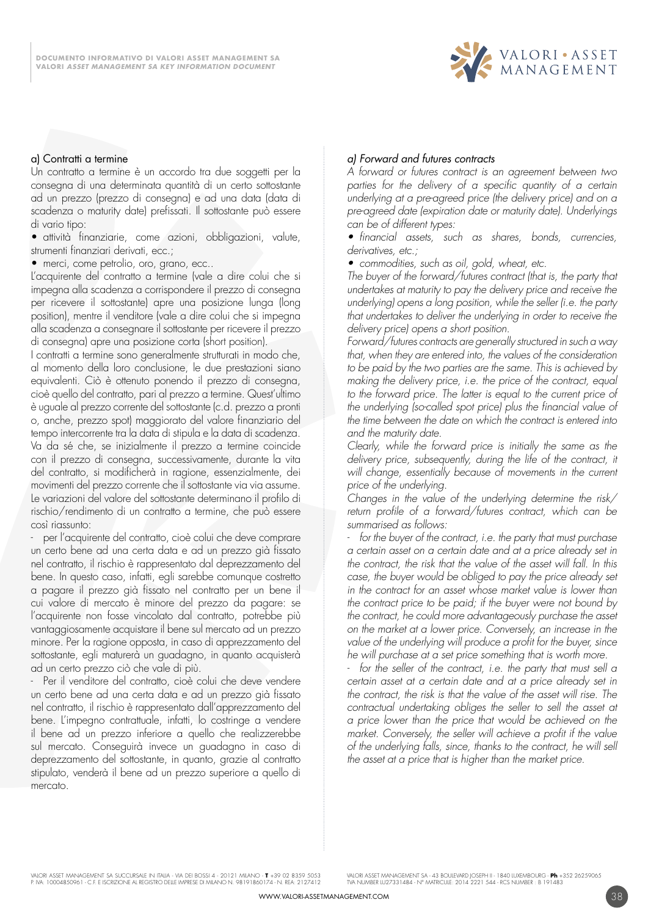

#### a) Contratti a termine

Un contratto a termine è un accordo tra due soggetti per la consegna di una determinata quantità di un certo sottostante ad un prezzo (prezzo di consegna) e ad una data (data di scadenza o maturity date) prefissati. Il sottostante può essere di vario tipo:

• attività finanziarie, come azioni, obbligazioni, valute, strumenti finanziari derivati, ecc.;

• merci, come petrolio, oro, grano, ecc..

L'acquirente del contratto a termine (vale a dire colui che si impegna alla scadenza a corrispondere il prezzo di consegna per ricevere il sottostante) apre una posizione lunga (long position), mentre il venditore (vale a dire colui che si impegna alla scadenza a consegnare il sottostante per ricevere il prezzo di consegna) apre una posizione corta (short position).

I contratti a termine sono generalmente strutturati in modo che, al momento della loro conclusione, le due prestazioni siano equivalenti. Ciò è ottenuto ponendo il prezzo di consegna, cioè quello del contratto, pari al prezzo a termine. Quest'ultimo è uguale al prezzo corrente del sottostante (c.d. prezzo a pronti o, anche, prezzo spot) maggiorato del valore finanziario del tempo intercorrente tra la data di stipula e la data di scadenza. Va da sé che, se inizialmente il prezzo a termine coincide con il prezzo di consegna, successivamente, durante la vita del contratto, si modificherà in ragione, essenzialmente, dei movimenti del prezzo corrente che il sottostante via via assume. Le variazioni del valore del sottostante determinano il profilo di rischio/rendimento di un contratto a termine, che può essere così riassunto:

per l'acquirente del contratto, cioè colui che deve comprare un certo bene ad una certa data e ad un prezzo già fissato nel contratto, il rischio è rappresentato dal deprezzamento del bene. In questo caso, infatti, egli sarebbe comunque costretto a pagare il prezzo già fissato nel contratto per un bene il cui valore di mercato è minore del prezzo da pagare: se l'acquirente non fosse vincolato dal contratto, potrebbe più vantaggiosamente acquistare il bene sul mercato ad un prezzo minore. Per la ragione opposta, in caso di apprezzamento del sottostante, egli maturerà un guadagno, in quanto acquisterà ad un certo prezzo ciò che vale di più.

Per il venditore del contratto, cioè colui che deve vendere un certo bene ad una certa data e ad un prezzo già fissato nel contratto, il rischio è rappresentato dall'apprezzamento del bene. L'impegno contrattuale, infatti, lo costringe a vendere il bene ad un prezzo inferiore a quello che realizzerebbe sul mercato. Conseguirà invece un guadagno in caso di deprezzamento del sottostante, in quanto, grazie al contratto stipulato, venderà il bene ad un prezzo superiore a quello di mercato.

## *a) Forward and futures contracts*

*A forward or futures contract is an agreement between two parties for the delivery of a specific quantity of a certain underlying at a pre-agreed price (the delivery price) and on a pre-agreed date (expiration date or maturity date). Underlyings can be of different types:*

*• financial assets, such as shares, bonds, currencies, derivatives, etc.;*

*• commodities, such as oil, gold, wheat, etc.*

*The buyer of the forward/futures contract (that is, the party that undertakes at maturity to pay the delivery price and receive the underlying) opens a long position, while the seller (i.e. the party that undertakes to deliver the underlying in order to receive the delivery price) opens a short position.*

*Forward/futures contracts are generally structured in such a way that, when they are entered into, the values of the consideration to be paid by the two parties are the same. This is achieved by making the delivery price, i.e. the price of the contract, equal*  to the forward price. The latter is equal to the current price of *the underlying (so-called spot price) plus the financial value of the time between the date on which the contract is entered into and the maturity date.*

*Clearly, while the forward price is initially the same as the*  delivery price, subsequently, during the life of the contract, it *will change, essentially because of movements in the current price of the underlying.*

*Changes in the value of the underlying determine the risk/ return profile of a forward/futures contract, which can be summarised as follows:*

*- for the buyer of the contract, i.e. the party that must purchase a certain asset on a certain date and at a price already set in the contract, the risk that the value of the asset will fall. In this case, the buyer would be obliged to pay the price already set in the contract for an asset whose market value is lower than the contract price to be paid; if the buyer were not bound by the contract, he could more advantageously purchase the asset on the market at a lower price. Conversely, an increase in the*  value of the underlying will produce a profit for the buyer, since *he will purchase at a set price something that is worth more.* 

*- for the seller of the contract, i.e. the party that must sell a certain asset at a certain date and at a price already set in the contract, the risk is that the value of the asset will rise. The contractual undertaking obliges the seller to sell the asset at a price lower than the price that would be achieved on the market. Conversely, the seller will achieve a profit if the value of the underlying falls, since, thanks to the contract, he will sell the asset at a price that is higher than the market price.*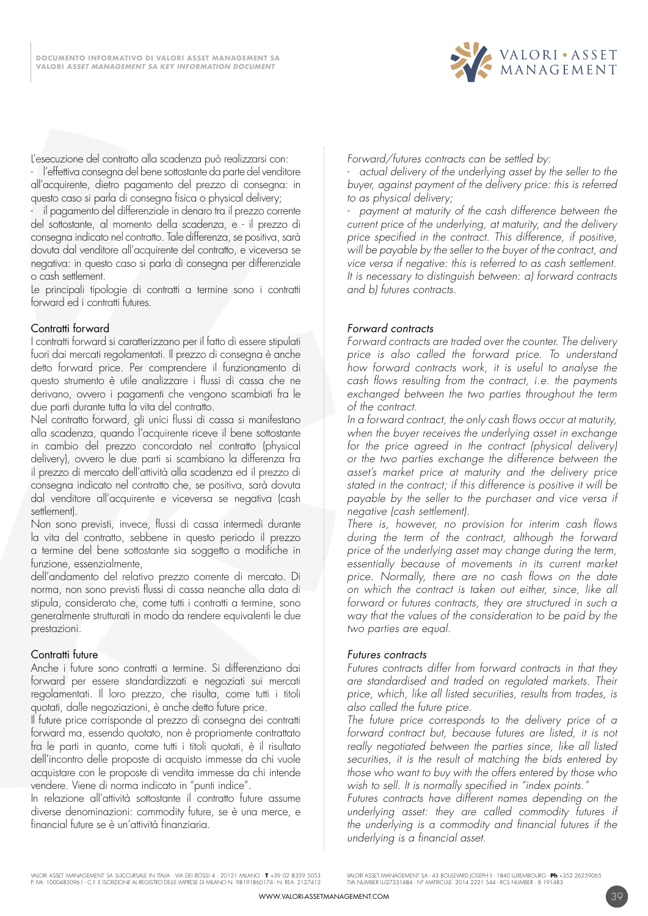

L'esecuzione del contratto alla scadenza può realizzarsi con:

l'effettiva consegna del bene sottostante da parte del venditore all'acquirente, dietro pagamento del prezzo di consegna: in questo caso si parla di consegna fisica o physical delivery;

- il pagamento del differenziale in denaro tra il prezzo corrente del sottostante, al momento della scadenza, e - il prezzo di consegna indicato nel contratto. Tale differenza, se positiva, sarà dovuta dal venditore all'acquirente del contratto, e viceversa se negativa: in questo caso si parla di consegna per differenziale o cash settlement.

Le principali tipologie di contratti a termine sono i contratti forward ed i contratti futures.

# Contratti forward

I contratti forward si caratterizzano per il fatto di essere stipulati fuori dai mercati regolamentati. Il prezzo di consegna è anche detto forward price. Per comprendere il funzionamento di questo strumento è utile analizzare i flussi di cassa che ne derivano, ovvero i pagamenti che vengono scambiati fra le due parti durante tutta la vita del contratto.

Nel contratto forward, gli unici flussi di cassa si manifestano alla scadenza, quando l'acquirente riceve il bene sottostante in cambio del prezzo concordato nel contratto (physical delivery), ovvero le due parti si scambiano la differenza fra il prezzo di mercato dell'attività alla scadenza ed il prezzo di consegna indicato nel contratto che, se positiva, sarà dovuta dal venditore all'acquirente e viceversa se negativa (cash settlement).

Non sono previsti, invece, flussi di cassa intermedi durante la vita del contratto, sebbene in questo periodo il prezzo a termine del bene sottostante sia soggetto a modifiche in funzione, essenzialmente,

dell'andamento del relativo prezzo corrente di mercato. Di norma, non sono previsti flussi di cassa neanche alla data di stipula, considerato che, come tutti i contratti a termine, sono generalmente strutturati in modo da rendere equivalenti le due prestazioni.

# Contratti future

Anche i future sono contratti a termine. Si differenziano dai forward per essere standardizzati e negoziati sui mercati regolamentati. Il loro prezzo, che risulta, come tutti i titoli quotati, dalle negoziazioni, è anche detto future price.

Il future price corrisponde al prezzo di consegna dei contratti forward ma, essendo quotato, non è propriamente contrattato fra le parti in quanto, come tutti i titoli quotati, è il risultato dell'incontro delle proposte di acquisto immesse da chi vuole acquistare con le proposte di vendita immesse da chi intende vendere. Viene di norma indicato in "punti indice".

In relazione all'attività sottostante il contratto future assume diverse denominazioni: commodity future, se è una merce, e financial future se è un'attività finanziaria.

*Forward/futures contracts can be settled by:*

*- actual delivery of the underlying asset by the seller to the buyer, against payment of the delivery price: this is referred to as physical delivery;*

*- payment at maturity of the cash difference between the current price of the underlying, at maturity, and the delivery price specified in the contract. This difference, if positive, will be payable by the seller to the buyer of the contract, and vice versa if negative: this is referred to as cash settlement. It is necessary to distinguish between: a) forward contracts and b) futures contracts.*

# *Forward contracts*

*Forward contracts are traded over the counter. The delivery price is also called the forward price. To understand how forward contracts work, it is useful to analyse the cash flows resulting from the contract, i.e. the payments exchanged between the two parties throughout the term of the contract.*

*In a forward contract, the only cash flows occur at maturity, when the buyer receives the underlying asset in exchange for the price agreed in the contract (physical delivery) or the two parties exchange the difference between the asset's market price at maturity and the delivery price stated in the contract; if this difference is positive it will be payable by the seller to the purchaser and vice versa if negative (cash settlement).*

*There is, however, no provision for interim cash flows during the term of the contract, although the forward price of the underlying asset may change during the term, essentially because of movements in its current market price. Normally, there are no cash flows on the date on which the contract is taken out either, since, like all forward or futures contracts, they are structured in such a way that the values of the consideration to be paid by the two parties are equal.*

# *Futures contracts*

*Futures contracts differ from forward contracts in that they are standardised and traded on regulated markets. Their price, which, like all listed securities, results from trades, is also called the future price.*

*The future price corresponds to the delivery price of a forward contract but, because futures are listed, it is not really negotiated between the parties since, like all listed securities, it is the result of matching the bids entered by those who want to buy with the offers entered by those who wish to sell. It is normally specified in "index points."*

*Futures contracts have different names depending on the underlying asset: they are called commodity futures if the underlying is a commodity and financial futures if the underlying is a financial asset.*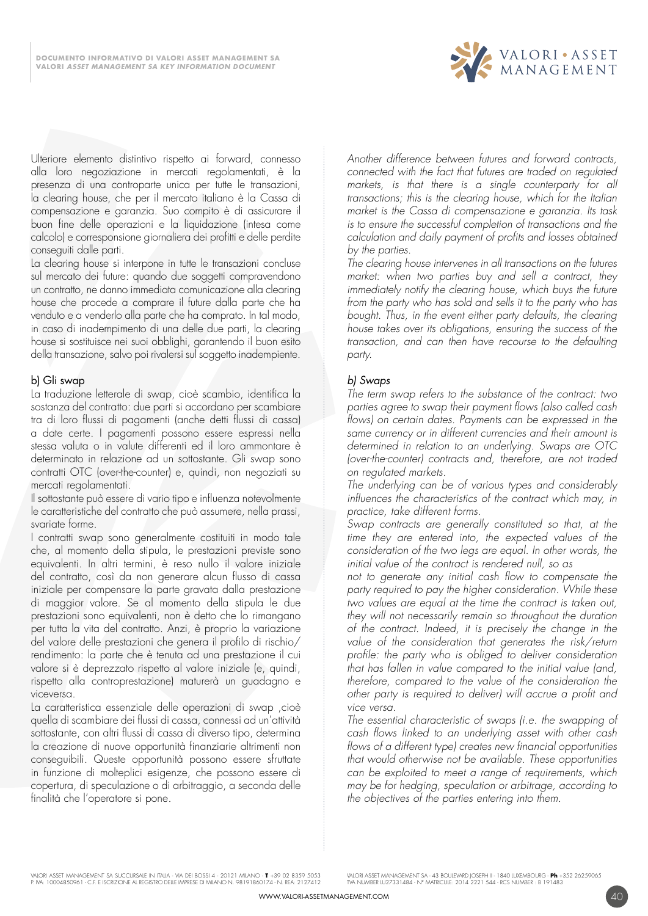

Ulteriore elemento distintivo rispetto ai forward, connesso alla loro negoziazione in mercati regolamentati, è la presenza di una controparte unica per tutte le transazioni, la clearing house, che per il mercato italiano è la Cassa di compensazione e garanzia. Suo compito è di assicurare il buon fine delle operazioni e la liquidazione (intesa come calcolo) e corresponsione giornaliera dei profitti e delle perdite conseguiti dalle parti.

La clearing house si interpone in tutte le transazioni concluse sul mercato dei future: quando due soggetti compravendono un contratto, ne danno immediata comunicazione alla clearing house che procede a comprare il future dalla parte che ha venduto e a venderlo alla parte che ha comprato. In tal modo, in caso di inadempimento di una delle due parti, la clearing house si sostituisce nei suoi obblighi, garantendo il buon esito della transazione, salvo poi rivalersi sul soggetto inadempiente.

## b) Gli swap

La traduzione letterale di swap, cioè scambio, identifica la sostanza del contratto: due parti si accordano per scambiare tra di loro flussi di pagamenti (anche detti flussi di cassa) a date certe. I pagamenti possono essere espressi nella stessa valuta o in valute differenti ed il loro ammontare è determinato in relazione ad un sottostante. Gli swap sono contratti OTC (over-the-counter) e, quindi, non negoziati su mercati regolamentati.

Il sottostante può essere di vario tipo e influenza notevolmente le caratteristiche del contratto che può assumere, nella prassi, svariate forme.

I contratti swap sono generalmente costituiti in modo tale che, al momento della stipula, le prestazioni previste sono equivalenti. In altri termini, è reso nullo il valore iniziale del contratto, così da non generare alcun flusso di cassa iniziale per compensare la parte gravata dalla prestazione di maggior valore. Se al momento della stipula le due prestazioni sono equivalenti, non è detto che lo rimangano per tutta la vita del contratto. Anzi, è proprio la variazione del valore delle prestazioni che genera il profilo di rischio/ rendimento: la parte che è tenuta ad una prestazione il cui valore si è deprezzato rispetto al valore iniziale (e, quindi, rispetto alla controprestazione) maturerà un guadagno e viceversa.

La caratteristica essenziale delle operazioni di swap ,cioè quella di scambiare dei flussi di cassa, connessi ad un'attività sottostante, con altri flussi di cassa di diverso tipo, determina la creazione di nuove opportunità finanziarie altrimenti non conseguibili. Queste opportunità possono essere sfruttate in funzione di molteplici esigenze, che possono essere di copertura, di speculazione o di arbitraggio, a seconda delle finalità che l'operatore si pone.

*Another difference between futures and forward contracts, connected with the fact that futures are traded on regulated markets, is that there is a single counterparty for all transactions; this is the clearing house, which for the Italian market is the Cassa di compensazione e garanzia. Its task is to ensure the successful completion of transactions and the calculation and daily payment of profits and losses obtained by the parties.*

*The clearing house intervenes in all transactions on the futures market: when two parties buy and sell a contract, they immediately notify the clearing house, which buys the future from the party who has sold and sells it to the party who has bought. Thus, in the event either party defaults, the clearing house takes over its obligations, ensuring the success of the transaction, and can then have recourse to the defaulting party.* 

# *b) Swaps*

*The term swap refers to the substance of the contract: two parties agree to swap their payment flows (also called cash flows) on certain dates. Payments can be expressed in the same currency or in different currencies and their amount is determined in relation to an underlying. Swaps are OTC (over-the-counter) contracts and, therefore, are not traded on regulated markets.* 

*The underlying can be of various types and considerably*  influences the characteristics of the contract which may, in *practice, take different forms.*

*Swap contracts are generally constituted so that, at the time they are entered into, the expected values of the consideration of the two legs are equal. In other words, the initial value of the contract is rendered null, so as*

*not to generate any initial cash flow to compensate the party required to pay the higher consideration. While these two values are equal at the time the contract is taken out, they will not necessarily remain so throughout the duration of the contract. Indeed, it is precisely the change in the value of the consideration that generates the risk/return profile: the party who is obliged to deliver consideration that has fallen in value compared to the initial value (and, therefore, compared to the value of the consideration the other party is required to deliver) will accrue a profit and vice versa.*

*The essential characteristic of swaps (i.e. the swapping of cash flows linked to an underlying asset with other cash flows of a different type) creates new financial opportunities that would otherwise not be available. These opportunities can be exploited to meet a range of requirements, which may be for hedging, speculation or arbitrage, according to the objectives of the parties entering into them.*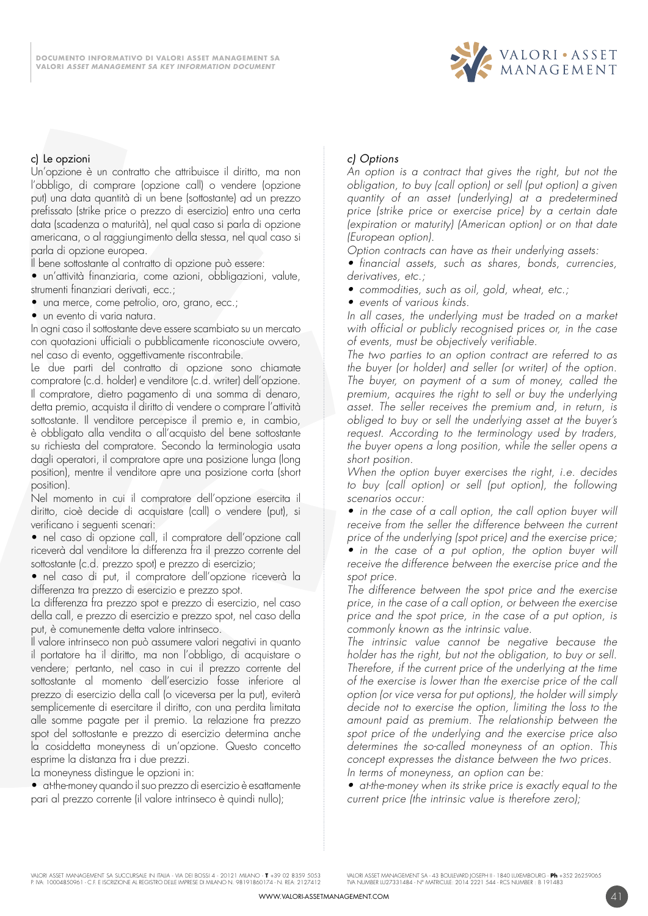

#### c) Le opzioni

Un'opzione è un contratto che attribuisce il diritto, ma non l'obbligo, di comprare (opzione call) o vendere (opzione put) una data quantità di un bene (sottostante) ad un prezzo prefissato (strike price o prezzo di esercizio) entro una certa data (scadenza o maturità), nel qual caso si parla di opzione americana, o al raggiungimento della stessa, nel qual caso si parla di opzione europea.

Il bene sottostante al contratto di opzione può essere:

• un'attività finanziaria, come azioni, obbligazioni, valute, strumenti finanziari derivati, ecc.;

- una merce, come petrolio, oro, grano, ecc.;
- un evento di varia natura.

In ogni caso il sottostante deve essere scambiato su un mercato con quotazioni ufficiali o pubblicamente riconosciute ovvero, nel caso di evento, oggettivamente riscontrabile.

Le due parti del contratto di opzione sono chiamate compratore (c.d. holder) e venditore (c.d. writer) dell'opzione. Il compratore, dietro pagamento di una somma di denaro, detta premio, acquista il diritto di vendere o comprare l'attività sottostante. Il venditore percepisce il premio e, in cambio, è obbligato alla vendita o all'acquisto del bene sottostante su richiesta del compratore. Secondo la terminologia usata dagli operatori, il compratore apre una posizione lunga (long position), mentre il venditore apre una posizione corta (short position).

Nel momento in cui il compratore dell'opzione esercita il diritto, cioè decide di acquistare (call) o vendere (put), si verificano i seguenti scenari:

• nel caso di opzione call, il compratore dell'opzione call riceverà dal venditore la differenza fra il prezzo corrente del sottostante (c.d. prezzo spot) e prezzo di esercizio;

• nel caso di put, il compratore dell'opzione riceverà la differenza tra prezzo di esercizio e prezzo spot.

La differenza fra prezzo spot e prezzo di esercizio, nel caso della call, e prezzo di esercizio e prezzo spot, nel caso della put, è comunemente detta valore intrinseco.

Il valore intrinseco non può assumere valori negativi in quanto il portatore ha il diritto, ma non l'obbligo, di acquistare o vendere; pertanto, nel caso in cui il prezzo corrente del sottostante al momento dell'esercizio fosse inferiore al prezzo di esercizio della call (o viceversa per la put), eviterà semplicemente di esercitare il diritto, con una perdita limitata alle somme pagate per il premio. La relazione fra prezzo spot del sottostante e prezzo di esercizio determina anche la cosiddetta moneyness di un'opzione. Questo concetto esprime la distanza fra i due prezzi.

La moneyness distingue le opzioni in:

• at-the-money quando il suo prezzo di esercizio è esattamente pari al prezzo corrente (il valore intrinseco è quindi nullo);

# *c) Options*

*An option is a contract that gives the right, but not the obligation, to buy (call option) or sell (put option) a given quantity of an asset (underlying) at a predetermined price (strike price or exercise price) by a certain date (expiration or maturity) (American option) or on that date (European option).*

*Option contracts can have as their underlying assets:*

*• financial assets, such as shares, bonds, currencies, derivatives, etc.;*

*• commodities, such as oil, gold, wheat, etc.;*

*• events of various kinds.*

*In all cases, the underlying must be traded on a market with official or publicly recognised prices or, in the case of events, must be objectively verifiable.*

*The two parties to an option contract are referred to as the buyer (or holder) and seller (or writer) of the option. The buyer, on payment of a sum of money, called the premium, acquires the right to sell or buy the underlying asset. The seller receives the premium and, in return, is obliged to buy or sell the underlying asset at the buyer's request. According to the terminology used by traders, the buyer opens a long position, while the seller opens a short position.*

*When the option buyer exercises the right, i.e. decides to buy (call option) or sell (put option), the following scenarios occur:*

*• in the case of a call option, the call option buyer will receive from the seller the difference between the current price of the underlying (spot price) and the exercise price; • in the case of a put option, the option buyer will receive the difference between the exercise price and the spot price.*

*The difference between the spot price and the exercise price, in the case of a call option, or between the exercise price and the spot price, in the case of a put option, is commonly known as the intrinsic value.*

*The intrinsic value cannot be negative because the holder has the right, but not the obligation, to buy or sell. Therefore, if the current price of the underlying at the time of the exercise is lower than the exercise price of the call option (or vice versa for put options), the holder will simply decide not to exercise the option, limiting the loss to the amount paid as premium. The relationship between the spot price of the underlying and the exercise price also determines the so-called moneyness of an option. This concept expresses the distance between the two prices. In terms of moneyness, an option can be:*

*• at-the-money when its strike price is exactly equal to the current price (the intrinsic value is therefore zero);*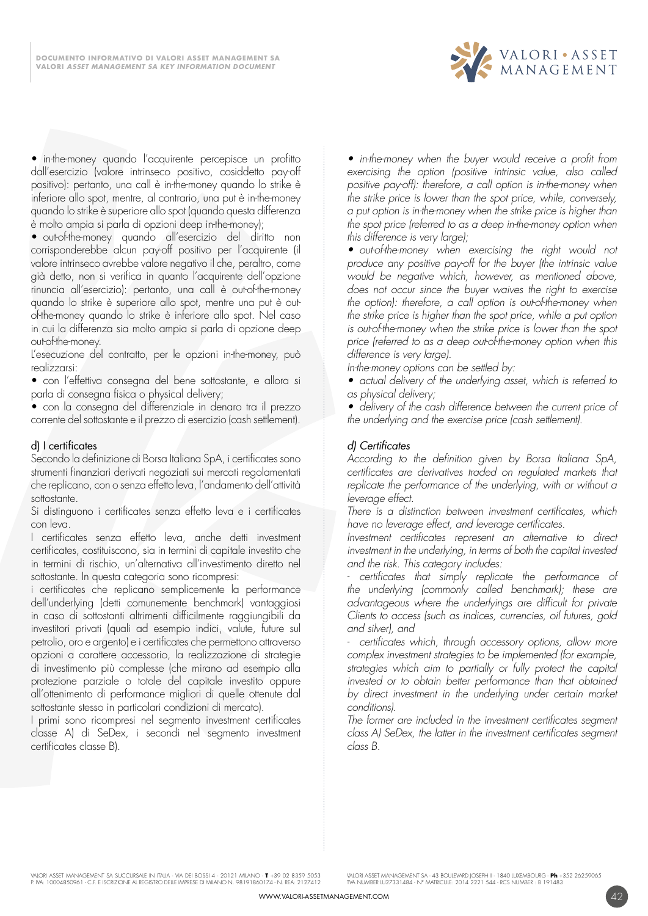

• in-the-money quando l'acquirente percepisce un profitto dall'esercizio (valore intrinseco positivo, cosiddetto pay-off positivo): pertanto, una call è in-the-money quando lo strike è inferiore allo spot, mentre, al contrario, una put è in-the-money quando lo strike è superiore allo spot (quando questa differenza è molto ampia si parla di opzioni deep in-the-money);

• out-of-the-money quando all'esercizio del diritto non corrisponderebbe alcun pay-off positivo per l'acquirente (il valore intrinseco avrebbe valore negativo il che, peraltro, come già detto, non si verifica in quanto l'acquirente dell'opzione rinuncia all'esercizio): pertanto, una call è out-of-the-money quando lo strike è superiore allo spot, mentre una put è outof-the-money quando lo strike è inferiore allo spot. Nel caso in cui la differenza sia molto ampia si parla di opzione deep out-of-the-money.

L'esecuzione del contratto, per le opzioni in-the-money, può realizzarsi:

• con l'effettiva consegna del bene sottostante, e allora si parla di consegna fisica o physical delivery;

• con la consegna del differenziale in denaro tra il prezzo corrente del sottostante e il prezzo di esercizio (cash settlement).

## d) I certificates

Secondo la definizione di Borsa Italiana SpA, i certificates sono strumenti finanziari derivati negoziati sui mercati regolamentati che replicano, con o senza effetto leva, l'andamento dell'attività sottostante.

Si distinguono i certificates senza effetto leva e i certificates con leva.

I certificates senza effetto leva, anche detti investment certificates, costituiscono, sia in termini di capitale investito che in termini di rischio, un'alternativa all'investimento diretto nel sottostante. In questa categoria sono ricompresi:

i certificates che replicano semplicemente la performance dell'underlying (detti comunemente benchmark) vantaggiosi in caso di sottostanti altrimenti difficilmente raggiungibili da investitori privati (quali ad esempio indici, valute, future sul petrolio, oro e argento) e i certificates che permettono attraverso opzioni a carattere accessorio, la realizzazione di strategie di investimento più complesse (che mirano ad esempio alla protezione parziale o totale del capitale investito oppure all'ottenimento di performance migliori di quelle ottenute dal sottostante stesso in particolari condizioni di mercato).

I primi sono ricompresi nel segmento investment certificates classe A) di SeDex, i secondi nel segmento investment certificates classe B).

*• in-the-money when the buyer would receive a profit from exercising the option (positive intrinsic value, also called*  positive pay-off): therefore, a call option is in-the-money when *the strike price is lower than the spot price, while, conversely, a put option is in-the-money when the strike price is higher than the spot price (referred to as a deep in-the-money option when this difference is very large);*

*• out-of-the-money when exercising the right would not produce any positive pay-off for the buyer (the intrinsic value would be negative which, however, as mentioned above, does not occur since the buyer waives the right to exercise the option): therefore, a call option is out-of-the-money when the strike price is higher than the spot price, while a put option*  is out-of-the-money when the strike price is lower than the spot *price (referred to as a deep out-of-the-money option when this difference is very large).*

*In-the-money options can be settled by:*

• *actual delivery of the underlying asset, which is referred to as physical delivery;*

• *delivery of the cash difference between the current price of the underlying and the exercise price (cash settlement).*

# *d) Certificates*

*According to the definition given by Borsa Italiana SpA, certificates are derivatives traded on regulated markets that replicate the performance of the underlying, with or without a leverage effect.*

*There is a distinction between investment certificates, which have no leverage effect, and leverage certificates.*

*Investment certificates represent an alternative to direct investment in the underlying, in terms of both the capital invested and the risk. This category includes:*

*- certificates that simply replicate the performance of the underlying (commonly called benchmark); these are advantageous where the underlyings are difficult for private Clients to access (such as indices, currencies, oil futures, gold and silver), and*

*- certificates which, through accessory options, allow more complex investment strategies to be implemented (for example, strategies which aim to partially or fully protect the capital invested or to obtain better performance than that obtained by direct investment in the underlying under certain market conditions).*

*The former are included in the investment certificates segment class A) SeDex, the latter in the investment certificates segment class B.*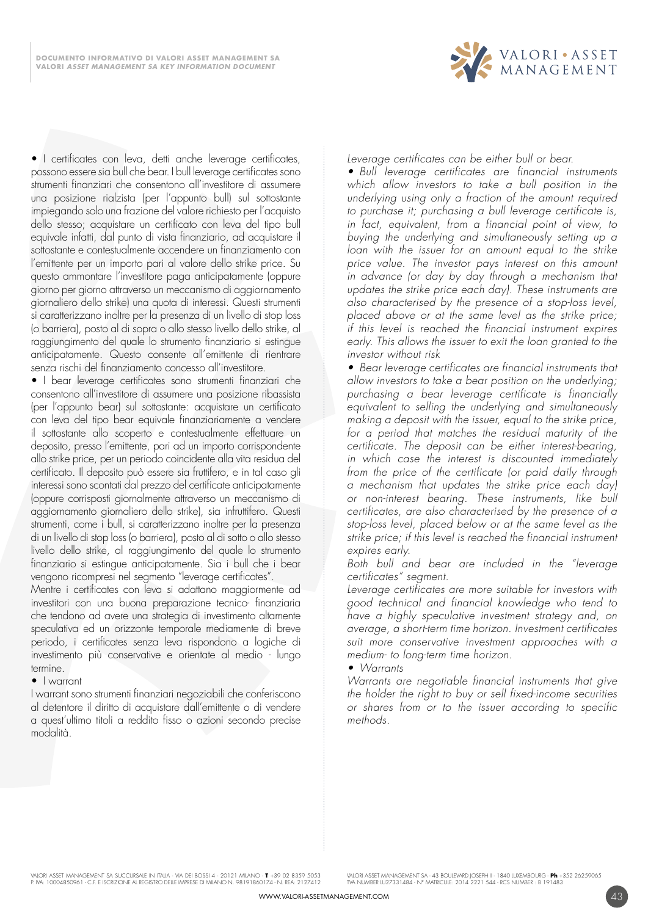

• I certificates con leva, detti anche leverage certificates, possono essere sia bull che bear. I bull leverage certificates sono strumenti finanziari che consentono all'investitore di assumere una posizione rialzista (per l'appunto bull) sul sottostante impiegando solo una frazione del valore richiesto per l'acquisto dello stesso; acquistare un certificato con leva del tipo bull equivale infatti, dal punto di vista finanziario, ad acquistare il sottostante e contestualmente accendere un finanziamento con l'emittente per un importo pari al valore dello strike price. Su questo ammontare l'investitore paga anticipatamente (oppure giorno per giorno attraverso un meccanismo di aggiornamento giornaliero dello strike) una quota di interessi. Questi strumenti si caratterizzano inoltre per la presenza di un livello di stop loss (o barriera), posto al di sopra o allo stesso livello dello strike, al raggiungimento del quale lo strumento finanziario si estingue anticipatamente. Questo consente all'emittente di rientrare senza rischi del finanziamento concesso all'investitore.

• I bear leverage certificates sono strumenti finanziari che consentono all'investitore di assumere una posizione ribassista (per l'appunto bear) sul sottostante: acquistare un certificato con leva del tipo bear equivale finanziariamente a vendere il sottostante allo scoperto e contestualmente effettuare un deposito, presso l'emittente, pari ad un importo corrispondente allo strike price, per un periodo coincidente alla vita residua del certificato. Il deposito può essere sia fruttifero, e in tal caso gli interessi sono scontati dal prezzo del certificate anticipatamente (oppure corrisposti giornalmente attraverso un meccanismo di aggiornamento giornaliero dello strike), sia infruttifero. Questi strumenti, come i bull, si caratterizzano inoltre per la presenza di un livello di stop loss (o barriera), posto al di sotto o allo stesso livello dello strike, al raggiungimento del quale lo strumento finanziario si estingue anticipatamente. Sia i bull che i bear vengono ricompresi nel segmento "leverage certificates".

Mentre i certificates con leva si adattano maggiormente ad investitori con una buona preparazione tecnico- finanziaria che tendono ad avere una strategia di investimento altamente speculativa ed un orizzonte temporale mediamente di breve periodo, i certificates senza leva rispondono a logiche di investimento più conservative e orientate al medio - lungo termine.

• I warrant

I warrant sono strumenti finanziari negoziabili che conferiscono al detentore il diritto di acquistare dall'emittente o di vendere a quest'ultimo titoli a reddito fisso o azioni secondo precise modalità.

*Leverage certificates can be either bull or bear.* 

*• Bull leverage certificates are financial instruments which allow investors to take a bull position in the underlying using only a fraction of the amount required to purchase it; purchasing a bull leverage certificate is, in fact, equivalent, from a financial point of view, to buying the underlying and simultaneously setting up a loan with the issuer for an amount equal to the strike price value. The investor pays interest on this amount in advance (or day by day through a mechanism that updates the strike price each day). These instruments are also characterised by the presence of a stop-loss level, placed above or at the same level as the strike price; if this level is reached the financial instrument expires early. This allows the issuer to exit the loan granted to the investor without risk*

*• Bear leverage certificates are financial instruments that allow investors to take a bear position on the underlying; purchasing a bear leverage certificate is financially equivalent to selling the underlying and simultaneously making a deposit with the issuer, equal to the strike price, for a period that matches the residual maturity of the certificate. The deposit can be either interest-bearing, in which case the interest is discounted immediately from the price of the certificate (or paid daily through a mechanism that updates the strike price each day) or non-interest bearing. These instruments, like bull certificates, are also characterised by the presence of a stop-loss level, placed below or at the same level as the strike price; if this level is reached the financial instrument expires early.*

*Both bull and bear are included in the "leverage certificates" segment.*

*Leverage certificates are more suitable for investors with good technical and financial knowledge who tend to have a highly speculative investment strategy and, on average, a short-term time horizon. Investment certificates suit more conservative investment approaches with a medium- to long-term time horizon.*

#### *• Warrants*

*Warrants are negotiable financial instruments that give the holder the right to buy or sell fixed-income securities or shares from or to the issuer according to specific methods.*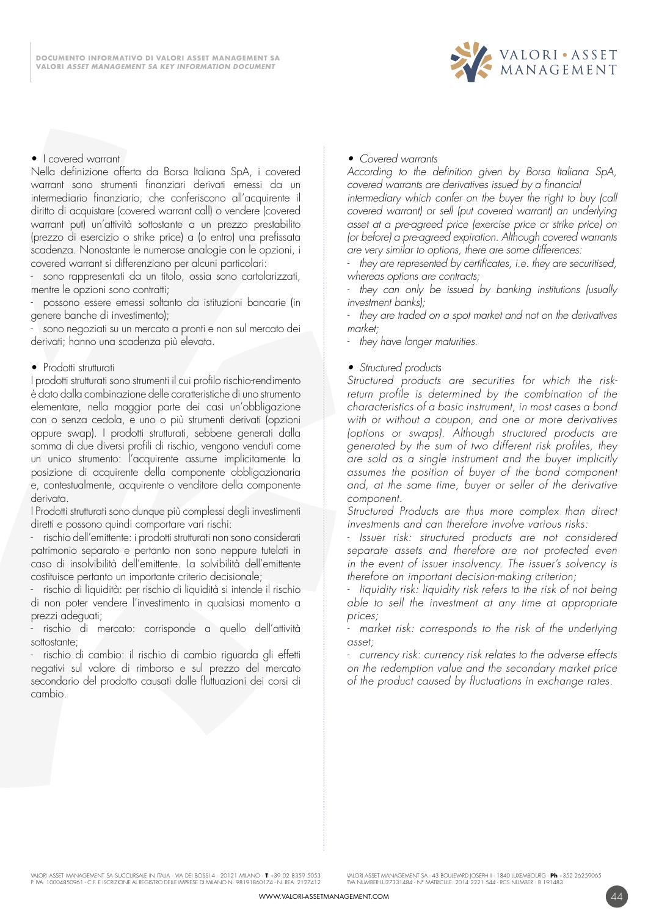

#### • I covered warrant

Nella definizione offerta da Borsa Italiana SpA, i covered warrant sono strumenti finanziari derivati emessi da un intermediario finanziario, che conferiscono all'acquirente il diritto di acquistare (covered warrant call) o vendere (covered warrant put) un'attività sottostante a un prezzo prestabilito (prezzo di esercizio o strike price) a (o entro) una prefissata scadenza. Nonostante le numerose analogie con le opzioni, i covered warrant si differenziano per alcuni particolari:

- sono rappresentati da un titolo, ossia sono cartolarizzati, mentre le opzioni sono contratti;

- possono essere emessi soltanto da istituzioni bancarie (in genere banche di investimento);

- sono negoziati su un mercato a pronti e non sul mercato dei derivati; hanno una scadenza più elevata.

#### • Prodotti strutturati

I prodotti strutturati sono strumenti il cui profilo rischio-rendimento è dato dalla combinazione delle caratteristiche di uno strumento elementare, nella maggior parte dei casi un'obbligazione con o senza cedola, e uno o più strumenti derivati (opzioni oppure swap). I prodotti strutturati, sebbene generati dalla somma di due diversi profili di rischio, vengono venduti come un unico strumento: l'acquirente assume implicitamente la posizione di acquirente della componente obbligazionaria e, contestualmente, acquirente o venditore della componente derivata.

I Prodotti strutturati sono dunque più complessi degli investimenti diretti e possono quindi comportare vari rischi:

- rischio dell'emittente: i prodotti strutturati non sono considerati patrimonio separato e pertanto non sono neppure tutelati in caso di insolvibilità dell'emittente. La solvibilità dell'emittente costituisce pertanto un importante criterio decisionale;

- rischio di liquidità: per rischio di liquidità si intende il rischio di non poter vendere l'investimento in qualsiasi momento a prezzi adeguati;

- rischio di mercato: corrisponde a quello dell'attività sottostante;

- rischio di cambio: il rischio di cambio riguarda gli effetti negativi sul valore di rimborso e sul prezzo del mercato secondario del prodotto causati dalle fluttuazioni dei corsi di cambio.

*• Covered warrants*

*According to the definition given by Borsa Italiana SpA, covered warrants are derivatives issued by a financial* 

*intermediary which confer on the buyer the right to buy (call covered warrant) or sell (put covered warrant) an underlying asset at a pre-agreed price (exercise price or strike price) on (or before) a pre-agreed expiration. Although covered warrants are very similar to options, there are some differences:*

*- they are represented by certificates, i.e. they are securitised, whereas options are contracts;*

*- they can only be issued by banking institutions (usually investment banks);*

*- they are traded on a spot market and not on the derivatives market;*

*- they have longer maturities.*

#### *• Structured products*

*Structured products are securities for which the riskreturn profile is determined by the combination of the characteristics of a basic instrument, in most cases a bond with or without a coupon, and one or more derivatives (options or swaps). Although structured products are generated by the sum of two different risk profiles, they are sold as a single instrument and the buyer implicitly assumes the position of buyer of the bond component and, at the same time, buyer or seller of the derivative component.*

*Structured Products are thus more complex than direct investments and can therefore involve various risks:*

*- Issuer risk: structured products are not considered separate assets and therefore are not protected even in the event of issuer insolvency. The issuer's solvency is therefore an important decision-making criterion;*

*- liquidity risk: liquidity risk refers to the risk of not being able to sell the investment at any time at appropriate prices;*

*- market risk: corresponds to the risk of the underlying asset;*

*- currency risk: currency risk relates to the adverse effects on the redemption value and the secondary market price of the product caused by fluctuations in exchange rates.*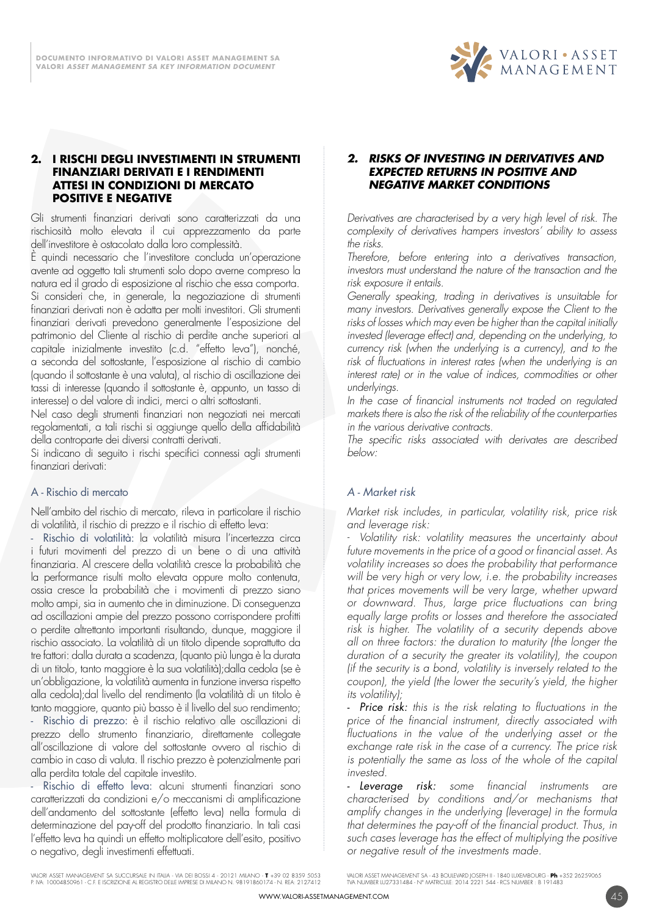

## **2. I RISCHI DEGLI INVESTIMENTI IN STRUMENTI FINANZIARI DERIVATI E I RENDIMENTI ATTESI IN CONDIZIONI DI MERCATO POSITIVE E NEGATIVE**

Gli strumenti finanziari derivati sono caratterizzati da una rischiosità molto elevata il cui apprezzamento da parte dell'investitore è ostacolato dalla loro complessità.

È quindi necessario che l'investitore concluda un'operazione avente ad oggetto tali strumenti solo dopo averne compreso la natura ed il grado di esposizione al rischio che essa comporta. Si consideri che, in generale, la negoziazione di strumenti finanziari derivati non è adatta per molti investitori. Gli strumenti finanziari derivati prevedono generalmente l'esposizione del patrimonio del Cliente al rischio di perdite anche superiori al capitale inizialmente investito (c.d. "effetto leva"), nonché, a seconda del sottostante, l'esposizione al rischio di cambio (quando il sottostante è una valuta), al rischio di oscillazione dei tassi di interesse (quando il sottostante è, appunto, un tasso di interesse) o del valore di indici, merci o altri sottostanti.

Nel caso degli strumenti finanziari non negoziati nei mercati regolamentati, a tali rischi si aggiunge quello della affidabilità della controparte dei diversi contratti derivati.

Si indicano di seguito i rischi specifici connessi agli strumenti finanziari derivati:

## A - Rischio di mercato

Nell'ambito del rischio di mercato, rileva in particolare il rischio di volatilità, il rischio di prezzo e il rischio di effetto leva:

- Rischio di volatilità: la volatilità misura l'incertezza circa i futuri movimenti del prezzo di un bene o di una attività finanziaria. Al crescere della volatilità cresce la probabilità che la performance risulti molto elevata oppure molto contenuta, ossia cresce la probabilità che i movimenti di prezzo siano molto ampi, sia in aumento che in diminuzione. Di conseguenza ad oscillazioni ampie del prezzo possono corrispondere profitti o perdite altrettanto importanti risultando, dunque, maggiore il rischio associato. La volatilità di un titolo dipende soprattutto da tre fattori: dalla durata a scadenza, (quanto più lunga è la durata di un titolo, tanto maggiore è la sua volatilità);dalla cedola (se è un'obbligazione, la volatilità aumenta in funzione inversa rispetto alla cedola);dal livello del rendimento (la volatilità di un titolo è tanto maggiore, quanto più basso è il livello del suo rendimento;

- Rischio di prezzo: è il rischio relativo alle oscillazioni di prezzo dello strumento finanziario, direttamente collegate all'oscillazione di valore del sottostante ovvero al rischio di cambio in caso di valuta. Il rischio prezzo è potenzialmente pari alla perdita totale del capitale investito.

- Rischio di effetto leva: alcuni strumenti finanziari sono caratterizzati da condizioni e/o meccanismi di amplificazione dell'andamento del sottostante (effetto leva) nella formula di determinazione del pay-off del prodotto finanziario. In tali casi l'effetto leva ha quindi un effetto moltiplicatore dell'esito, positivo o negativo, degli investimenti effettuati.

## *2. RISKS OF INVESTING IN DERIVATIVES AND EXPECTED RETURNS IN POSITIVE AND NEGATIVE MARKET CONDITIONS*

*Derivatives are characterised by a very high level of risk. The complexity of derivatives hampers investors' ability to assess the risks.*

*Therefore, before entering into a derivatives transaction, investors must understand the nature of the transaction and the risk exposure it entails.*

*Generally speaking, trading in derivatives is unsuitable for many investors. Derivatives generally expose the Client to the risks of losses which may even be higher than the capital initially invested (leverage effect) and, depending on the underlying, to currency risk (when the underlying is a currency), and to the risk of fluctuations in interest rates (when the underlying is an interest rate) or in the value of indices, commodities or other underlyings.*

*In the case of financial instruments not traded on regulated markets there is also the risk of the reliability of the counterparties in the various derivative contracts.*

*The specific risks associated with derivates are described below:*

# *A - Market risk*

*Market risk includes, in particular, volatility risk, price risk and leverage risk:* 

*- Volatility risk: volatility measures the uncertainty about future movements in the price of a good or financial asset. As volatility increases so does the probability that performance will be very high or very low, i.e. the probability increases that prices movements will be very large, whether upward or downward. Thus, large price fluctuations can bring equally large profits or losses and therefore the associated risk is higher. The volatility of a security depends above all on three factors: the duration to maturity (the longer the duration of a security the greater its volatility), the coupon (if the security is a bond, volatility is inversely related to the coupon), the yield (the lower the security's yield, the higher its volatility);*

*- Price risk: this is the risk relating to fluctuations in the price of the financial instrument, directly associated with fluctuations in the value of the underlying asset or the exchange rate risk in the case of a currency. The price risk is potentially the same as loss of the whole of the capital invested.*

*- Leverage risk: some financial instruments are characterised by conditions and/or mechanisms that amplify changes in the underlying (leverage) in the formula that determines the pay-off of the financial product. Thus, in such cases leverage has the effect of multiplying the positive or negative result of the investments made.* 

VALORI ASSET MANAGEMENT SA - 43 BOULEVARD JOSEPH II - 1840 LUXEMBOURG - **Ph** +352 26259065 TVA NUMBER LU27331484 - N° MATRICULE: 2014 2221 544 - RCS NUMBER : B 191483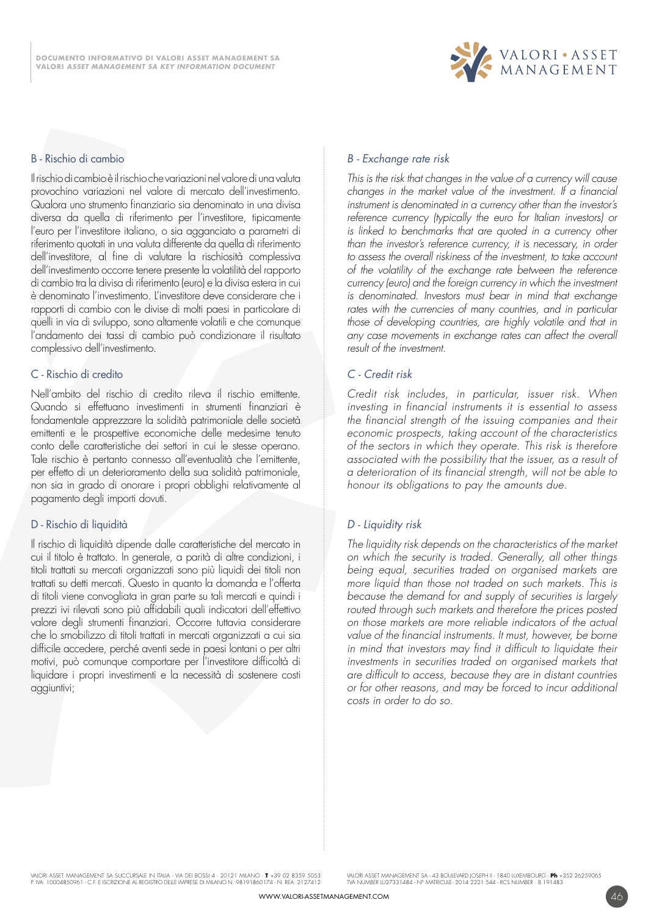

## B - Rischio di cambio

Il rischio di cambio è il rischio che variazioni nel valore di una valuta provochino variazioni nel valore di mercato dell'investimento. Qualora uno strumento finanziario sia denominato in una divisa diversa da quella di riferimento per l'investitore, tipicamente l'euro per l'investitore italiano, o sia agganciato a parametri di riferimento quotati in una valuta differente da quella di riferimento dell'investitore, al fine di valutare la rischiosità complessiva dell'investimento occorre tenere presente la volatilità del rapporto di cambio tra la divisa di riferimento (euro) e la divisa estera in cui è denominato l'investimento. L'investitore deve considerare che i rapporti di cambio con le divise di molti paesi in particolare di quelli in via di sviluppo, sono altamente volatili e che comunque l'andamento dei tassi di cambio può condizionare il risultato complessivo dell'investimento.

#### C - Rischio di credito

Nell'ambito del rischio di credito rileva il rischio emittente. Quando si effettuano investimenti in strumenti finanziari è fondamentale apprezzare la solidità patrimoniale delle società emittenti e le prospettive economiche delle medesime tenuto conto delle caratteristiche dei settori in cui le stesse operano. Tale rischio è pertanto connesso all'eventualità che l'emittente, per effetto di un deterioramento della sua solidità patrimoniale, non sia in grado di onorare i propri obblighi relativamente al pagamento degli importi dovuti.

#### D - Rischio di liquidità

Il rischio di liquidità dipende dalle caratteristiche del mercato in cui il titolo è trattato. In generale, a parità di altre condizioni, i titoli trattati su mercati organizzati sono più liquidi dei titoli non trattati su detti mercati. Questo in quanto la domanda e l'offerta di titoli viene convogliata in gran parte su tali mercati e quindi i prezzi ivi rilevati sono più affidabili quali indicatori dell'effettivo valore degli strumenti finanziari. Occorre tuttavia considerare che lo smobilizzo di titoli trattati in mercati organizzati a cui sia difficile accedere, perché aventi sede in paesi lontani o per altri motivi, può comunque comportare per l'investitore difficoltà di liquidare i propri investimenti e la necessità di sostenere costi aggiuntivi;

#### *B - Exchange rate risk*

*This is the risk that changes in the value of a currency will cause changes in the market value of the investment. If a financial instrument is denominated in a currency other than the investor's reference currency (typically the euro for Italian investors) or*  is linked to benchmarks that are quoted in a currency other *than the investor's reference currency, it is necessary, in order to assess the overall riskiness of the investment, to take account of the volatility of the exchange rate between the reference currency (euro) and the foreign currency in which the investment is denominated. Investors must bear in mind that exchange*  rates with the currencies of many countries, and in particular *those of developing countries, are highly volatile and that in any case movements in exchange rates can affect the overall result of the investment.*

## *C - Credit risk*

*Credit risk includes, in particular, issuer risk. When investing in financial instruments it is essential to assess the financial strength of the issuing companies and their economic prospects, taking account of the characteristics of the sectors in which they operate. This risk is therefore associated with the possibility that the issuer, as a result of a deterioration of its financial strength, will not be able to honour its obligations to pay the amounts due.*

# *D - Liquidity risk*

*The liquidity risk depends on the characteristics of the market on which the security is traded. Generally, all other things being equal, securities traded on organised markets are more liquid than those not traded on such markets. This is because the demand for and supply of securities is largely routed through such markets and therefore the prices posted on those markets are more reliable indicators of the actual value of the financial instruments. It must, however, be borne in mind that investors may find it difficult to liquidate their*  investments in securities traded on organised markets that *are difficult to access, because they are in distant countries or for other reasons, and may be forced to incur additional costs in order to do so.*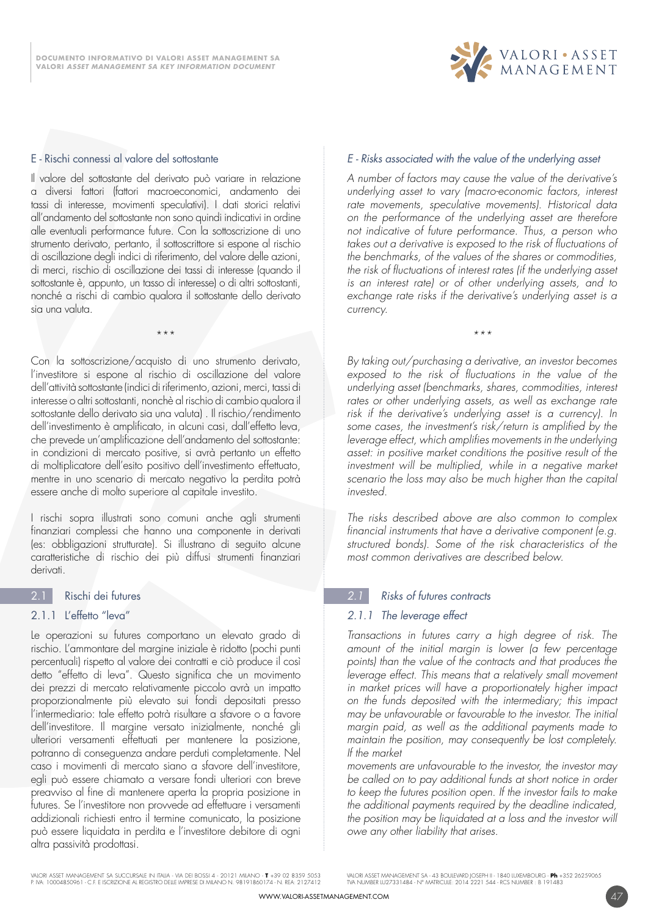# E - Rischi connessi al valore del sottostante

Il valore del sottostante del derivato può variare in relazione a diversi fattori (fattori macroeconomici, andamento dei tassi di interesse, movimenti speculativi). I dati storici relativi all'andamento del sottostante non sono quindi indicativi in ordine alle eventuali performance future. Con la sottoscrizione di uno strumento derivato, pertanto, il sottoscrittore si espone al rischio di oscillazione degli indici di riferimento, del valore delle azioni, di merci, rischio di oscillazione dei tassi di interesse (quando il sottostante è, appunto, un tasso di interesse) o di altri sottostanti, nonché a rischi di cambio qualora il sottostante dello derivato sia una valuta.

\*\*\*

Con la sottoscrizione/acquisto di uno strumento derivato, l'investitore si espone al rischio di oscillazione del valore dell'attività sottostante (indici di riferimento, azioni, merci, tassi di interesse o altri sottostanti, nonchè al rischio di cambio qualora il sottostante dello derivato sia una valuta) . Il rischio/rendimento dell'investimento è amplificato, in alcuni casi, dall'effetto leva, che prevede un'amplificazione dell'andamento del sottostante: in condizioni di mercato positive, si avrà pertanto un effetto di moltiplicatore dell'esito positivo dell'investimento effettuato, mentre in uno scenario di mercato negativo la perdita potrà essere anche di molto superiore al capitale investito.

I rischi sopra illustrati sono comuni anche agli strumenti finanziari complessi che hanno una componente in derivati (es: obbligazioni strutturate). Si illustrano di seguito alcune caratteristiche di rischio dei più diffusi strumenti finanziari derivati.

#### 2.1 Rischi dei futures

## 2.1.1 L'effetto "leva"

Le operazioni su futures comportano un elevato grado di rischio. L'ammontare del margine iniziale è ridotto (pochi punti percentuali) rispetto al valore dei contratti e ciò produce il così detto "effetto di leva". Questo significa che un movimento dei prezzi di mercato relativamente piccolo avrà un impatto proporzionalmente più elevato sui fondi depositati presso l'intermediario: tale effetto potrà risultare a sfavore o a favore dell'investitore. Il margine versato inizialmente, nonché gli ulteriori versamenti effettuati per mantenere la posizione, potranno di conseguenza andare perduti completamente. Nel caso i movimenti di mercato siano a sfavore dell'investitore, egli può essere chiamato a versare fondi ulteriori con breve preavviso al fine di mantenere aperta la propria posizione in futures. Se l'investitore non provvede ad effettuare i versamenti addizionali richiesti entro il termine comunicato, la posizione può essere liquidata in perdita e l'investitore debitore di ogni altra passività prodottasi.

#### *E - Risks associated with the value of the underlying asset*

VALORI . ASSET<br>MANAGEMENT

*A number of factors may cause the value of the derivative's underlying asset to vary (macro-economic factors, interest rate movements, speculative movements). Historical data on the performance of the underlying asset are therefore not indicative of future performance. Thus, a person who takes out a derivative is exposed to the risk of fluctuations of the benchmarks, of the values of the shares or commodities, the risk of fluctuations of interest rates (if the underlying asset is an interest rate) or of other underlying assets, and to exchange rate risks if the derivative's underlying asset is a currency.* 

*By taking out/purchasing a derivative, an investor becomes exposed to the risk of fluctuations in the value of the underlying asset (benchmarks, shares, commodities, interest rates or other underlying assets, as well as exchange rate risk if the derivative's underlying asset is a currency). In some cases, the investment's risk/return is amplified by the leverage effect, which amplifies movements in the underlying asset: in positive market conditions the positive result of the*  investment will be multiplied, while in a negative market *scenario the loss may also be much higher than the capital invested.*

*\*\*\**

*The risks described above are also common to complex financial instruments that have a derivative component (e.g. structured bonds). Some of the risk characteristics of the most common derivatives are described below.*

#### *2.1 Risks of futures contracts*

#### *2.1.1 The leverage effect*

*Transactions in futures carry a high degree of risk. The amount of the initial margin is lower (a few percentage points) than the value of the contracts and that produces the leverage effect. This means that a relatively small movement in market prices will have a proportionately higher impact on the funds deposited with the intermediary; this impact may be unfavourable or favourable to the investor. The initial margin paid, as well as the additional payments made to maintain the position, may consequently be lost completely. If the market* 

*movements are unfavourable to the investor, the investor may be called on to pay additional funds at short notice in order to keep the futures position open. If the investor fails to make the additional payments required by the deadline indicated, the position may be liquidated at a loss and the investor will owe any other liability that arises.*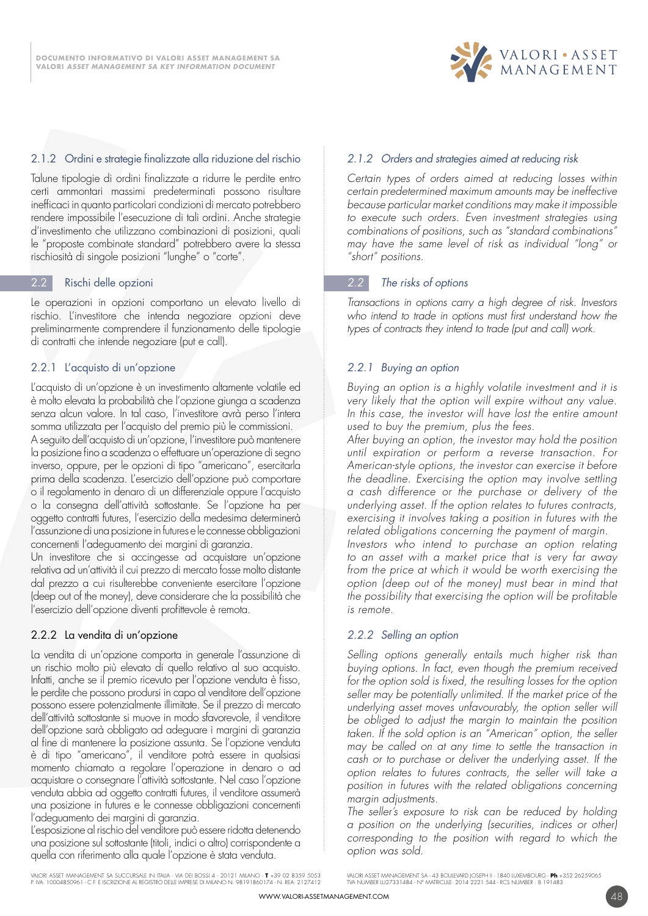

# 2.1.2 Ordini e strategie finalizzate alla riduzione del rischio

Talune tipologie di ordini finalizzate a ridurre le perdite entro certi ammontari massimi predeterminati possono risultare inefficaci in quanto particolari condizioni di mercato potrebbero rendere impossibile l'esecuzione di tali ordini. Anche strategie d'investimento che utilizzano combinazioni di posizioni, quali le "proposte combinate standard" potrebbero avere la stessa rischiosità di singole posizioni "lunghe" o "corte".

## 2.2 Rischi delle opzioni

Le operazioni in opzioni comportano un elevato livello di rischio. L'investitore che intenda negoziare opzioni deve preliminarmente comprendere il funzionamento delle tipologie di contratti che intende negoziare (put e call).

#### 2.2.1 L'acquisto di un'opzione

L'acquisto di un'opzione è un investimento altamente volatile ed è molto elevata la probabilità che l'opzione giunga a scadenza senza alcun valore. In tal caso, l'investitore avrà perso l'intera somma utilizzata per l'acquisto del premio più le commissioni. A seguito dell'acquisto di un'opzione, l'investitore può mantenere la posizione fino a scadenza o effettuare un'operazione di segno inverso, oppure, per le opzioni di tipo "americano", esercitarla prima della scadenza. L'esercizio dell'opzione può comportare o il regolamento in denaro di un differenziale oppure l'acquisto o la consegna dell'attività sottostante. Se l'opzione ha per oggetto contratti futures, l'esercizio della medesima determinerà l'assunzione di una posizione in futures e le connesse obbligazioni concernenti l'adeguamento dei margini di garanzia.

Un investitore che si accingesse ad acquistare un'opzione relativa ad un'attività il cui prezzo di mercato fosse molto distante dal prezzo a cui risulterebbe conveniente esercitare l'opzione (deep out of the money), deve considerare che la possibilità che l'esercizio dell'opzione diventi profittevole è remota.

## 2.2.2 La vendita di un'opzione

La vendita di un'opzione comporta in generale l'assunzione di un rischio molto più elevato di quello relativo al suo acquisto. Infatti, anche se il premio ricevuto per l'opzione venduta è fisso, le perdite che possono prodursi in capo al venditore dell'opzione possono essere potenzialmente illimitate. Se il prezzo di mercato dell'attività sottostante si muove in modo sfavorevole, il venditore dell'opzione sarà obbligato ad adeguare i margini di garanzia al fine di mantenere la posizione assunta. Se l'opzione venduta è di tipo "americano", il venditore potrà essere in qualsiasi momento chiamato a regolare l'operazione in denaro o ad acquistare o consegnare l'attività sottostante. Nel caso l'opzione venduta abbia ad oggetto contratti futures, il venditore assumerà una posizione in futures e le connesse obbligazioni concernenti l'adeguamento dei margini di garanzia.

L'esposizione al rischio del venditore può essere ridotta detenendo una posizione sul sottostante (titoli, indici o altro) corrispondente a quella con riferimento alla quale l'opzione è stata venduta.

## *2.1.2 Orders and strategies aimed at reducing risk*

*Certain types of orders aimed at reducing losses within certain predetermined maximum amounts may be ineffective because particular market conditions may make it impossible to execute such orders. Even investment strategies using combinations of positions, such as "standard combinations" may have the same level of risk as individual "long" or "short" positions.*

## *2.2 The risks of options*

*Transactions in options carry a high degree of risk. Investors*  who intend to trade in options must first understand how the *types of contracts they intend to trade (put and call) work.*

## *2.2.1 Buying an option*

*Buying an option is a highly volatile investment and it is very likely that the option will expire without any value. In this case, the investor will have lost the entire amount used to buy the premium, plus the fees.*

*After buying an option, the investor may hold the position until expiration or perform a reverse transaction. For American-style options, the investor can exercise it before the deadline. Exercising the option may involve settling a cash difference or the purchase or delivery of the underlying asset. If the option relates to futures contracts, exercising it involves taking a position in futures with the related obligations concerning the payment of margin. Investors who intend to purchase an option relating to an asset with a market price that is very far away from the price at which it would be worth exercising the option (deep out of the money) must bear in mind that the possibility that exercising the option will be profitable is remote.*

#### *2.2.2 Selling an option*

*Selling options generally entails much higher risk than buying options. In fact, even though the premium received for the option sold is fixed, the resulting losses for the option seller may be potentially unlimited. If the market price of the*  underlying asset moves unfavourably, the option seller will *be obliged to adjust the margin to maintain the position taken. If the sold option is an "American" option, the seller may be called on at any time to settle the transaction in cash or to purchase or deliver the underlying asset. If the option relates to futures contracts, the seller will take a position in futures with the related obligations concerning margin adjustments.*

*The seller's exposure to risk can be reduced by holding a position on the underlying (securities, indices or other) corresponding to the position with regard to which the option was sold.*

VALORI ASSET MANAGEMENT SA SUCCURSALE IN ITALIA - VIA DEI BOSSI 4 - 20121 MILANO - **T** +39 02 8359 5053 P. IVA: 10004850961 - C.F. E ISCRIZIONE AL REGISTRO DELLE IMPRESE DI MILANO N. 98191860174 - N. REA: 2127412

VALORI ASSET MANAGEMENT SA - 43 BOULEVARD JOSEPH II - 1840 LUXEMBOURG - **Ph** +352 26259065 TVA NUMBER LU27331484 - N° MATRICULE: 2014 2221 544 - RCS NUMBER : B 191483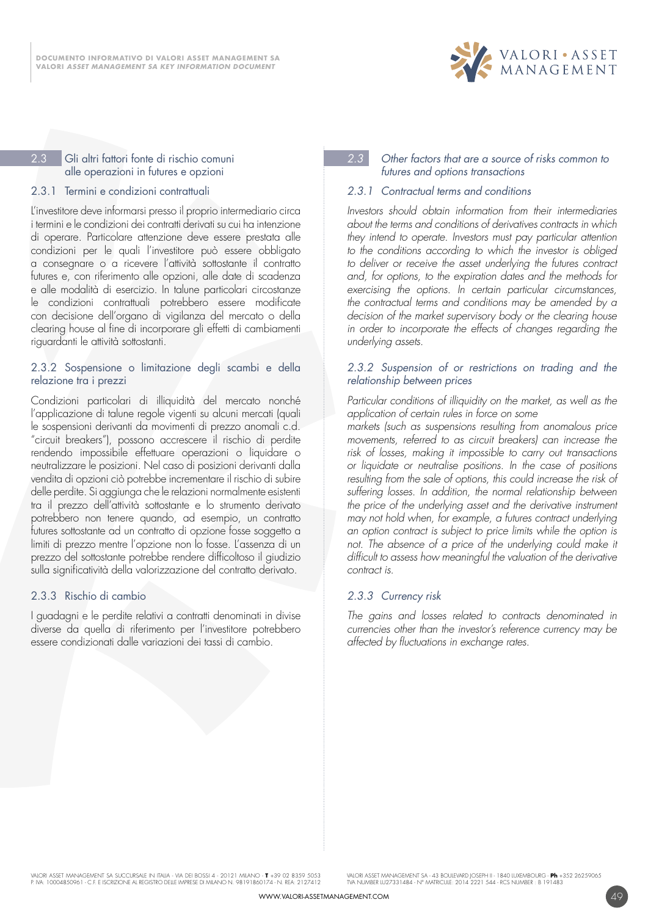

## 2.3 Gli altri fattori fonte di rischio comuni alle operazioni in futures e opzioni

#### 2.3.1 Termini e condizioni contrattuali

L'investitore deve informarsi presso il proprio intermediario circa i termini e le condizioni dei contratti derivati su cui ha intenzione di operare. Particolare attenzione deve essere prestata alle condizioni per le quali l'investitore può essere obbligato a consegnare o a ricevere l'attività sottostante il contratto futures e, con riferimento alle opzioni, alle date di scadenza e alle modalità di esercizio. In talune particolari circostanze le condizioni contrattuali potrebbero essere modificate con decisione dell'organo di vigilanza del mercato o della clearing house al fine di incorporare gli effetti di cambiamenti riguardanti le attività sottostanti.

## 2.3.2 Sospensione o limitazione degli scambi e della relazione tra i prezzi

Condizioni particolari di illiquidità del mercato nonché l'applicazione di talune regole vigenti su alcuni mercati (quali le sospensioni derivanti da movimenti di prezzo anomali c.d. "circuit breakers"), possono accrescere il rischio di perdite rendendo impossibile effettuare operazioni o liquidare o neutralizzare le posizioni. Nel caso di posizioni derivanti dalla vendita di opzioni ciò potrebbe incrementare il rischio di subire delle perdite. Si aggiunga che le relazioni normalmente esistenti tra il prezzo dell'attività sottostante e lo strumento derivato potrebbero non tenere quando, ad esempio, un contratto futures sottostante ad un contratto di opzione fosse soggetto a limiti di prezzo mentre l'opzione non lo fosse. L'assenza di un prezzo del sottostante potrebbe rendere difficoltoso il giudizio sulla significatività della valorizzazione del contratto derivato.

## 2.3.3 Rischio di cambio

I guadagni e le perdite relativi a contratti denominati in divise diverse da quella di riferimento per l'investitore potrebbero essere condizionati dalle variazioni dei tassi di cambio.

## *2.3 Other factors that are a source of risks common to futures and options transactions*

#### *2.3.1 Contractual terms and conditions*

*Investors should obtain information from their intermediaries about the terms and conditions of derivatives contracts in which they intend to operate. Investors must pay particular attention to the conditions according to which the investor is obliged*  to deliver or receive the asset underlying the futures contract *and, for options, to the expiration dates and the methods for exercising the options. In certain particular circumstances, the contractual terms and conditions may be amended by a decision of the market supervisory body or the clearing house in order to incorporate the effects of changes regarding the underlying assets.*

#### *2.3.2 Suspension of or restrictions on trading and the relationship between prices*

*Particular conditions of illiquidity on the market, as well as the application of certain rules in force on some* 

*markets (such as suspensions resulting from anomalous price movements, referred to as circuit breakers) can increase the risk of losses, making it impossible to carry out transactions or liquidate or neutralise positions. In the case of positions resulting from the sale of options, this could increase the risk of suffering losses. In addition, the normal relationship between the price of the underlying asset and the derivative instrument may not hold when, for example, a futures contract underlying an option contract is subject to price limits while the option is not. The absence of a price of the underlying could make it difficult to assess how meaningful the valuation of the derivative contract is.*

## *2.3.3 Currency risk*

*The gains and losses related to contracts denominated in currencies other than the investor's reference currency may be affected by fluctuations in exchange rates.*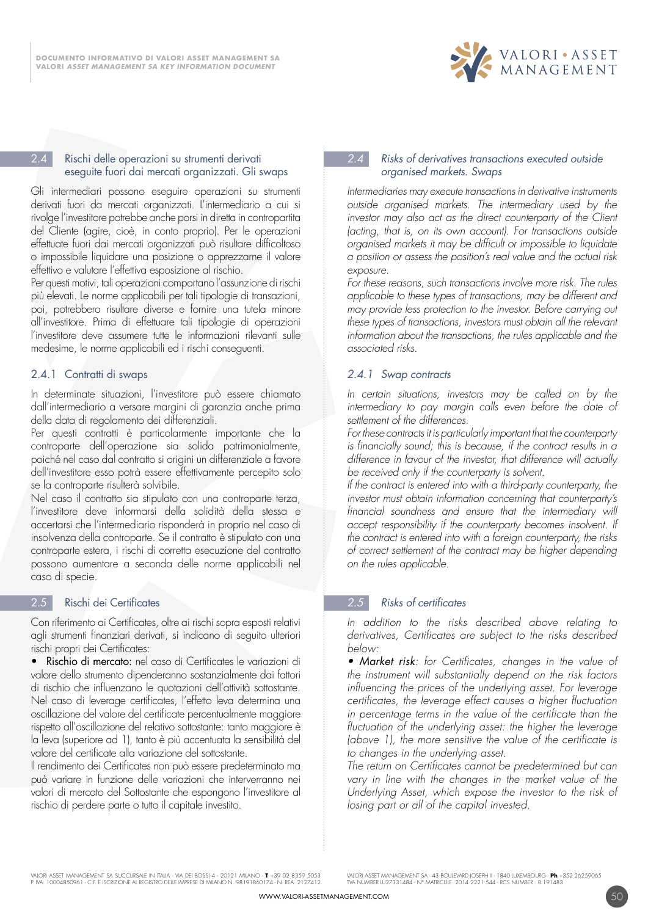

# 2.4 Rischi delle operazioni su strumenti derivati eseguite fuori dai mercati organizzati. Gli swaps

Gli intermediari possono eseguire operazioni su strumenti derivati fuori da mercati organizzati. L'intermediario a cui si rivolge l'investitore potrebbe anche porsi in diretta in contropartita del Cliente (agire, cioè, in conto proprio). Per le operazioni effettuate fuori dai mercati organizzati può risultare difficoltoso o impossibile liquidare una posizione o apprezzarne il valore effettivo e valutare l'effettiva esposizione al rischio.

Per questi motivi, tali operazioni comportano l'assunzione di rischi più elevati. Le norme applicabili per tali tipologie di transazioni, poi, potrebbero risultare diverse e fornire una tutela minore all'investitore. Prima di effettuare tali tipologie di operazioni l'investitore deve assumere tutte le informazioni rilevanti sulle medesime, le norme applicabili ed i rischi conseguenti.

## 2.4.1 Contratti di swaps

In determinate situazioni, l'investitore può essere chiamato dall'intermediario a versare margini di garanzia anche prima della data di regolamento dei differenziali.

Per questi contratti è particolarmente importante che la controparte dell'operazione sia solida patrimonialmente, poiché nel caso dal contratto si origini un differenziale a favore dell'investitore esso potrà essere effettivamente percepito solo se la controparte risulterà solvibile.

Nel caso il contratto sia stipulato con una controparte terza, l'investitore deve informarsi della solidità della stessa e accertarsi che l'intermediario risponderà in proprio nel caso di insolvenza della controparte. Se il contratto è stipulato con una controparte estera, i rischi di corretta esecuzione del contratto possono aumentare a seconda delle norme applicabili nel caso di specie.

# 2.5 Rischi dei Certificates

Con riferimento ai Certificates, oltre ai rischi sopra esposti relativi agli strumenti finanziari derivati, si indicano di seguito ulteriori rischi propri dei Certificates:

• Rischio di mercato: nel caso di Certificates le variazioni di valore dello strumento dipenderanno sostanzialmente dai fattori di rischio che influenzano le quotazioni dell'attività sottostante. Nel caso di leverage certificates, l'effetto leva determina una oscillazione del valore del certificate percentualmente maggiore rispetto all'oscillazione del relativo sottostante: tanto maggiore è la leva (superiore ad 1), tanto è più accentuata la sensibilità del valore del certificate alla variazione del sottostante.

Il rendimento dei Certificates non può essere predeterminato ma può variare in funzione delle variazioni che interverranno nei valori di mercato del Sottostante che espongono l'investitore al rischio di perdere parte o tutto il capitale investito.

## *2.4 Risks of derivatives transactions executed outside organised markets. Swaps*

*Intermediaries may execute transactions in derivative instruments outside organised markets. The intermediary used by the investor may also act as the direct counterparty of the Client (acting, that is, on its own account). For transactions outside organised markets it may be difficult or impossible to liquidate a position or assess the position's real value and the actual risk exposure.*

*For these reasons, such transactions involve more risk. The rules applicable to these types of transactions, may be different and may provide less protection to the investor. Before carrying out these types of transactions, investors must obtain all the relevant information about the transactions, the rules applicable and the associated risks.*

# *2.4.1 Swap contracts*

*In certain situations, investors may be called on by the intermediary to pay margin calls even before the date of settlement of the differences.*

*For these contracts it is particularly important that the counterparty is financially sound; this is because, if the contract results in a difference in favour of the investor, that difference will actually be received only if the counterparty is solvent.*

*If the contract is entered into with a third-party counterparty, the investor must obtain information concerning that counterparty's financial soundness and ensure that the intermediary will accept responsibility if the counterparty becomes insolvent. If the contract is entered into with a foreign counterparty, the risks of correct settlement of the contract may be higher depending on the rules applicable.*

# *2.5 Risks of certificates*

*In addition to the risks described above relating to derivatives, Certificates are subject to the risks described below:*

*• Market risk: for Certificates, changes in the value of the instrument will substantially depend on the risk factors influencing the prices of the underlying asset. For leverage certificates, the leverage effect causes a higher fluctuation in percentage terms in the value of the certificate than the fluctuation of the underlying asset: the higher the leverage (above 1), the more sensitive the value of the certificate is to changes in the underlying asset.*

*The return on Certificates cannot be predetermined but can vary in line with the changes in the market value of the Underlying Asset, which expose the investor to the risk of losing part or all of the capital invested.*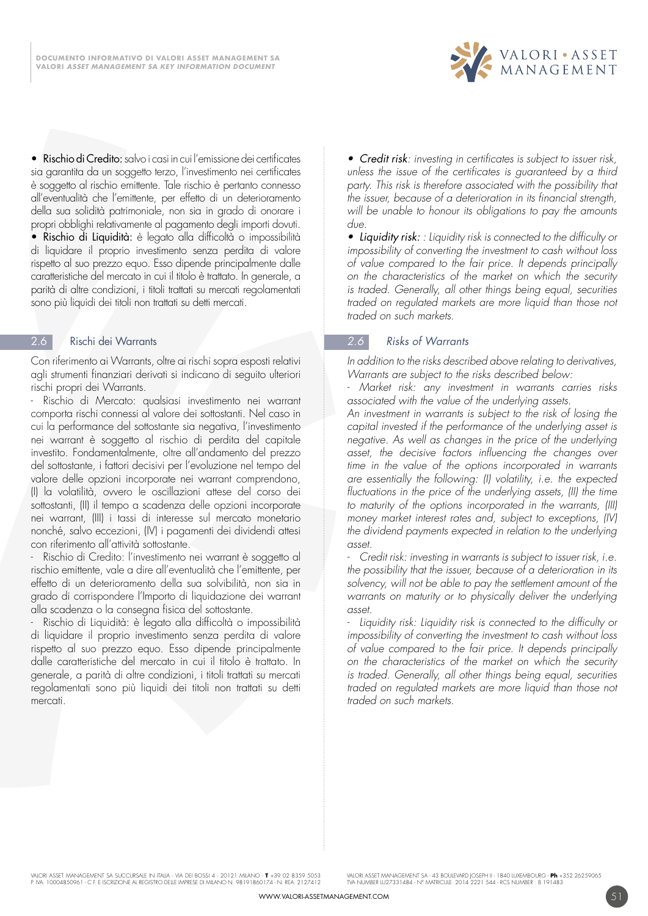

• Rischio di Credito: salvo i casi in cui l'emissione dei certificates sia garantita da un soggetto terzo, l'investimento nei certificates è soggetto al rischio emittente. Tale rischio è pertanto connesso all'eventualità che l'emittente, per effetto di un deterioramento della sua solidità patrimoniale, non sia in grado di onorare i propri obblighi relativamente al pagamento degli importi dovuti. • Rischio di Liquidità: è legato alla difficoltà o impossibilità di liquidare il proprio investimento senza perdita di valore rispetto al suo prezzo equo. Esso dipende principalmente dalle caratteristiche del mercato in cui il titolo è trattato. In generale, a parità di altre condizioni, i titoli trattati su mercati regolamentati sono più liquidi dei titoli non trattati su detti mercati.

# 2.6 Rischi dei Warrants

Con riferimento ai Warrants, oltre ai rischi sopra esposti relativi agli strumenti finanziari derivati si indicano di seguito ulteriori rischi propri dei Warrants.

Rischio di Mercato: qualsiasi investimento nei warrant comporta rischi connessi al valore dei sottostanti. Nel caso in cui la performance del sottostante sia negativa, l'investimento nei warrant è soggetto al rischio di perdita del capitale investito. Fondamentalmente, oltre all'andamento del prezzo del sottostante, i fattori decisivi per l'evoluzione nel tempo del valore delle opzioni incorporate nei warrant comprendono, (I) la volatilità, ovvero le oscillazioni attese del corso dei sottostanti, (II) il tempo a scadenza delle opzioni incorporate nei warrant, (III) i tassi di interesse sul mercato monetario nonché, salvo eccezioni, (IV) i pagamenti dei dividendi attesi con riferimento all'attività sottostante.

Rischio di Credito: l'investimento nei warrant è soggetto al rischio emittente, vale a dire all'eventualità che l'emittente, per effetto di un deterioramento della sua solvibilità, non sia in grado di corrispondere l'Importo di liquidazione dei warrant alla scadenza o la consegna fisica del sottostante.

- Rischio di Liquidità: è legato alla difficoltà o impossibilità di liquidare il proprio investimento senza perdita di valore rispetto al suo prezzo equo. Esso dipende principalmente dalle caratteristiche del mercato in cui il titolo è trattato. In generale, a parità di altre condizioni, i titoli trattati su mercati regolamentati sono più liquidi dei titoli non trattati su detti mercati.

*• Credit risk: investing in certificates is subject to issuer risk,*  unless the issue of the certificates is guaranteed by a third *party. This risk is therefore associated with the possibility that the issuer, because of a deterioration in its financial strength, will be unable to honour its obligations to pay the amounts due.*

*• Liquidity risk: : Liquidity risk is connected to the difficulty or impossibility of converting the investment to cash without loss of value compared to the fair price. It depends principally on the characteristics of the market on which the security is traded. Generally, all other things being equal, securities traded on regulated markets are more liquid than those not traded on such markets.* 

# *2.6 Risks of Warrants*

*In addition to the risks described above relating to derivatives, Warrants are subject to the risks described below:*

*- Market risk: any investment in warrants carries risks associated with the value of the underlying assets.*

*An investment in warrants is subject to the risk of losing the capital invested if the performance of the underlying asset is negative. As well as changes in the price of the underlying asset, the decisive factors influencing the changes over time in the value of the options incorporated in warrants are essentially the following: (I) volatility, i.e. the expected fluctuations in the price of the underlying assets, (II) the time*  to maturity of the options incorporated in the warrants, (III) *money market interest rates and, subject to exceptions, (IV) the dividend payments expected in relation to the underlying asset.*

*- Credit risk: investing in warrants is subject to issuer risk, i.e. the possibility that the issuer, because of a deterioration in its solvency, will not be able to pay the settlement amount of the warrants on maturity or to physically deliver the underlying asset.*

*- Liquidity risk: Liquidity risk is connected to the difficulty or impossibility of converting the investment to cash without loss of value compared to the fair price. It depends principally on the characteristics of the market on which the security is traded. Generally, all other things being equal, securities traded on regulated markets are more liquid than those not traded on such markets.*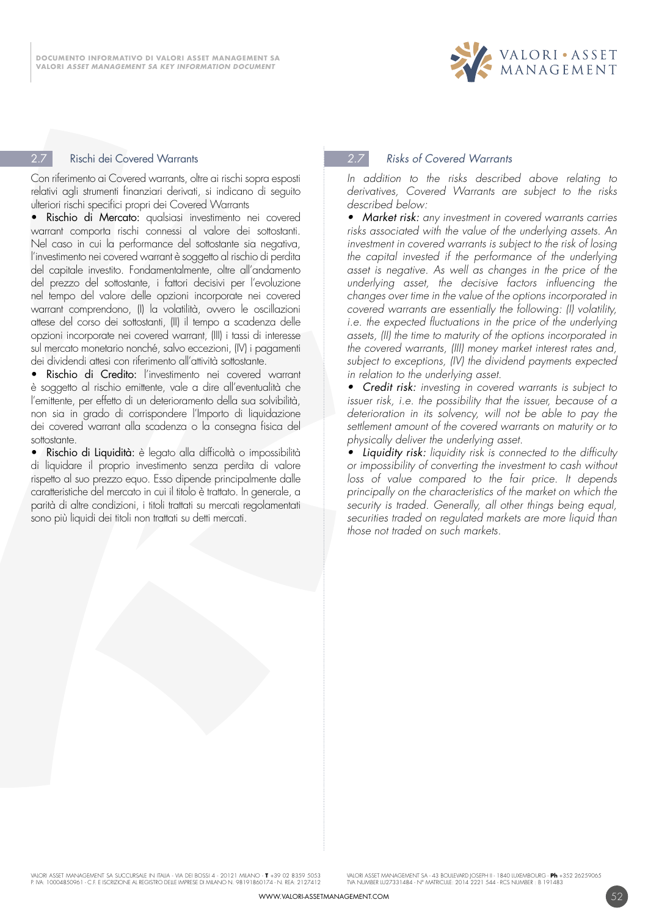

#### 2.7 Rischi dei Covered Warrants

Con riferimento ai Covered warrants, oltre ai rischi sopra esposti relativi agli strumenti finanziari derivati, si indicano di seguito ulteriori rischi specifici propri dei Covered Warrants

• Rischio di Mercato: qualsiasi investimento nei covered warrant comporta rischi connessi al valore dei sottostanti. Nel caso in cui la performance del sottostante sia negativa, l'investimento nei covered warrant è soggetto al rischio di perdita del capitale investito. Fondamentalmente, oltre all'andamento del prezzo del sottostante, i fattori decisivi per l'evoluzione nel tempo del valore delle opzioni incorporate nei covered warrant comprendono, (I) la volatilità, ovvero le oscillazioni attese del corso dei sottostanti, (II) il tempo a scadenza delle opzioni incorporate nei covered warrant, (III) i tassi di interesse sul mercato monetario nonché, salvo eccezioni, (IV) i pagamenti dei dividendi attesi con riferimento all'attività sottostante.

• Rischio di Credito: l'investimento nei covered warrant è soggetto al rischio emittente, vale a dire all'eventualità che l'emittente, per effetto di un deterioramento della sua solvibilità, non sia in grado di corrispondere l'Importo di liquidazione dei covered warrant alla scadenza o la consegna fisica del sottostante.

• Rischio di Liquidità: è legato alla difficoltà o impossibilità di liquidare il proprio investimento senza perdita di valore rispetto al suo prezzo equo. Esso dipende principalmente dalle caratteristiche del mercato in cui il titolo è trattato. In generale, a parità di altre condizioni, i titoli trattati su mercati regolamentati sono più liquidi dei titoli non trattati su detti mercati.

#### *2.7 Risks of Covered Warrants*

*In addition to the risks described above relating to derivatives, Covered Warrants are subject to the risks described below:*

*• Market risk: any investment in covered warrants carries risks associated with the value of the underlying assets. An investment in covered warrants is subject to the risk of losing the capital invested if the performance of the underlying asset is negative. As well as changes in the price of the underlying asset, the decisive factors influencing the changes over time in the value of the options incorporated in covered warrants are essentially the following: (I) volatility, i.e. the expected fluctuations in the price of the underlying assets, (II) the time to maturity of the options incorporated in the covered warrants, (III) money market interest rates and, subject to exceptions, (IV) the dividend payments expected in relation to the underlying asset.*

*• Credit risk: investing in covered warrants is subject to issuer risk, i.e. the possibility that the issuer, because of a deterioration in its solvency, will not be able to pay the settlement amount of the covered warrants on maturity or to physically deliver the underlying asset.*

*• Liquidity risk: liquidity risk is connected to the difficulty or impossibility of converting the investment to cash without loss of value compared to the fair price. It depends principally on the characteristics of the market on which the security is traded. Generally, all other things being equal, securities traded on regulated markets are more liquid than those not traded on such markets.*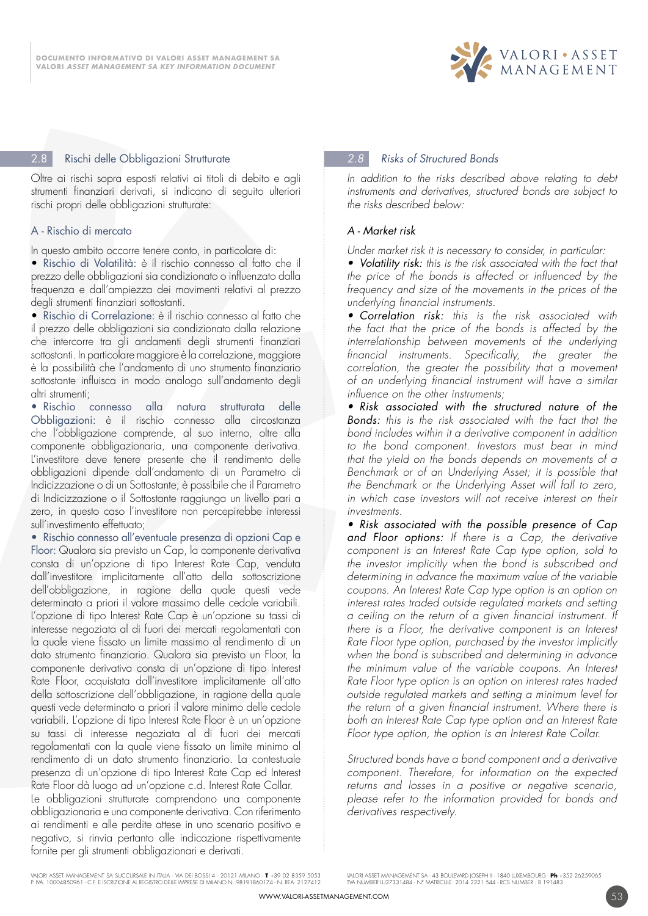

# 2.8 Rischi delle Obbligazioni Strutturate

Oltre ai rischi sopra esposti relativi ai titoli di debito e agli strumenti finanziari derivati, si indicano di seguito ulteriori rischi propri delle obbligazioni strutturate:

#### A - Rischio di mercato

In questo ambito occorre tenere conto, in particolare di:

• Rischio di Volatilità: è il rischio connesso al fatto che il prezzo delle obbligazioni sia condizionato o influenzato dalla frequenza e dall'ampiezza dei movimenti relativi al prezzo degli strumenti finanziari sottostanti.

• Rischio di Correlazione: è il rischio connesso al fatto che il prezzo delle obbligazioni sia condizionato dalla relazione che intercorre tra gli andamenti degli strumenti finanziari sottostanti. In particolare maggiore è la correlazione, maggiore è la possibilità che l'andamento di uno strumento finanziario sottostante influisca in modo analogo sull'andamento degli altri strumenti;

• Rischio connesso alla natura strutturata delle Obbligazioni: è il rischio connesso alla circostanza che l'obbligazione comprende, al suo interno, oltre alla componente obbligazionaria, una componente derivativa. L'investitore deve tenere presente che il rendimento delle obbligazioni dipende dall'andamento di un Parametro di Indicizzazione o di un Sottostante; è possibile che il Parametro di Indicizzazione o il Sottostante raggiunga un livello pari a zero, in questo caso l'investitore non percepirebbe interessi sull'investimento effettuato;

• Rischio connesso all'eventuale presenza di opzioni Cap e Floor: Qualora sia previsto un Cap, la componente derivativa consta di un'opzione di tipo Interest Rate Cap, venduta dall'investitore implicitamente all'atto della sottoscrizione dell'obbligazione, in ragione della quale questi vede determinato a priori il valore massimo delle cedole variabili. L'opzione di tipo Interest Rate Cap è un'opzione su tassi di interesse negoziata al di fuori dei mercati regolamentati con la quale viene fissato un limite massimo al rendimento di un dato strumento finanziario. Qualora sia previsto un Floor, la componente derivativa consta di un'opzione di tipo Interest Rate Floor, acquistata dall'investitore implicitamente all'atto della sottoscrizione dell'obbligazione, in ragione della quale questi vede determinato a priori il valore minimo delle cedole variabili. L'opzione di tipo Interest Rate Floor è un un'opzione su tassi di interesse negoziata al di fuori dei mercati regolamentati con la quale viene fissato un limite minimo al rendimento di un dato strumento finanziario. La contestuale presenza di un'opzione di tipo Interest Rate Cap ed Interest Rate Floor dà luogo ad un'opzione c.d. Interest Rate Collar. Le obbligazioni strutturate comprendono una componente

obbligazionaria e una componente derivativa. Con riferimento ai rendimenti e alle perdite attese in uno scenario positivo e negativo, si rinvia pertanto alle indicazione rispettivamente fornite per gli strumenti obbligazionari e derivati.

# *2.8 Risks of Structured Bonds*

*In addition to the risks described above relating to debt instruments and derivatives, structured bonds are subject to the risks described below:*

#### *A - Market risk*

*Under market risk it is necessary to consider, in particular:*

*• Volatility risk: this is the risk associated with the fact that the price of the bonds is affected or influenced by the frequency and size of the movements in the prices of the underlying financial instruments.*

*• Correlation risk: this is the risk associated with the fact that the price of the bonds is affected by the interrelationship between movements of the underlying financial instruments. Specifically, the greater the correlation, the greater the possibility that a movement of an underlying financial instrument will have a similar influence on the other instruments;*

*• Risk associated with the structured nature of the Bonds: this is the risk associated with the fact that the bond includes within it a derivative component in addition to the bond component. Investors must bear in mind that the yield on the bonds depends on movements of a Benchmark or of an Underlying Asset; it is possible that the Benchmark or the Underlying Asset will fall to zero, in which case investors will not receive interest on their investments.*

*• Risk associated with the possible presence of Cap and Floor options: If there is a Cap, the derivative component is an Interest Rate Cap type option, sold to the investor implicitly when the bond is subscribed and determining in advance the maximum value of the variable coupons. An Interest Rate Cap type option is an option on interest rates traded outside regulated markets and setting a ceiling on the return of a given financial instrument. If there is a Floor, the derivative component is an Interest Rate Floor type option, purchased by the investor implicitly when the bond is subscribed and determining in advance the minimum value of the variable coupons. An Interest Rate Floor type option is an option on interest rates traded outside regulated markets and setting a minimum level for the return of a given financial instrument. Where there is both an Interest Rate Cap type option and an Interest Rate Floor type option, the option is an Interest Rate Collar.*

*Structured bonds have a bond component and a derivative component. Therefore, for information on the expected returns and losses in a positive or negative scenario, please refer to the information provided for bonds and derivatives respectively.*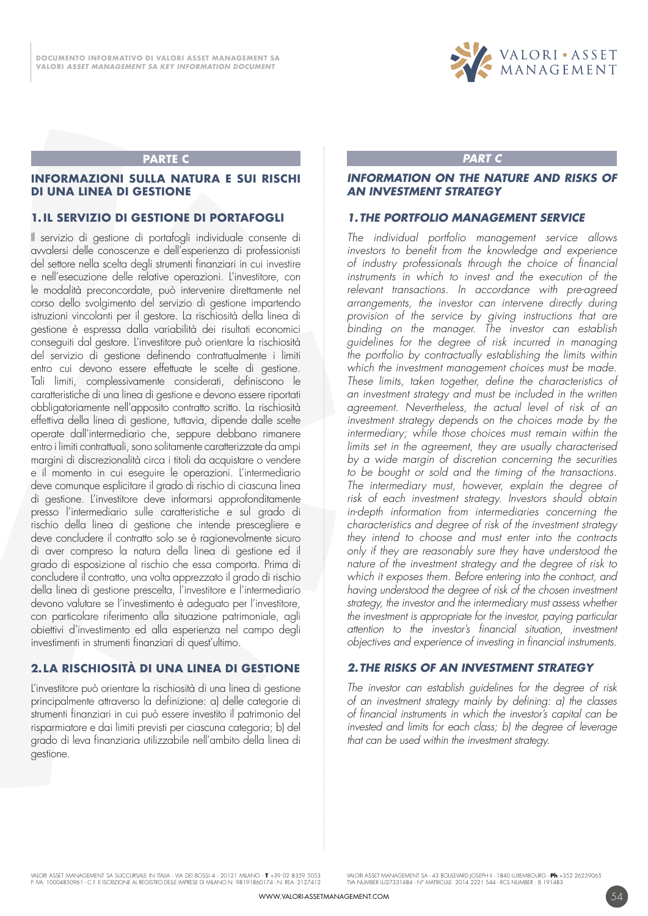

#### **PARTE C**

#### **INFORMAZIONI SULLA NATURA E SUI RISCHI DI UNA LINEA DI GESTIONE**

## **1.IL SERVIZIO DI GESTIONE DI PORTAFOGLI**

Il servizio di gestione di portafogli individuale consente di avvalersi delle conoscenze e dell'esperienza di professionisti del settore nella scelta degli strumenti finanziari in cui investire e nell'esecuzione delle relative operazioni. L'investitore, con le modalità preconcordate, può intervenire direttamente nel corso dello svolgimento del servizio di gestione impartendo istruzioni vincolanti per il gestore. La rischiosità della linea di gestione è espressa dalla variabilità dei risultati economici conseguiti dal gestore. L'investitore può orientare la rischiosità del servizio di gestione definendo contrattualmente i limiti entro cui devono essere effettuate le scelte di gestione. Tali limiti, complessivamente considerati, definiscono le caratteristiche di una linea di gestione e devono essere riportati obbligatoriamente nell'apposito contratto scritto. La rischiosità effettiva della linea di gestione, tuttavia, dipende dalle scelte operate dall'intermediario che, seppure debbano rimanere entro i limiti contrattuali, sono solitamente caratterizzate da ampi margini di discrezionalità circa i titoli da acquistare o vendere e il momento in cui eseguire le operazioni. L'intermediario deve comunque esplicitare il grado di rischio di ciascuna linea di gestione. L'investitore deve informarsi approfonditamente presso l'intermediario sulle caratteristiche e sul grado di rischio della linea di gestione che intende prescegliere e deve concludere il contratto solo se è ragionevolmente sicuro di aver compreso la natura della linea di gestione ed il grado di esposizione al rischio che essa comporta. Prima di concludere il contratto, una volta apprezzato il grado di rischio della linea di gestione prescelta, l'investitore e l'intermediario devono valutare se l'investimento è adeguato per l'investitore, con particolare riferimento alla situazione patrimoniale, agli obiettivi d'investimento ed alla esperienza nel campo degli investimenti in strumenti finanziari di quest'ultimo.

# **2.LA RISCHIOSITÀ DI UNA LINEA DI GESTIONE**

L'investitore può orientare la rischiosità di una linea di gestione principalmente attraverso la definizione: a) delle categorie di strumenti finanziari in cui può essere investito il patrimonio del risparmiatore e dai limiti previsti per ciascuna categoria; b) del grado di leva finanziaria utilizzabile nell'ambito della linea di gestione.

#### *PART C*

#### *INFORMATION ON THE NATURE AND RISKS OF AN INVESTMENT STRATEGY*

#### *1.THE PORTFOLIO MANAGEMENT SERVICE*

*The individual portfolio management service allows investors to benefit from the knowledge and experience of industry professionals through the choice of financial instruments in which to invest and the execution of the relevant transactions. In accordance with pre-agreed arrangements, the investor can intervene directly during provision of the service by giving instructions that are binding on the manager. The investor can establish guidelines for the degree of risk incurred in managing the portfolio by contractually establishing the limits within which the investment management choices must be made. These limits, taken together, define the characteristics of an investment strategy and must be included in the written agreement. Nevertheless, the actual level of risk of an investment strategy depends on the choices made by the intermediary; while those choices must remain within the limits set in the agreement, they are usually characterised by a wide margin of discretion concerning the securities to be bought or sold and the timing of the transactions. The intermediary must, however, explain the degree of risk of each investment strategy. Investors should obtain in-depth information from intermediaries concerning the characteristics and degree of risk of the investment strategy they intend to choose and must enter into the contracts only if they are reasonably sure they have understood the nature of the investment strategy and the degree of risk to which it exposes them. Before entering into the contract, and having understood the degree of risk of the chosen investment strategy, the investor and the intermediary must assess whether the investment is appropriate for the investor, paying particular attention to the investor's financial situation, investment objectives and experience of investing in financial instruments.*

#### *2.THE RISKS OF AN INVESTMENT STRATEGY*

*The investor can establish guidelines for the degree of risk of an investment strategy mainly by defining: a) the classes of financial instruments in which the investor's capital can be invested and limits for each class; b) the degree of leverage that can be used within the investment strategy.*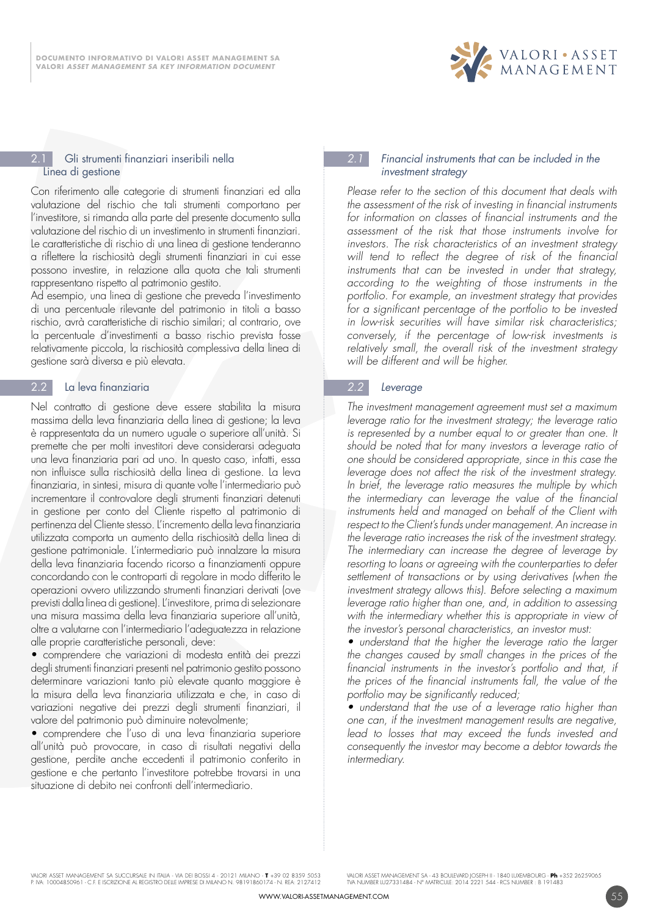

#### 2.1 Gli strumenti finanziari inseribili nella Linea di gestione

Con riferimento alle categorie di strumenti finanziari ed alla valutazione del rischio che tali strumenti comportano per l'investitore, si rimanda alla parte del presente documento sulla valutazione del rischio di un investimento in strumenti finanziari. Le caratteristiche di rischio di una linea di gestione tenderanno a riflettere la rischiosità degli strumenti finanziari in cui esse possono investire, in relazione alla quota che tali strumenti rappresentano rispetto al patrimonio gestito.

Ad esempio, una linea di gestione che preveda l'investimento di una percentuale rilevante del patrimonio in titoli a basso rischio, avrà caratteristiche di rischio similari; al contrario, ove la percentuale d'investimenti a basso rischio prevista fosse relativamente piccola, la rischiosità complessiva della linea di gestione sarà diversa e più elevata.

## 2.2 La leva finanziaria

Nel contratto di gestione deve essere stabilita la misura massima della leva finanziaria della linea di gestione; la leva è rappresentata da un numero uguale o superiore all'unità. Si premette che per molti investitori deve considerarsi adeguata una leva finanziaria pari ad uno. In questo caso, infatti, essa non influisce sulla rischiosità della linea di gestione. La leva finanziaria, in sintesi, misura di quante volte l'intermediario può incrementare il controvalore degli strumenti finanziari detenuti in gestione per conto del Cliente rispetto al patrimonio di pertinenza del Cliente stesso. L'incremento della leva finanziaria utilizzata comporta un aumento della rischiosità della linea di gestione patrimoniale. L'intermediario può innalzare la misura della leva finanziaria facendo ricorso a finanziamenti oppure concordando con le controparti di regolare in modo differito le operazioni ovvero utilizzando strumenti finanziari derivati (ove previsti dalla linea di gestione). L'investitore, prima di selezionare una misura massima della leva finanziaria superiore all'unità, oltre a valutarne con l'intermediario l'adeguatezza in relazione alle proprie caratteristiche personali, deve:

• comprendere che variazioni di modesta entità dei prezzi degli strumenti finanziari presenti nel patrimonio gestito possono determinare variazioni tanto più elevate quanto maggiore è la misura della leva finanziaria utilizzata e che, in caso di variazioni negative dei prezzi degli strumenti finanziari, il valore del patrimonio può diminuire notevolmente;

• comprendere che l'uso di una leva finanziaria superiore all'unità può provocare, in caso di risultati negativi della gestione, perdite anche eccedenti il patrimonio conferito in gestione e che pertanto l'investitore potrebbe trovarsi in una situazione di debito nei confronti dell'intermediario.

## *2.1 Financial instruments that can be included in the investment strategy*

*Please refer to the section of this document that deals with the assessment of the risk of investing in financial instruments for information on classes of financial instruments and the assessment of the risk that those instruments involve for investors. The risk characteristics of an investment strategy will tend to reflect the degree of risk of the financial instruments that can be invested in under that strategy, according to the weighting of those instruments in the portfolio. For example, an investment strategy that provides for a significant percentage of the portfolio to be invested in low-risk securities will have similar risk characteristics; conversely, if the percentage of low-risk investments is relatively small, the overall risk of the investment strategy will be different and will be higher.*

## *2.2 Leverage*

*The investment management agreement must set a maximum leverage ratio for the investment strategy; the leverage ratio*  is represented by a number equal to or greater than one. It *should be noted that for many investors a leverage ratio of one should be considered appropriate, since in this case the leverage does not affect the risk of the investment strategy. In brief, the leverage ratio measures the multiple by which the intermediary can leverage the value of the financial instruments held and managed on behalf of the Client with respect to the Client's funds under management. An increase in the leverage ratio increases the risk of the investment strategy. The intermediary can increase the degree of leverage by resorting to loans or agreeing with the counterparties to defer settlement of transactions or by using derivatives (when the investment strategy allows this). Before selecting a maximum leverage ratio higher than one, and, in addition to assessing with the intermediary whether this is appropriate in view of the investor's personal characteristics, an investor must:*

*• understand that the higher the leverage ratio the larger the changes caused by small changes in the prices of the financial instruments in the investor's portfolio and that, if the prices of the financial instruments fall, the value of the portfolio may be significantly reduced;*

*• understand that the use of a leverage ratio higher than one can, if the investment management results are negative, lead to losses that may exceed the funds invested and consequently the investor may become a debtor towards the intermediary.*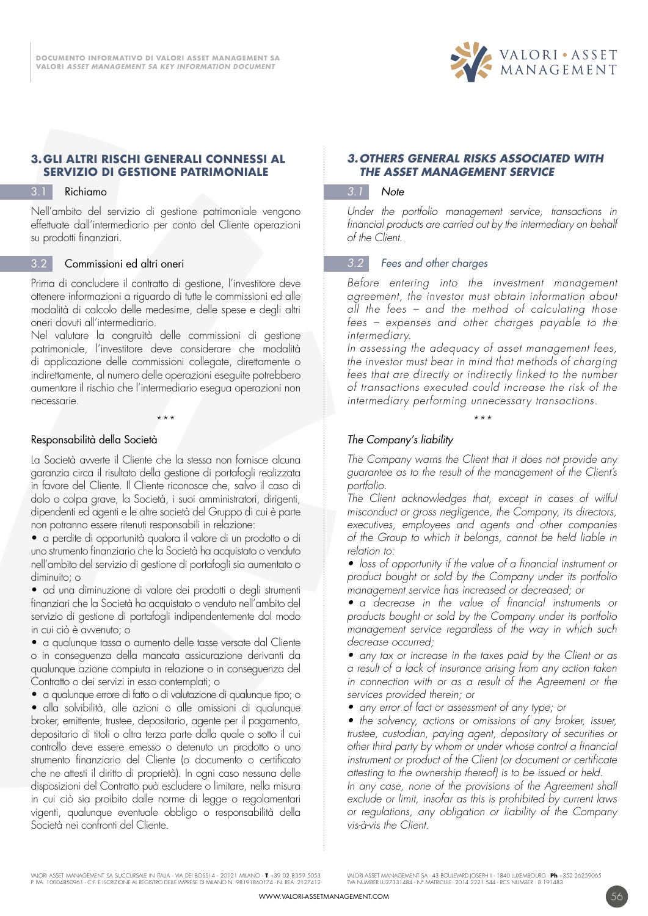

# **3.GLI ALTRI RISCHI GENERALI CONNESSI AL SERVIZIO DI GESTIONE PATRIMONIALE**

#### 3.1 Richiamo

Nell'ambito del servizio di gestione patrimoniale vengono effettuate dall'intermediario per conto del Cliente operazioni su prodotti finanziari.

#### 3.2 Commissioni ed altri oneri

Prima di concludere il contratto di gestione, l'investitore deve ottenere informazioni a riguardo di tutte le commissioni ed alle modalità di calcolo delle medesime, delle spese e degli altri oneri dovuti all'intermediario.

Nel valutare la congruità delle commissioni di gestione patrimoniale, l'investitore deve considerare che modalità di applicazione delle commissioni collegate, direttamente o indirettamente, al numero delle operazioni eseguite potrebbero aumentare il rischio che l'intermediario esegua operazioni non necessarie.

\*\*\*

#### Responsabilità della Società

La Società avverte il Cliente che la stessa non fornisce alcuna garanzia circa il risultato della gestione di portafogli realizzata in favore del Cliente. Il Cliente riconosce che, salvo il caso di dolo o colpa grave, la Società, i suoi amministratori, dirigenti, dipendenti ed agenti e le altre società del Gruppo di cui è parte non potranno essere ritenuti responsabili in relazione:

• a perdite di opportunità qualora il valore di un prodotto o di uno strumento finanziario che la Società ha acquistato o venduto nell'ambito del servizio di gestione di portafogli sia aumentato o diminuito; o

• ad una diminuzione di valore dei prodotti o degli strumenti finanziari che la Società ha acquistato o venduto nell'ambito del servizio di gestione di portafogli indipendentemente dal modo in cui ciò è avvenuto; o

• a qualunque tassa o aumento delle tasse versate dal Cliente o in conseguenza della mancata assicurazione derivanti da qualunque azione compiuta in relazione o in conseguenza del Contratto o dei servizi in esso contemplati; o

• a qualunque errore di fatto o di valutazione di qualunque tipo; o

• alla solvibilità, alle azioni o alle omissioni di qualunque broker, emittente, trustee, depositario, agente per il pagamento, depositario di titoli o altra terza parte dalla quale o sotto il cui controllo deve essere emesso o detenuto un prodotto o uno strumento finanziario del Cliente (o documento o certificato che ne attesti il diritto di proprietà). In ogni caso nessuna delle disposizioni del Contratto può escludere o limitare, nella misura in cui ciò sia proibito dalle norme di legge o regolamentari vigenti, qualunque eventuale obbligo o responsabilità della Società nei confronti del Cliente.

#### *3.OTHERS GENERAL RISKS ASSOCIATED WITH THE ASSET MANAGEMENT SERVICE*

#### *3.1 Note*

*Under the portfolio management service, transactions in financial products are carried out by the intermediary on behalf of the Client.* 

## *3.2 Fees and other charges*

*Before entering into the investment management agreement, the investor must obtain information about all the fees – and the method of calculating those fees – expenses and other charges payable to the intermediary.* 

*In assessing the adequacy of asset management fees, the investor must bear in mind that methods of charging fees that are directly or indirectly linked to the number of transactions executed could increase the risk of the intermediary performing unnecessary transactions.*

*\*\*\**

# *The Company's liability*

*The Company warns the Client that it does not provide any guarantee as to the result of the management of the Client's portfolio.*

*The Client acknowledges that, except in cases of wilful misconduct or gross negligence, the Company, its directors, executives, employees and agents and other companies of the Group to which it belongs, cannot be held liable in relation to:*

*• loss of opportunity if the value of a financial instrument or product bought or sold by the Company under its portfolio management service has increased or decreased; or*

*• a decrease in the value of financial instruments or products bought or sold by the Company under its portfolio management service regardless of the way in which such decrease occurred;*

*• any tax or increase in the taxes paid by the Client or as a result of a lack of insurance arising from any action taken in connection with or as a result of the Agreement or the services provided therein; or*

*• any error of fact or assessment of any type; or*

• the solvency, actions or omissions of any broker, issuer, *trustee, custodian, paying agent, depositary of securities or other third party by whom or under whose control a financial instrument or product of the Client (or document or certificate attesting to the ownership thereof) is to be issued or held.*

*In any case, none of the provisions of the Agreement shall exclude or limit, insofar as this is prohibited by current laws or regulations, any obligation or liability of the Company vis-à-vis the Client.*

VALORI ASSET MANAGEMENT SA - 43 BOULEVARD JOSEPH II - 1840 LUXEMBOURG - **Ph** +352 26259065 TVA NUMBER LU27331484 - N° MATRICULE: 2014 2221 544 - RCS NUMBER : B 191483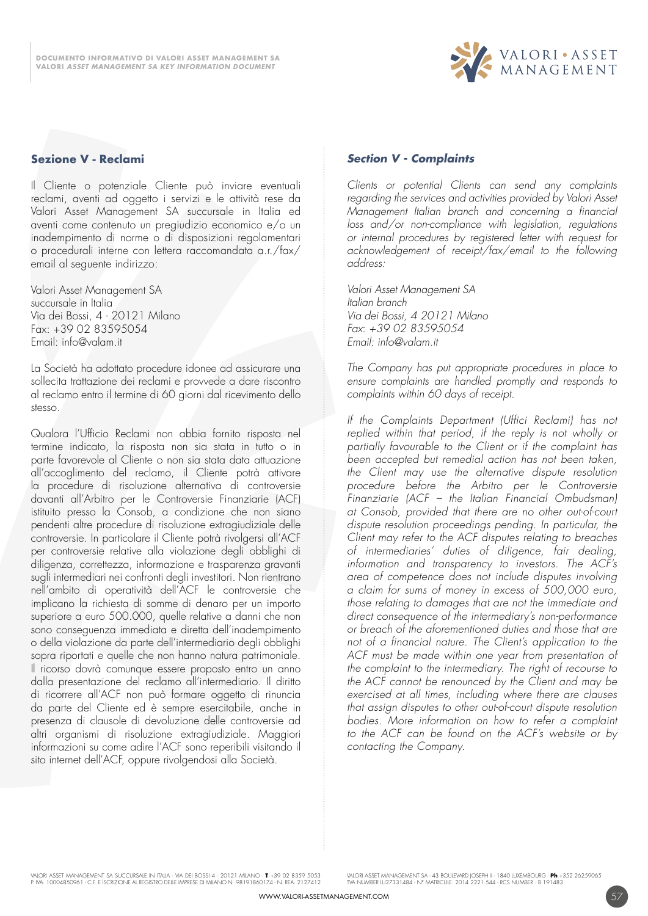

## **Sezione V - Reclami**

Il Cliente o potenziale Cliente può inviare eventuali reclami, aventi ad oggetto i servizi e le attività rese da Valori Asset Management SA succursale in Italia ed aventi come contenuto un pregiudizio economico e/o un inadempimento di norme o di disposizioni regolamentari o procedurali interne con lettera raccomandata a.r./fax/ email al seguente indirizzo:

Valori Asset Management SA succursale in Italia Via dei Bossi, 4 - 20121 Milano Fax: +39 02 83595054 Email: info@valam.it

La Società ha adottato procedure idonee ad assicurare una sollecita trattazione dei reclami e provvede a dare riscontro al reclamo entro il termine di 60 giorni dal ricevimento dello stesso.

Qualora l'Ufficio Reclami non abbia fornito risposta nel termine indicato, la risposta non sia stata in tutto o in parte favorevole al Cliente o non sia stata data attuazione all'accoglimento del reclamo, il Cliente potrà attivare la procedure di risoluzione alternativa di controversie davanti all'Arbitro per le Controversie Finanziarie (ACF) istituito presso la Consob, a condizione che non siano pendenti altre procedure di risoluzione extragiudiziale delle controversie. In particolare il Cliente potrà rivolgersi all'ACF per controversie relative alla violazione degli obblighi di diligenza, correttezza, informazione e trasparenza gravanti sugli intermediari nei confronti degli investitori. Non rientrano nell'ambito di operatività dell'ACF le controversie che implicano la richiesta di somme di denaro per un importo superiore a euro 500.000, quelle relative a danni che non sono conseguenza immediata e diretta dell'inadempimento o della violazione da parte dell'intermediario degli obblighi sopra riportati e quelle che non hanno natura patrimoniale. Il ricorso dovrà comunque essere proposto entro un anno dalla presentazione del reclamo all'intermediario. Il diritto di ricorrere all'ACF non può formare oggetto di rinuncia da parte del Cliente ed è sempre esercitabile, anche in presenza di clausole di devoluzione delle controversie ad altri organismi di risoluzione extragiudiziale. Maggiori informazioni su come adire l'ACF sono reperibili visitando il sito internet dell'ACF, oppure rivolgendosi alla Società.

# *Section V - Complaints*

*Clients or potential Clients can send any complaints regarding the services and activities provided by Valori Asset Management Italian branch and concerning a financial loss and/or non-compliance with legislation, regulations or internal procedures by registered letter with request for acknowledgement of receipt/fax/email to the following address:*

*Valori Asset Management SA Italian branch Via dei Bossi, 4 20121 Milano Fax*: *+39 02 83595054 Email: info@valam.it* 

*The Company has put appropriate procedures in place to ensure complaints are handled promptly and responds to complaints within 60 days of receipt.*

*If the Complaints Department (Uffici Reclami) has not replied within that period, if the reply is not wholly or partially favourable to the Client or if the complaint has been accepted but remedial action has not been taken, the Client may use the alternative dispute resolution procedure before the Arbitro per le Controversie Finanziarie (ACF – the Italian Financial Ombudsman) at Consob, provided that there are no other out-of-court dispute resolution proceedings pending. In particular, the Client may refer to the ACF disputes relating to breaches of intermediaries' duties of diligence, fair dealing, information and transparency to investors. The ACF's area of competence does not include disputes involving a claim for sums of money in excess of 500,000 euro, those relating to damages that are not the immediate and direct consequence of the intermediary's non-performance or breach of the aforementioned duties and those that are not of a financial nature. The Client's application to the ACF must be made within one year from presentation of the complaint to the intermediary. The right of recourse to the ACF cannot be renounced by the Client and may be exercised at all times, including where there are clauses that assign disputes to other out-of-court dispute resolution bodies. More information on how to refer a complaint to the ACF can be found on the ACF's website or by contacting the Company.*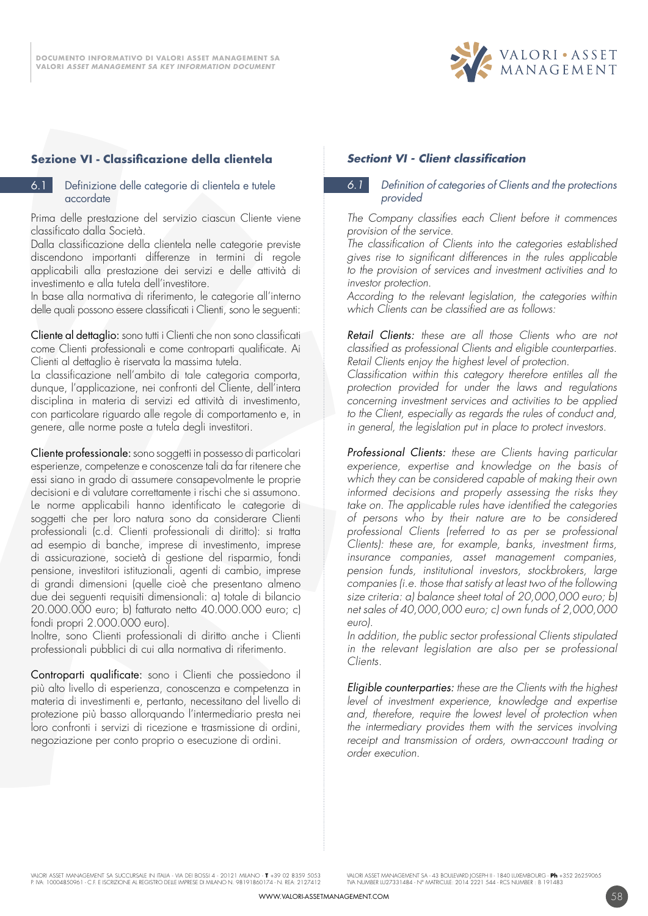

# **Sezione VI - Classificazione della clientela**

6.1 Definizione delle categorie di clientela e tutele accordate

Prima delle prestazione del servizio ciascun Cliente viene classificato dalla Società.

Dalla classificazione della clientela nelle categorie previste discendono importanti differenze in termini di regole applicabili alla prestazione dei servizi e delle attività di investimento e alla tutela dell'investitore.

In base alla normativa di riferimento, le categorie all'interno delle quali possono essere classificati i Clienti, sono le seguenti:

Cliente al dettaglio: sono tutti i Clienti che non sono classificati come Clienti professionali e come controparti qualificate. Ai Clienti al dettaglio è riservata la massima tutela.

La classificazione nell'ambito di tale categoria comporta, dunque, l'applicazione, nei confronti del Cliente, dell'intera disciplina in materia di servizi ed attività di investimento, con particolare riguardo alle regole di comportamento e, in genere, alle norme poste a tutela degli investitori.

Cliente professionale: sono soggetti in possesso di particolari esperienze, competenze e conoscenze tali da far ritenere che essi siano in grado di assumere consapevolmente le proprie decisioni e di valutare correttamente i rischi che si assumono. Le norme applicabili hanno identificato le categorie di soggetti che per loro natura sono da considerare Clienti professionali (c.d. Clienti professionali di diritto): si tratta ad esempio di banche, imprese di investimento, imprese di assicurazione, società di gestione del risparmio, fondi pensione, investitori istituzionali, agenti di cambio, imprese di grandi dimensioni (quelle cioè che presentano almeno due dei seguenti requisiti dimensionali: a) totale di bilancio 20.000.000 euro; b) fatturato netto 40.000.000 euro; c) fondi propri 2.000.000 euro).

Inoltre, sono Clienti professionali di diritto anche i Clienti professionali pubblici di cui alla normativa di riferimento.

Controparti qualificate: sono i Clienti che possiedono il più alto livello di esperienza, conoscenza e competenza in materia di investimenti e, pertanto, necessitano del livello di protezione più basso allorquando l'intermediario presta nei loro confronti i servizi di ricezione e trasmissione di ordini, negoziazione per conto proprio o esecuzione di ordini.

# *Sectiont VI - Client classification*

*6.1 Definition of categories of Clients and the protections provided*

*The Company classifies each Client before it commences provision of the service.*

*The classification of Clients into the categories established gives rise to significant differences in the rules applicable to the provision of services and investment activities and to investor protection.*

*According to the relevant legislation, the categories within which Clients can be classified are as follows:*

*Retail Clients: these are all those Clients who are not classified as professional Clients and eligible counterparties. Retail Clients enjoy the highest level of protection.*

*Classification within this category therefore entitles all the protection provided for under the laws and regulations concerning investment services and activities to be applied to the Client, especially as regards the rules of conduct and, in general, the legislation put in place to protect investors.*

*Professional Clients: these are Clients having particular experience, expertise and knowledge on the basis of which they can be considered capable of making their own informed decisions and properly assessing the risks they take on. The applicable rules have identified the categories of persons who by their nature are to be considered professional Clients (referred to as per se professional Clients): these are, for example, banks, investment firms, insurance companies, asset management companies, pension funds, institutional investors, stockbrokers, large companies (i.e. those that satisfy at least two of the following size criteria: a) balance sheet total of 20,000,000 euro; b) net sales of 40,000,000 euro; c) own funds of 2,000,000 euro).*

*In addition, the public sector professional Clients stipulated in the relevant legislation are also per se professional Clients.*

*Eligible counterparties: these are the Clients with the highest level of investment experience, knowledge and expertise and, therefore, require the lowest level of protection when the intermediary provides them with the services involving receipt and transmission of orders, own-account trading or order execution.*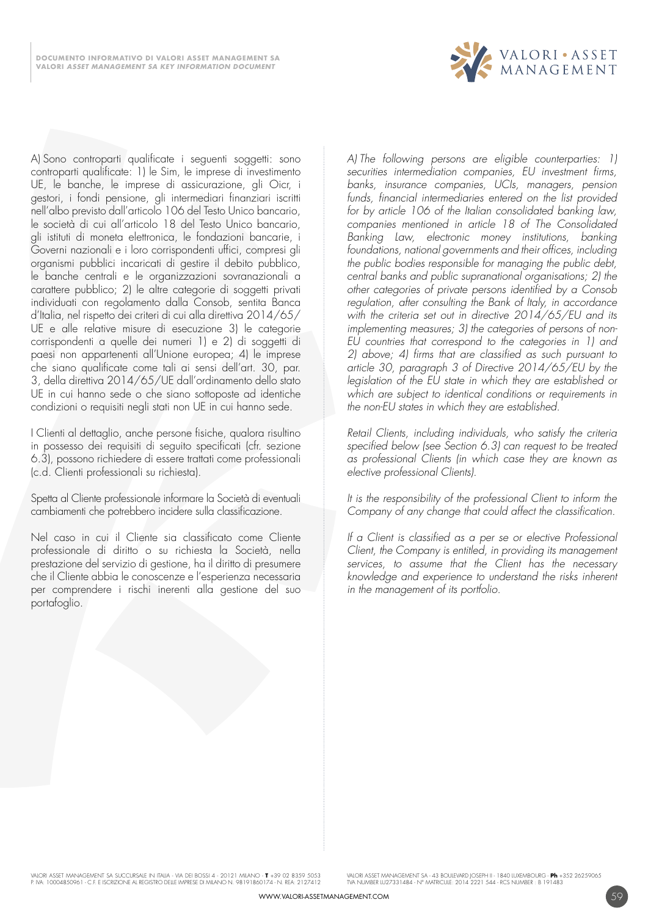

A) Sono controparti qualificate i seguenti soggetti: sono controparti qualificate: 1) le Sim, le imprese di investimento UE, le banche, le imprese di assicurazione, gli Oicr, i gestori, i fondi pensione, gli intermediari finanziari iscritti nell'albo previsto dall'articolo 106 del Testo Unico bancario, le società di cui all'articolo 18 del Testo Unico bancario, gli istituti di moneta elettronica, le fondazioni bancarie, i Governi nazionali e i loro corrispondenti uffici, compresi gli organismi pubblici incaricati di gestire il debito pubblico, le banche centrali e le organizzazioni sovranazionali a carattere pubblico; 2) le altre categorie di soggetti privati individuati con regolamento dalla Consob, sentita Banca d'Italia, nel rispetto dei criteri di cui alla direttiva 2014/65/ UE e alle relative misure di esecuzione 3) le categorie corrispondenti a quelle dei numeri 1) e 2) di soggetti di paesi non appartenenti all'Unione europea; 4) le imprese che siano qualificate come tali ai sensi dell'art. 30, par. 3, della direttiva 2014/65/UE dall'ordinamento dello stato UE in cui hanno sede o che siano sottoposte ad identiche condizioni o requisiti negli stati non UE in cui hanno sede.

I Clienti al dettaglio, anche persone fisiche, qualora risultino in possesso dei requisiti di seguito specificati (cfr. sezione 6.3), possono richiedere di essere trattati come professionali (c.d. Clienti professionali su richiesta).

Spetta al Cliente professionale informare la Società di eventuali cambiamenti che potrebbero incidere sulla classificazione.

Nel caso in cui il Cliente sia classificato come Cliente professionale di diritto o su richiesta la Società, nella prestazione del servizio di gestione, ha il diritto di presumere che il Cliente abbia le conoscenze e l'esperienza necessaria per comprendere i rischi inerenti alla gestione del suo portafoglio.

*A) The following persons are eligible counterparties: 1) securities intermediation companies, EU investment firms, banks, insurance companies, UCIs, managers, pension funds, financial intermediaries entered on the list provided for by article 106 of the Italian consolidated banking law, companies mentioned in article 18 of The Consolidated Banking Law, electronic money institutions, banking foundations, national governments and their offices, including the public bodies responsible for managing the public debt, central banks and public supranational organisations; 2) the other categories of private persons identified by a Consob regulation, after consulting the Bank of Italy, in accordance with the criteria set out in directive 2014/65/EU and its implementing measures; 3) the categories of persons of non-EU countries that correspond to the categories in 1) and 2) above; 4) firms that are classified as such pursuant to article 30, paragraph 3 of Directive 2014/65/EU by the legislation of the EU state in which they are established or which are subject to identical conditions or requirements in the non-EU states in which they are established.*

*Retail Clients, including individuals, who satisfy the criteria specified below (see Section 6.3) can request to be treated as professional Clients (in which case they are known as elective professional Clients).*

*It is the responsibility of the professional Client to inform the Company of any change that could affect the classification.*

*If a Client is classified as a per se or elective Professional Client, the Company is entitled, in providing its management services, to assume that the Client has the necessary knowledge and experience to understand the risks inherent in the management of its portfolio.*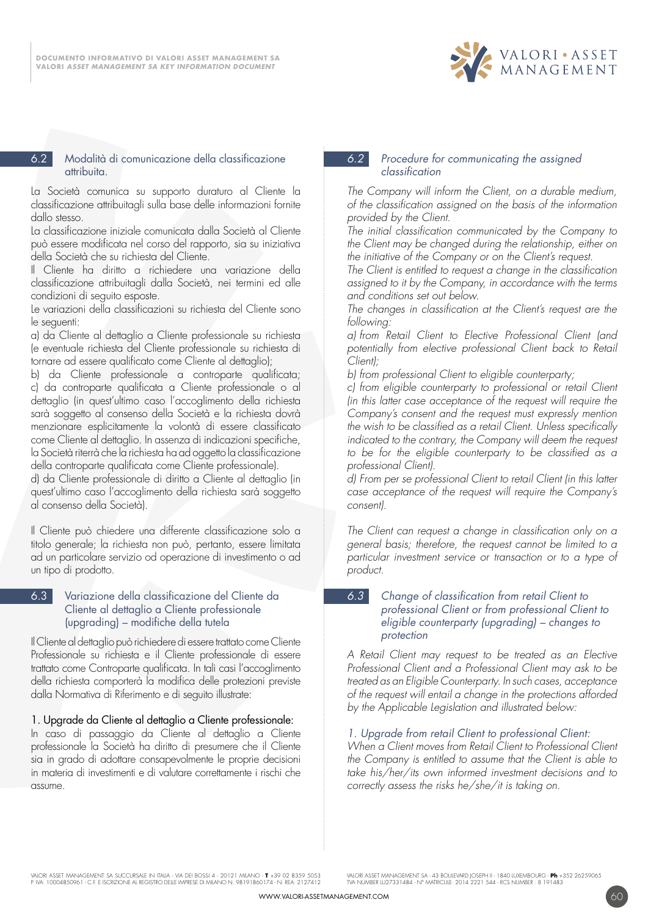

## 6.2 Modalità di comunicazione della classificazione attribuita.

La Società comunica su supporto duraturo al Cliente la classificazione attribuitagli sulla base delle informazioni fornite dallo stesso.

La classificazione iniziale comunicata dalla Società al Cliente può essere modificata nel corso del rapporto, sia su iniziativa della Società che su richiesta del Cliente.

Il Cliente ha diritto a richiedere una variazione della classificazione attribuitagli dalla Società, nei termini ed alle condizioni di seguito esposte.

Le variazioni della classificazioni su richiesta del Cliente sono le seguenti:

a) da Cliente al dettaglio a Cliente professionale su richiesta (e eventuale richiesta del Cliente professionale su richiesta di tornare ad essere qualificato come Cliente al dettaglio);

b) da Cliente professionale a controparte qualificata; c) da controparte qualificata a Cliente professionale o al dettaglio (in quest'ultimo caso l'accoglimento della richiesta sarà soggetto al consenso della Società e la richiesta dovrà menzionare esplicitamente la volontà di essere classificato come Cliente al dettaglio. In assenza di indicazioni specifiche, la Società riterrà che la richiesta ha ad oggetto la classificazione della controparte qualificata come Cliente professionale).

d) da Cliente professionale di diritto a Cliente al dettaglio (in quest'ultimo caso l'accoglimento della richiesta sarà soggetto al consenso della Società).

Il Cliente può chiedere una differente classificazione solo a titolo generale; la richiesta non può, pertanto, essere limitata ad un particolare servizio od operazione di investimento o ad un tipo di prodotto.

## 6.3 Variazione della classificazione del Cliente da Cliente al dettaglio a Cliente professionale (upgrading) – modifiche della tutela

Il Cliente al dettaglio può richiedere di essere trattato come Cliente Professionale su richiesta e il Cliente professionale di essere trattato come Controparte qualificata. In tali casi l'accoglimento della richiesta comporterà la modifica delle protezioni previste dalla Normativa di Riferimento e di seguito illustrate:

## 1. Upgrade da Cliente al dettaglio a Cliente professionale:

In caso di passaggio da Cliente al dettaglio a Cliente professionale la Società ha diritto di presumere che il Cliente sia in grado di adottare consapevolmente le proprie decisioni in materia di investimenti e di valutare correttamente i rischi che assume.

#### *6.2 Procedure for communicating the assigned classification*

*The Company will inform the Client, on a durable medium, of the classification assigned on the basis of the information provided by the Client.*

*The initial classification communicated by the Company to the Client may be changed during the relationship, either on the initiative of the Company or on the Client's request.*

*The Client is entitled to request a change in the classification assigned to it by the Company, in accordance with the terms and conditions set out below.*

*The changes in classification at the Client's request are the following:*

*a) from Retail Client to Elective Professional Client (and potentially from elective professional Client back to Retail Client);*

*b) from professional Client to eligible counterparty;*

*c) from eligible counterparty to professional or retail Client (in this latter case acceptance of the request will require the Company's consent and the request must expressly mention the wish to be classified as a retail Client. Unless specifically indicated to the contrary, the Company will deem the request to be for the eligible counterparty to be classified as a professional Client).*

*d) From per se professional Client to retail Client (in this latter case acceptance of the request will require the Company's consent).*

*The Client can request a change in classification only on a general basis; therefore, the request cannot be limited to a particular investment service or transaction or to a type of product.*

## *6.3 Change of classification from retail Client to professional Client or from professional Client to eligible counterparty (upgrading) – changes to protection*

*A Retail Client may request to be treated as an Elective Professional Client and a Professional Client may ask to be treated as an Eligible Counterparty. In such cases, acceptance of the request will entail a change in the protections afforded by the Applicable Legislation and illustrated below:*

## *1. Upgrade from retail Client to professional Client:*

*When a Client moves from Retail Client to Professional Client the Company is entitled to assume that the Client is able to take his/her/its own informed investment decisions and to correctly assess the risks he/she/it is taking on.*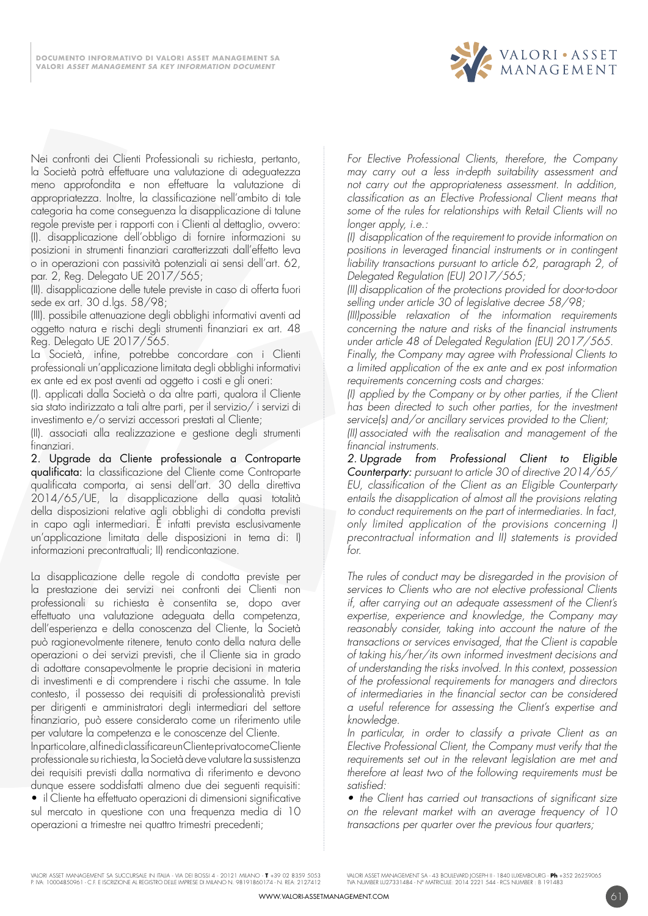

Nei confronti dei Clienti Professionali su richiesta, pertanto, la Società potrà effettuare una valutazione di adeguatezza meno approfondita e non effettuare la valutazione di appropriatezza. Inoltre, la classificazione nell'ambito di tale categoria ha come conseguenza la disapplicazione di talune regole previste per i rapporti con i Clienti al dettaglio, ovvero: (I). disapplicazione dell'obbligo di fornire informazioni su posizioni in strumenti finanziari caratterizzati dall'effetto leva o in operazioni con passività potenziali ai sensi dell'art. 62, par. 2, Reg. Delegato UE 2017/565;

(II). disapplicazione delle tutele previste in caso di offerta fuori sede ex art. 30 d.lgs. 58/98;

(III). possibile attenuazione degli obblighi informativi aventi ad oggetto natura e rischi degli strumenti finanziari ex art. 48 Reg. Delegato UE 2017/565.

La Società, infine, potrebbe concordare con i Clienti professionali un'applicazione limitata degli obblighi informativi ex ante ed ex post aventi ad oggetto i costi e gli oneri:

(I). applicati dalla Società o da altre parti, qualora il Cliente sia stato indirizzato a tali altre parti, per il servizio/ i servizi di investimento e/o servizi accessori prestati al Cliente;

(II). associati alla realizzazione e gestione degli strumenti finanziari.

2. Upgrade da Cliente professionale a Controparte qualificata: la classificazione del Cliente come Controparte qualificata comporta, ai sensi dell'art. 30 della direttiva 2014/65/UE, la disapplicazione della quasi totalità della disposizioni relative agli obblighi di condotta previsti in capo agli intermediari. È infatti prevista esclusivamente un'applicazione limitata delle disposizioni in tema di: I) informazioni precontrattuali; II) rendicontazione.

La disapplicazione delle regole di condotta previste per la prestazione dei servizi nei confronti dei Clienti non professionali su richiesta è consentita se, dopo aver effettuato una valutazione adeguata della competenza, dell'esperienza e della conoscenza del Cliente, la Società può ragionevolmente ritenere, tenuto conto della natura delle operazioni o dei servizi previsti, che il Cliente sia in grado di adottare consapevolmente le proprie decisioni in materia di investimenti e di comprendere i rischi che assume. In tale contesto, il possesso dei requisiti di professionalità previsti per dirigenti e amministratori degli intermediari del settore finanziario, può essere considerato come un riferimento utile per valutare la competenza e le conoscenze del Cliente.

In particolare, al fine di classificare un Cliente privato come Cliente professionale su richiesta, la Società deve valutare la sussistenza dei requisiti previsti dalla normativa di riferimento e devono dunque essere soddisfatti almeno due dei seguenti requisiti:

• il Cliente ha effettuato operazioni di dimensioni significative sul mercato in questione con una frequenza media di 10 operazioni a trimestre nei quattro trimestri precedenti;

*For Elective Professional Clients, therefore, the Company may carry out a less in-depth suitability assessment and not carry out the appropriateness assessment. In addition, classification as an Elective Professional Client means that some of the rules for relationships with Retail Clients will no longer apply, i.e.:*

*(I) disapplication of the requirement to provide information on positions in leveraged financial instruments or in contingent liability transactions pursuant to article 62, paragraph 2, of Delegated Regulation (EU) 2017/565;*

*(II) disapplication of the protections provided for door-to-door selling under article 30 of legislative decree 58/98;*

*(III)possible relaxation of the information requirements concerning the nature and risks of the financial instruments under article 48 of Delegated Regulation (EU) 2017/565. Finally, the Company may agree with Professional Clients to a limited application of the ex ante and ex post information requirements concerning costs and charges:*

*(I) applied by the Company or by other parties, if the Client has been directed to such other parties, for the investment service(s) and/or ancillary services provided to the Client; (II) associated with the realisation and management of the* 

*financial instruments. 2. Upgrade from Professional Client to Eligible* 

*Counterparty: pursuant to article 30 of directive 2014/65/ EU, classification of the Client as an Eligible Counterparty entails the disapplication of almost all the provisions relating to conduct requirements on the part of intermediaries. In fact, only limited application of the provisions concerning I) precontractual information and II) statements is provided for.*

*The rules of conduct may be disregarded in the provision of services to Clients who are not elective professional Clients if, after carrying out an adequate assessment of the Client's expertise, experience and knowledge, the Company may reasonably consider, taking into account the nature of the transactions or services envisaged, that the Client is capable of taking his/her/its own informed investment decisions and of understanding the risks involved. In this context, possession of the professional requirements for managers and directors of intermediaries in the financial sector can be considered a useful reference for assessing the Client's expertise and knowledge.*

*In particular, in order to classify a private Client as an Elective Professional Client, the Company must verify that the requirements set out in the relevant legislation are met and therefore at least two of the following requirements must be satisfied:*

*• the Client has carried out transactions of significant size on the relevant market with an average frequency of 10 transactions per quarter over the previous four quarters;*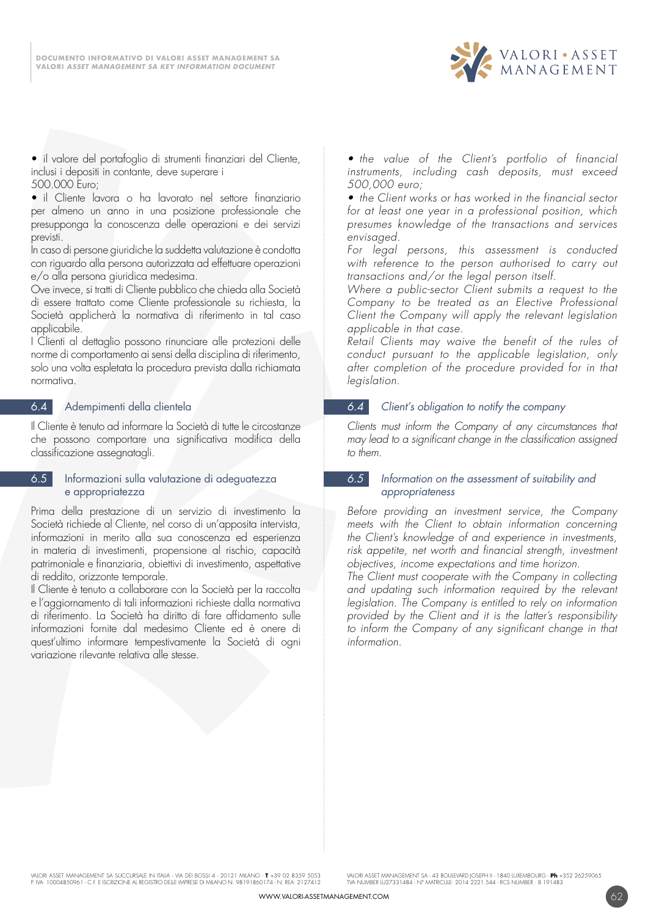

• il valore del portafoglio di strumenti finanziari del Cliente, inclusi i depositi in contante, deve superare i 500.000 Euro;

• il Cliente lavora o ha lavorato nel settore finanziario per almeno un anno in una posizione professionale che presupponga la conoscenza delle operazioni e dei servizi previsti.

In caso di persone giuridiche la suddetta valutazione è condotta con riguardo alla persona autorizzata ad effettuare operazioni e/o alla persona giuridica medesima.

Ove invece, si tratti di Cliente pubblico che chieda alla Società di essere trattato come Cliente professionale su richiesta, la Società applicherà la normativa di riferimento in tal caso applicabile.

I Clienti al dettaglio possono rinunciare alle protezioni delle norme di comportamento ai sensi della disciplina di riferimento, solo una volta espletata la procedura prevista dalla richiamata normativa.

# 6.4 Adempimenti della clientela

Il Cliente è tenuto ad informare la Società di tutte le circostanze che possono comportare una significativa modifica della classificazione assegnatagli.

#### 6.5 Informazioni sulla valutazione di adeguatezza e appropriatezza

Prima della prestazione di un servizio di investimento la Società richiede al Cliente, nel corso di un'apposita intervista, informazioni in merito alla sua conoscenza ed esperienza in materia di investimenti, propensione al rischio, capacità patrimoniale e finanziaria, obiettivi di investimento, aspettative di reddito, orizzonte temporale.

Il Cliente è tenuto a collaborare con la Società per la raccolta e l'aggiornamento di tali informazioni richieste dalla normativa di riferimento. La Società ha diritto di fare affidamento sulle informazioni fornite dal medesimo Cliente ed è onere di quest'ultimo informare tempestivamente la Società di ogni variazione rilevante relativa alle stesse.

*• the value of the Client's portfolio of financial instruments, including cash deposits, must exceed 500,000 euro;*

*• the Client works or has worked in the financial sector for at least one year in a professional position, which presumes knowledge of the transactions and services envisaged.*

*For legal persons, this assessment is conducted with reference to the person authorised to carry out transactions and/or the legal person itself.*

*Where a public-sector Client submits a request to the Company to be treated as an Elective Professional Client the Company will apply the relevant legislation applicable in that case.*

*Retail Clients may waive the benefit of the rules of conduct pursuant to the applicable legislation, only after completion of the procedure provided for in that legislation.*

## *6.4 Client's obligation to notify the company*

*Clients must inform the Company of any circumstances that may lead to a significant change in the classification assigned to them.*

## *6.5 Information on the assessment of suitability and appropriateness*

*Before providing an investment service, the Company meets with the Client to obtain information concerning the Client's knowledge of and experience in investments, risk appetite, net worth and financial strength, investment objectives, income expectations and time horizon.*

*The Client must cooperate with the Company in collecting and updating such information required by the relevant legislation. The Company is entitled to rely on information provided by the Client and it is the latter's responsibility to inform the Company of any significant change in that information.*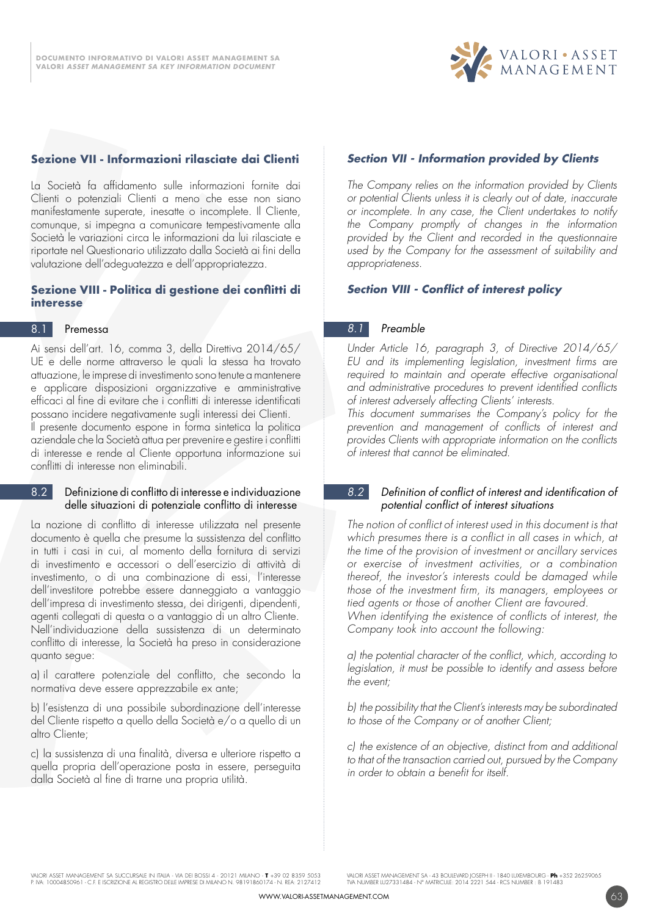

# **Sezione VII - Informazioni rilasciate dai Clienti**

La Società fa affidamento sulle informazioni fornite dai Clienti o potenziali Clienti a meno che esse non siano manifestamente superate, inesatte o incomplete. Il Cliente, comunque, si impegna a comunicare tempestivamente alla Società le variazioni circa le informazioni da lui rilasciate e riportate nel Questionario utilizzato dalla Società ai fini della valutazione dell'adeguatezza e dell'appropriatezza.

## **Sezione VIII - Politica di gestione dei conflitti di interesse**

#### 8.1 Premessa

Ai sensi dell'art. 16, comma 3, della Direttiva 2014/65/ UE e delle norme attraverso le quali la stessa ha trovato attuazione, le imprese di investimento sono tenute a mantenere e applicare disposizioni organizzative e amministrative efficaci al fine di evitare che i conflitti di interesse identificati possano incidere negativamente sugli interessi dei Clienti.

Il presente documento espone in forma sintetica la politica aziendale che la Società attua per prevenire e gestire i conflitti di interesse e rende al Cliente opportuna informazione sui conflitti di interesse non eliminabili.

#### 8.2 Definizione di conflitto di interesse e individuazione delle situazioni di potenziale conflitto di interesse

La nozione di conflitto di interesse utilizzata nel presente documento è quella che presume la sussistenza del conflitto in tutti i casi in cui, al momento della fornitura di servizi di investimento e accessori o dell'esercizio di attività di investimento, o di una combinazione di essi, l'interesse dell'investitore potrebbe essere danneggiato a vantaggio dell'impresa di investimento stessa, dei dirigenti, dipendenti, agenti collegati di questa o a vantaggio di un altro Cliente. Nell'individuazione della sussistenza di un determinato conflitto di interesse, la Società ha preso in considerazione quanto segue:

a) il carattere potenziale del conflitto, che secondo la normativa deve essere apprezzabile ex ante;

b) l'esistenza di una possibile subordinazione dell'interesse del Cliente rispetto a quello della Società e/o a quello di un altro Cliente;

c) la sussistenza di una finalità, diversa e ulteriore rispetto a quella propria dell'operazione posta in essere, perseguita dalla Società al fine di trarne una propria utilità.

## *Section VII - Information provided by Clients*

*The Company relies on the information provided by Clients or potential Clients unless it is clearly out of date, inaccurate or incomplete. In any case, the Client undertakes to notify the Company promptly of changes in the information provided by the Client and recorded in the questionnaire used by the Company for the assessment of suitability and appropriateness.*

#### *Section VIII - Conflict of interest policy*

#### *8.1 Preamble*

*Under Article 16, paragraph 3, of Directive 2014/65/ EU and its implementing legislation, investment firms are required to maintain and operate effective organisational and administrative procedures to prevent identified conflicts of interest adversely affecting Clients' interests.*

*This document summarises the Company's policy for the prevention and management of conflicts of interest and provides Clients with appropriate information on the conflicts of interest that cannot be eliminated.* 

## *8.2 Definition of conflict of interest and identification of potential conflict of interest situations*

*The notion of conflict of interest used in this document is that which presumes there is a conflict in all cases in which, at the time of the provision of investment or ancillary services or exercise of investment activities, or a combination thereof, the investor's interests could be damaged while those of the investment firm, its managers, employees or tied agents or those of another Client are favoured.*

*When identifying the existence of conflicts of interest, the Company took into account the following:*

*a) the potential character of the conflict, which, according to legislation, it must be possible to identify and assess before the event;*

*b) the possibility that the Client's interests may be subordinated to those of the Company or of another Client;*

*c) the existence of an objective, distinct from and additional to that of the transaction carried out, pursued by the Company in order to obtain a benefit for itself.*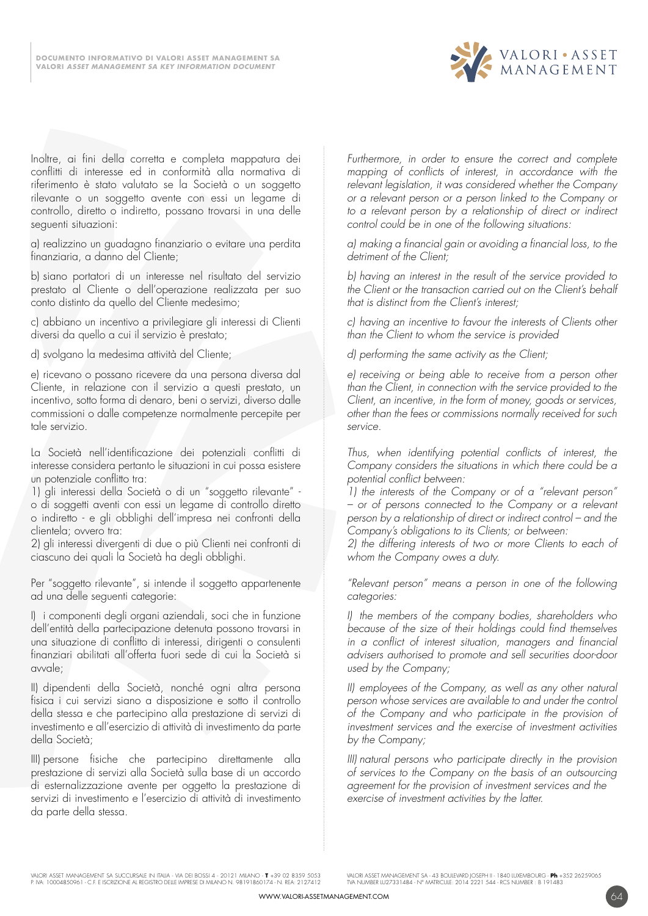

Inoltre, ai fini della corretta e completa mappatura dei conflitti di interesse ed in conformità alla normativa di riferimento è stato valutato se la Società o un soggetto rilevante o un soggetto avente con essi un legame di controllo, diretto o indiretto, possano trovarsi in una delle seguenti situazioni:

a) realizzino un guadagno finanziario o evitare una perdita finanziaria, a danno del Cliente;

b) siano portatori di un interesse nel risultato del servizio prestato al Cliente o dell'operazione realizzata per suo conto distinto da quello del Cliente medesimo;

c) abbiano un incentivo a privilegiare gli interessi di Clienti diversi da quello a cui il servizio è prestato;

d) svolgano la medesima attività del Cliente;

e) ricevano o possano ricevere da una persona diversa dal Cliente, in relazione con il servizio a questi prestato, un incentivo, sotto forma di denaro, beni o servizi, diverso dalle commissioni o dalle competenze normalmente percepite per tale servizio.

La Società nell'identificazione dei potenziali conflitti di interesse considera pertanto le situazioni in cui possa esistere un potenziale conflitto tra:

1) gli interessi della Società o di un "soggetto rilevante" o di soggetti aventi con essi un legame di controllo diretto o indiretto - e gli obblighi dell'impresa nei confronti della clientela; ovvero tra:

2) gli interessi divergenti di due o più Clienti nei confronti di ciascuno dei quali la Società ha degli obblighi.

Per "soggetto rilevante", si intende il soggetto appartenente ad una delle seguenti categorie:

I) i componenti degli organi aziendali, soci che in funzione dell'entità della partecipazione detenuta possono trovarsi in una situazione di conflitto di interessi, dirigenti o consulenti finanziari abilitati all'offerta fuori sede di cui la Società si avvale;

II) dipendenti della Società, nonché ogni altra persona fisica i cui servizi siano a disposizione e sotto il controllo della stessa e che partecipino alla prestazione di servizi di investimento e all'esercizio di attività di investimento da parte della Società;

III) persone fisiche che partecipino direttamente alla prestazione di servizi alla Società sulla base di un accordo di esternalizzazione avente per oggetto la prestazione di servizi di investimento e l'esercizio di attività di investimento da parte della stessa.

*Furthermore, in order to ensure the correct and complete mapping of conflicts of interest, in accordance with the relevant legislation, it was considered whether the Company or a relevant person or a person linked to the Company or to a relevant person by a relationship of direct or indirect control could be in one of the following situations:*

*a) making a financial gain or avoiding a financial loss, to the detriment of the Client;*

*b) having an interest in the result of the service provided to the Client or the transaction carried out on the Client's behalf that is distinct from the Client's interest;*

*c) having an incentive to favour the interests of Clients other than the Client to whom the service is provided*

*d) performing the same activity as the Client;*

*e) receiving or being able to receive from a person other than the Client, in connection with the service provided to the Client, an incentive, in the form of money, goods or services, other than the fees or commissions normally received for such service.*

*Thus, when identifying potential conflicts of interest, the Company considers the situations in which there could be a potential conflict between:*

*1) the interests of the Company or of a "relevant person" – or of persons connected to the Company or a relevant person by a relationship of direct or indirect control – and the Company's obligations to its Clients; or between:*

*2) the differing interests of two or more Clients to each of whom the Company owes a duty.*

*"Relevant person" means a person in one of the following categories:*

*I) the members of the company bodies, shareholders who because of the size of their holdings could find themselves in a conflict of interest situation, managers and financial advisers authorised to promote and sell securities door-door used by the Company;*

*II) employees of the Company, as well as any other natural person whose services are available to and under the control of the Company and who participate in the provision of investment services and the exercise of investment activities by the Company;*

*III) natural persons who participate directly in the provision of services to the Company on the basis of an outsourcing agreement for the provision of investment services and the exercise of investment activities by the latter.*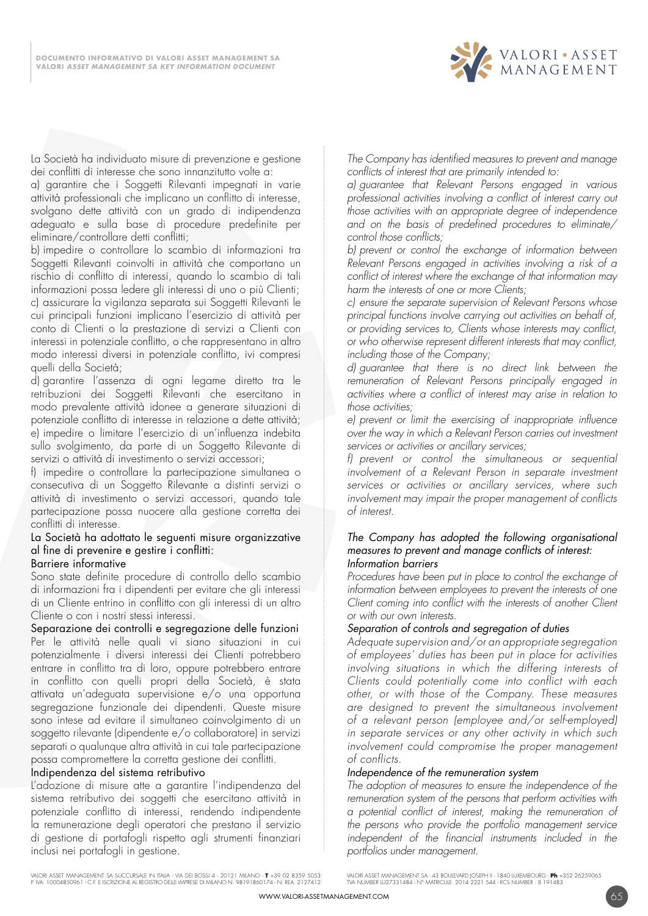

La Società ha individuato misure di prevenzione e gestione dei conflitti di interesse che sono innanzitutto volte a:

a) garantire che i Soggetti Rilevanti impegnati in varie attività professionali che implicano un conflitto di interesse, svolgano dette attività con un grado di indipendenza adeguato e sulla base di procedure predefinite per eliminare/controllare detti conflitti;

b) impedire o controllare lo scambio di informazioni tra Soggetti Rilevanti coinvolti in attività che comportano un rischio di conflitto di interessi, quando lo scambio di tali informazioni possa ledere gli interessi di uno o più Clienti; c) assicurare la vigilanza separata sui Soggetti Rilevanti le cui principali funzioni implicano l'esercizio di attività per conto di Clienti o la prestazione di servizi a Clienti con interessi in potenziale conflitto, o che rappresentano in altro modo interessi diversi in potenziale conflitto, ivi compresi quelli della Società;

d) garantire l'assenza di ogni legame diretto tra le retribuzioni dei Soggetti Rilevanti che esercitano in modo prevalente attività idonee a generare situazioni di potenziale conflitto di interesse in relazione a dette attività; e) impedire o limitare l'esercizio di un'influenza indebita sullo svolgimento, da parte di un Soggetto Rilevante di servizi o attività di investimento o servizi accessori;

f) impedire o controllare la partecipazione simultanea o consecutiva di un Soggetto Rilevante a distinti servizi o attività di investimento o servizi accessori, quando tale partecipazione possa nuocere alla gestione corretta dei conflitti di interesse.

# La Società ha adottato le seguenti misure organizzative al fine di prevenire e gestire i conflitti:

# Barriere informative

Sono state definite procedure di controllo dello scambio di informazioni fra i dipendenti per evitare che gli interessi di un Cliente entrino in conflitto con gli interessi di un altro Cliente o con i nostri stessi interessi.

Separazione dei controlli e segregazione delle funzioni Per le attività nelle quali vi siano situazioni in cui potenzialmente i diversi interessi dei Clienti potrebbero entrare in conflitto tra di loro, oppure potrebbero entrare in conflitto con quelli propri della Società, è stata attivata un'adeguata supervisione e/o una opportuna segregazione funzionale dei dipendenti. Queste misure sono intese ad evitare il simultaneo coinvolgimento di un soggetto rilevante (dipendente e/o collaboratore) in servizi separati o qualunque altra attività in cui tale partecipazione possa compromettere la corretta gestione dei conflitti.

## Indipendenza del sistema retributivo

L'adozione di misure atte a garantire l'indipendenza del sistema retributivo dei soggetti che esercitano attività in potenziale conflitto di interessi, rendendo indipendente la remunerazione degli operatori che prestano il servizio di gestione di portafogli rispetto agli strumenti finanziari inclusi nei portafogli in gestione.

*The Company has identified measures to prevent and manage conflicts of interest that are primarily intended to:*

*a) guarantee that Relevant Persons engaged in various professional activities involving a conflict of interest carry out those activities with an appropriate degree of independence and on the basis of predefined procedures to eliminate/ control those conflicts;*

*b) prevent or control the exchange of information between Relevant Persons engaged in activities involving a risk of a conflict of interest where the exchange of that information may harm the interests of one or more Clients;*

*c) ensure the separate supervision of Relevant Persons whose principal functions involve carrying out activities on behalf of, or providing services to, Clients whose interests may conflict, or who otherwise represent different interests that may conflict, including those of the Company;*

*d) guarantee that there is no direct link between the remuneration of Relevant Persons principally engaged in activities where a conflict of interest may arise in relation to those activities;*

*e) prevent or limit the exercising of inappropriate influence over the way in which a Relevant Person carries out investment services or activities or ancillary services;*

*f) prevent or control the simultaneous or sequential involvement of a Relevant Person in separate investment services or activities or ancillary services, where such involvement may impair the proper management of conflicts of interest.*

#### *The Company has adopted the following organisational measures to prevent and manage conflicts of interest: Information barriers*

*Procedures have been put in place to control the exchange of information between employees to prevent the interests of one Client coming into conflict with the interests of another Client or with our own interests.*

# *Separation of controls and segregation of duties*

*Adequate supervision and/or an appropriate segregation of employees' duties has been put in place for activities involving situations in which the differing interests of Clients could potentially come into conflict with each other, or with those of the Company. These measures are designed to prevent the simultaneous involvement of a relevant person (employee and/or self-employed) in separate services or any other activity in which such involvement could compromise the proper management of conflicts.*

## *Independence of the remuneration system*

*The adoption of measures to ensure the independence of the remuneration system of the persons that perform activities with a potential conflict of interest, making the remuneration of the persons who provide the portfolio management service independent of the financial instruments included in the portfolios under management.*

VALORI ASSET MANAGEMENT SA - 43 BOULEVARD JOSEPH II - 1840 LUXEMBOURG - **Ph** +352 26259065 TVA NUMBER LU27331484 - N° MATRICULE: 2014 2221 544 - RCS NUMBER : B 191483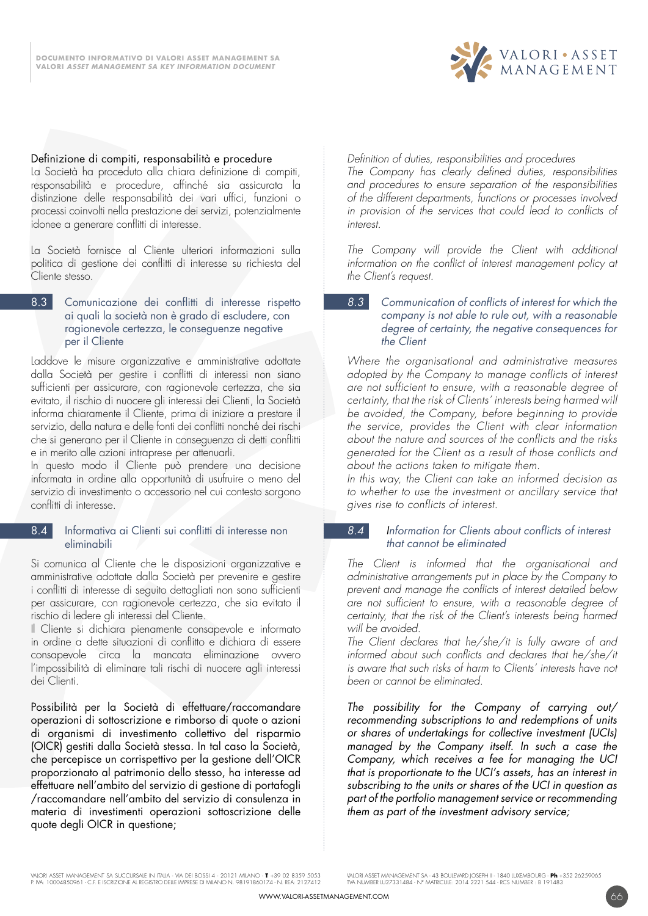

#### Definizione di compiti, responsabilità e procedure

La Società ha proceduto alla chiara definizione di compiti, responsabilità e procedure, affinché sia assicurata la distinzione delle responsabilità dei vari uffici, funzioni o processi coinvolti nella prestazione dei servizi, potenzialmente idonee a generare conflitti di interesse.

La Società fornisce al Cliente ulteriori informazioni sulla politica di gestione dei conflitti di interesse su richiesta del Cliente stesso.

#### 8.3 Comunicazione dei conflitti di interesse rispetto ai quali la società non è grado di escludere, con ragionevole certezza, le conseguenze negative per il Cliente

Laddove le misure organizzative e amministrative adottate dalla Società per gestire i conflitti di interessi non siano sufficienti per assicurare, con ragionevole certezza, che sia evitato, il rischio di nuocere gli interessi dei Clienti, la Società informa chiaramente il Cliente, prima di iniziare a prestare il servizio, della natura e delle fonti dei conflitti nonché dei rischi che si generano per il Cliente in conseguenza di detti conflitti e in merito alle azioni intraprese per attenuarli.

In questo modo il Cliente può prendere una decisione informata in ordine alla opportunità di usufruire o meno del servizio di investimento o accessorio nel cui contesto sorgono conflitti di interesse.

#### 8.4 Informativa ai Clienti sui conflitti di interesse non eliminabili

Si comunica al Cliente che le disposizioni organizzative e amministrative adottate dalla Società per prevenire e gestire i conflitti di interesse di seguito dettagliati non sono sufficienti per assicurare, con ragionevole certezza, che sia evitato il rischio di ledere gli interessi del Cliente.

Il Cliente si dichiara pienamente consapevole e informato in ordine a dette situazioni di conflitto e dichiara di essere consapevole circa la mancata eliminazione ovvero l'impossibilità di eliminare tali rischi di nuocere agli interessi dei Clienti.

Possibilità per la Società di effettuare/raccomandare operazioni di sottoscrizione e rimborso di quote o azioni di organismi di investimento collettivo del risparmio (OICR) gestiti dalla Società stessa. In tal caso la Società, che percepisce un corrispettivo per la gestione dell'OICR proporzionato al patrimonio dello stesso, ha interesse ad effettuare nell'ambito del servizio di gestione di portafogli /raccomandare nell'ambito del servizio di consulenza in materia di investimenti operazioni sottoscrizione delle quote degli OICR in questione;

*Definition of duties, responsibilities and procedures*

*The Company has clearly defined duties, responsibilities and procedures to ensure separation of the responsibilities of the different departments, functions or processes involved*  in provision of the services that could lead to conflicts of *interest.*

*The Company will provide the Client with additional information on the conflict of interest management policy at the Client's request.*

#### *8.3 Communication of conflicts of interest for which the company is not able to rule out, with a reasonable degree of certainty, the negative consequences for the Client*

*Where the organisational and administrative measures adopted by the Company to manage conflicts of interest are not sufficient to ensure, with a reasonable degree of certainty, that the risk of Clients' interests being harmed will be avoided, the Company, before beginning to provide the service, provides the Client with clear information about the nature and sources of the conflicts and the risks generated for the Client as a result of those conflicts and about the actions taken to mitigate them.*

*In this way, the Client can take an informed decision as*  to whether to use the investment or ancillary service that *gives rise to conflicts of interest.*

## *8.4 Information for Clients about conflicts of interest that cannot be eliminated*

*The Client is informed that the organisational and administrative arrangements put in place by the Company to prevent and manage the conflicts of interest detailed below are not sufficient to ensure, with a reasonable degree of certainty, that the risk of the Client's interests being harmed will be avoided.*

*The Client declares that he/she/it is fully aware of and informed about such conflicts and declares that he/she/it is aware that such risks of harm to Clients' interests have not been or cannot be eliminated.*

*The possibility for the Company of carrying out/ recommending subscriptions to and redemptions of units or shares of undertakings for collective investment (UCIs) managed by the Company itself. In such a case the Company, which receives a fee for managing the UCI that is proportionate to the UCI's assets, has an interest in subscribing to the units or shares of the UCI in question as part of the portfolio management service or recommending them as part of the investment advisory service;*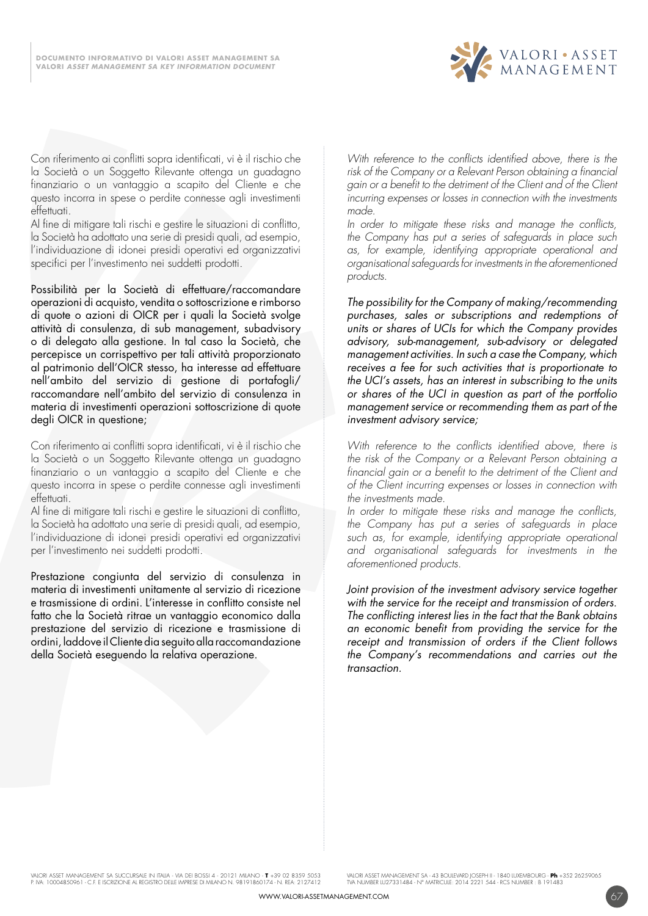

Con riferimento ai conflitti sopra identificati, vi è il rischio che la Società o un Soggetto Rilevante ottenga un guadagno finanziario o un vantaggio a scapito del Cliente e che questo incorra in spese o perdite connesse agli investimenti effettuati.

Al fine di mitigare tali rischi e gestire le situazioni di conflitto, la Società ha adottato una serie di presidi quali, ad esempio, l'individuazione di idonei presidi operativi ed organizzativi specifici per l'investimento nei suddetti prodotti.

Possibilità per la Società di effettuare/raccomandare operazioni di acquisto, vendita o sottoscrizione e rimborso di quote o azioni di OICR per i quali la Società svolge attività di consulenza, di sub management, subadvisory o di delegato alla gestione. In tal caso la Società, che percepisce un corrispettivo per tali attività proporzionato al patrimonio dell'OICR stesso, ha interesse ad effettuare nell'ambito del servizio di gestione di portafogli/ raccomandare nell'ambito del servizio di consulenza in materia di investimenti operazioni sottoscrizione di quote degli OICR in questione;

Con riferimento ai conflitti sopra identificati, vi è il rischio che la Società o un Soggetto Rilevante ottenga un guadagno finanziario o un vantaggio a scapito del Cliente e che questo incorra in spese o perdite connesse agli investimenti effettuati.

Al fine di mitigare tali rischi e gestire le situazioni di conflitto, la Società ha adottato una serie di presidi quali, ad esempio, l'individuazione di idonei presidi operativi ed organizzativi per l'investimento nei suddetti prodotti.

Prestazione congiunta del servizio di consulenza in materia di investimenti unitamente al servizio di ricezione e trasmissione di ordini. L'interesse in conflitto consiste nel fatto che la Società ritrae un vantaggio economico dalla prestazione del servizio di ricezione e trasmissione di ordini, laddove il Cliente dia seguito alla raccomandazione della Società eseguendo la relativa operazione.

*With reference to the conflicts identified above, there is the risk of the Company or a Relevant Person obtaining a financial gain or a benefit to the detriment of the Client and of the Client incurring expenses or losses in connection with the investments made.*

*In order to mitigate these risks and manage the conflicts, the Company has put a series of safeguards in place such as, for example, identifying appropriate operational and organisational safeguards for investments in the aforementioned products.* 

*The possibility for the Company of making/recommending purchases, sales or subscriptions and redemptions of units or shares of UCIs for which the Company provides advisory, sub-management, sub-advisory or delegated management activities. In such a case the Company, which receives a fee for such activities that is proportionate to the UCI's assets, has an interest in subscribing to the units or shares of the UCI in question as part of the portfolio management service or recommending them as part of the investment advisory service;*

*With reference to the conflicts identified above, there is the risk of the Company or a Relevant Person obtaining a financial gain or a benefit to the detriment of the Client and of the Client incurring expenses or losses in connection with the investments made.*

*In order to mitigate these risks and manage the conflicts, the Company has put a series of safeguards in place such as, for example, identifying appropriate operational and organisational safeguards for investments in the aforementioned products.* 

*Joint provision of the investment advisory service together with the service for the receipt and transmission of orders. The conflicting interest lies in the fact that the Bank obtains an economic benefit from providing the service for the receipt and transmission of orders if the Client follows the Company's recommendations and carries out the transaction.*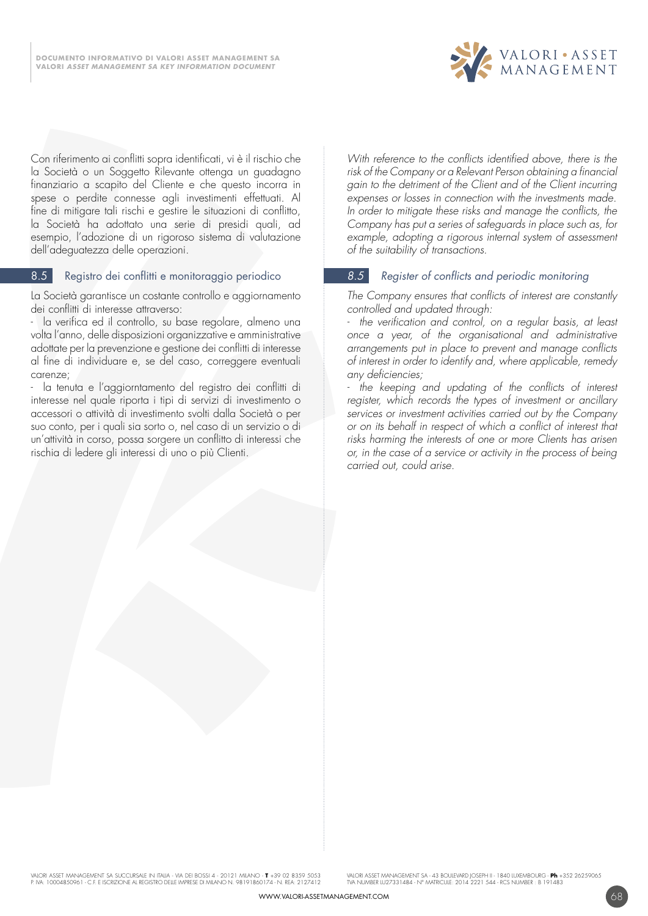

Con riferimento ai conflitti sopra identificati, vi è il rischio che la Società o un Soggetto Rilevante ottenga un guadagno finanziario a scapito del Cliente e che questo incorra in spese o perdite connesse agli investimenti effettuati. Al fine di mitigare tali rischi e gestire le situazioni di conflitto, la Società ha adottato una serie di presidi quali, ad esempio, l'adozione di un rigoroso sistema di valutazione dell'adeguatezza delle operazioni.

# 8.5 Registro dei conflitti e monitoraggio periodico

La Società garantisce un costante controllo e aggiornamento dei conflitti di interesse attraverso:

- la verifica ed il controllo, su base regolare, almeno una volta l'anno, delle disposizioni organizzative e amministrative adottate per la prevenzione e gestione dei conflitti di interesse al fine di individuare e, se del caso, correggere eventuali carenze;

- la tenuta e l'aggiorntamento del registro dei conflitti di interesse nel quale riporta i tipi di servizi di investimento o accessori o attività di investimento svolti dalla Società o per suo conto, per i quali sia sorto o, nel caso di un servizio o di un'attività in corso, possa sorgere un conflitto di interessi che rischia di ledere gli interessi di uno o più Clienti.

*With reference to the conflicts identified above, there is the risk of the Company or a Relevant Person obtaining a financial gain to the detriment of the Client and of the Client incurring expenses or losses in connection with the investments made. In order to mitigate these risks and manage the conflicts, the Company has put a series of safeguards in place such as, for example, adopting a rigorous internal system of assessment of the suitability of transactions.* 

# *8.5 Register of conflicts and periodic monitoring*

*The Company ensures that conflicts of interest are constantly controlled and updated through:*

*- the verification and control, on a regular basis, at least once a year, of the organisational and administrative arrangements put in place to prevent and manage conflicts of interest in order to identify and, where applicable, remedy any deficiencies;*

*- the keeping and updating of the conflicts of interest register, which records the types of investment or ancillary services or investment activities carried out by the Company or on its behalf in respect of which a conflict of interest that risks harming the interests of one or more Clients has arisen or, in the case of a service or activity in the process of being carried out, could arise.*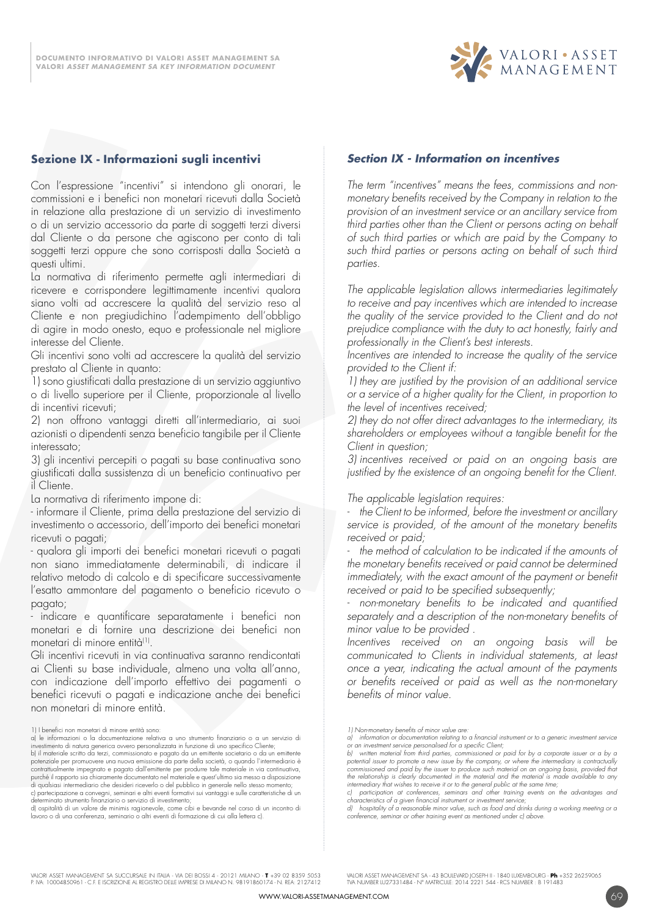

# **Sezione IX - Informazioni sugli incentivi**

Con l'espressione "incentivi" si intendono gli onorari, le commissioni e i benefici non monetari ricevuti dalla Società in relazione alla prestazione di un servizio di investimento o di un servizio accessorio da parte di soggetti terzi diversi dal Cliente o da persone che agiscono per conto di tali soggetti terzi oppure che sono corrisposti dalla Società a questi ultimi.

La normativa di riferimento permette agli intermediari di ricevere e corrispondere legittimamente incentivi qualora siano volti ad accrescere la qualità del servizio reso al Cliente e non pregiudichino l'adempimento dell'obbligo di agire in modo onesto, equo e professionale nel migliore interesse del Cliente.

Gli incentivi sono volti ad accrescere la qualità del servizio prestato al Cliente in quanto:

1) sono giustificati dalla prestazione di un servizio aggiuntivo o di livello superiore per il Cliente, proporzionale al livello di incentivi ricevuti;

2) non offrono vantaggi diretti all'intermediario, ai suoi azionisti o dipendenti senza beneficio tangibile per il Cliente interessato;

3) gli incentivi percepiti o pagati su base continuativa sono giustificati dalla sussistenza di un beneficio continuativo per il Cliente.

La normativa di riferimento impone di:

- informare il Cliente, prima della prestazione del servizio di investimento o accessorio, dell'importo dei benefici monetari ricevuti o pagati;

- qualora gli importi dei benefici monetari ricevuti o pagati non siano immediatamente determinabili, di indicare il relativo metodo di calcolo e di specificare successivamente l'esatto ammontare del pagamento o beneficio ricevuto o pagato;

- indicare e quantificare separatamente i benefici non monetari e di fornire una descrizione dei benefici non monetari di minore entità(1).

Gli incentivi ricevuti in via continuativa saranno rendicontati ai Clienti su base individuale, almeno una volta all'anno, con indicazione dell'importo effettivo dei pagamenti o benefici ricevuti o pagati e indicazione anche dei benefici non monetari di minore entità.

d) ospitalità di un valore de minimis ragionevole, come cibi e bevande nel corso di un incontro di lavoro o di una conferenza, seminario o altri eventi di formazione di cui alla lettera c).

## *Section IX - Information on incentives*

*The term "incentives" means the fees, commissions and nonmonetary benefits received by the Company in relation to the provision of an investment service or an ancillary service from third parties other than the Client or persons acting on behalf of such third parties or which are paid by the Company to such third parties or persons acting on behalf of such third parties.*

*The applicable legislation allows intermediaries legitimately to receive and pay incentives which are intended to increase the quality of the service provided to the Client and do not prejudice compliance with the duty to act honestly, fairly and professionally in the Client's best interests.*

*Incentives are intended to increase the quality of the service provided to the Client if:*

*1) they are justified by the provision of an additional service or a service of a higher quality for the Client, in proportion to the level of incentives received;*

*2) they do not offer direct advantages to the intermediary, its shareholders or employees without a tangible benefit for the Client in question;*

*3) incentives received or paid on an ongoing basis are justified by the existence of an ongoing benefit for the Client.*

*The applicable legislation requires:*

*- the Client to be informed, before the investment or ancillary service is provided, of the amount of the monetary benefits received or paid;*

*- the method of calculation to be indicated if the amounts of the monetary benefits received or paid cannot be determined immediately, with the exact amount of the payment or benefit received or paid to be specified subsequently;*

*- non-monetary benefits to be indicated and quantified separately and a description of the non-monetary benefits of minor value to be provided .*

*Incentives received on an ongoing basis will be communicated to Clients in individual statements, at least once a year, indicating the actual amount of the payments or benefits received or paid as well as the non-monetary benefits of minor value.*

<sup>1)</sup> I benefici non monetari di minore entità sono:

a) le informazioni o la documentazione relativa a uno strumento finanziario o a un servizio di investimento di natura generica ovvero personalizzata in funzione di uno specifico Cliente;

b) il materiale scritto da terzi, commissionato e pagato da un emittente societario o da un emittente<br>potenziale per promuovere una nuova emissione da parte della società, o quando l'intermediario è contrattualmente impegnato e pagato dall'emittente per produrre tale materiale in via continuativa, purché il rapporto sia chiaramente documentato nel materiale e quest'ultimo sia messo a disposizione di qualsiasi intermediario che desideri riceverlo o del pubblico in generale nello stesso momento; c) partecipazione a convegni, seminari e altri eventi formativi sui vantaggi e sulle caratteristiche di un determinato strumento finanziario o servizio di investimento;

*<sup>1)</sup> Non-monetary benefits of minor value are:*

*a) information or documentation relating to a financial instrument or to a generic investment service or an investment service personalised for a specific Client;*

*b) written material from third parties, commissioned or paid for by a corporate issuer or a by a potential issuer to promote a new issue by the company, or where the intermediary is contractually commissioned and paid by the issuer to produce such material on an ongoing basis, provided that the relationship is clearly documented in the material and the material is made available to any intermediary that wishes to receive it or to the general public at the same time;* 

*c) participation at conferences, seminars and other training events on the advantages and characteristics of a given financial instrument or investment service;*

*d) hospitality of a reasonable minor value, such as food and drinks during a working meeting or a conference, seminar or other training event as mentioned under c) above.*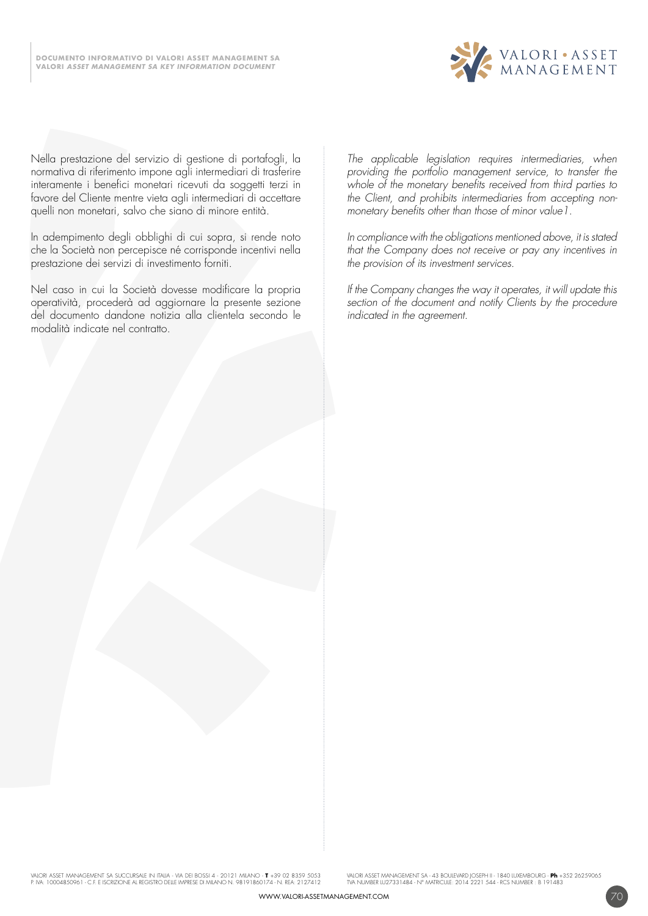

Nella prestazione del servizio di gestione di portafogli, la normativa di riferimento impone agli intermediari di trasferire interamente i benefici monetari ricevuti da soggetti terzi in favore del Cliente mentre vieta agli intermediari di accettare quelli non monetari, salvo che siano di minore entità.

In adempimento degli obblighi di cui sopra, si rende noto che la Società non percepisce né corrisponde incentivi nella prestazione dei servizi di investimento forniti.

Nel caso in cui la Società dovesse modificare la propria operatività, procederà ad aggiornare la presente sezione del documento dandone notizia alla clientela secondo le modalità indicate nel contratto.

*The applicable legislation requires intermediaries, when providing the portfolio management service, to transfer the whole of the monetary benefits received from third parties to the Client, and prohibits intermediaries from accepting nonmonetary benefits other than those of minor value1.*

*In compliance with the obligations mentioned above, it is stated that the Company does not receive or pay any incentives in the provision of its investment services.* 

*If the Company changes the way it operates, it will update this*  section of the document and notify Clients by the procedure *indicated in the agreement.*